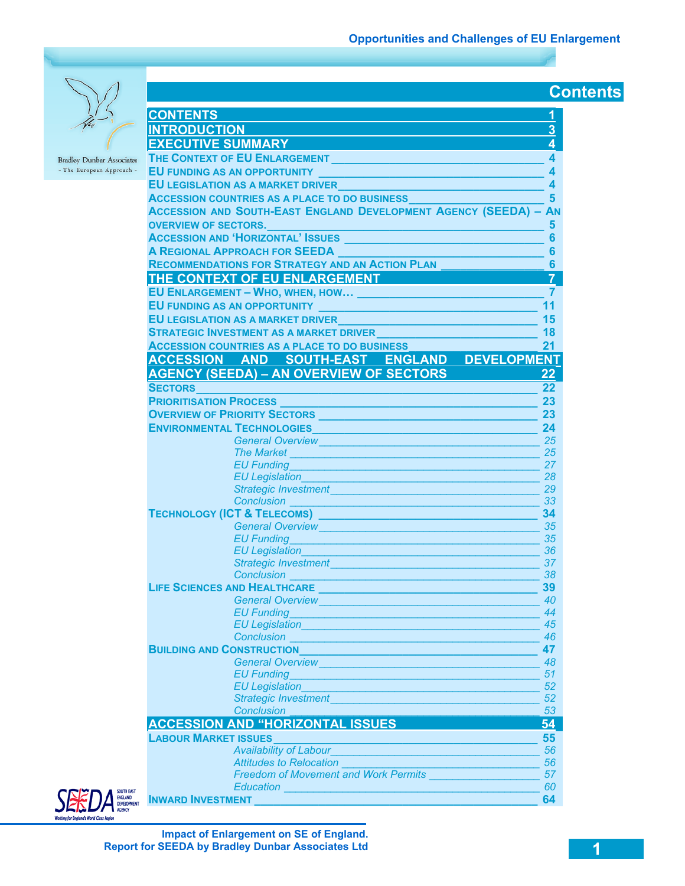**Contents** 

**Bradley Dunbar Associates** - The European Approach -

| <b>CONTENTS</b>                                                                                                                                                                                                                      | 1                       |  |  |
|--------------------------------------------------------------------------------------------------------------------------------------------------------------------------------------------------------------------------------------|-------------------------|--|--|
| <b>INTRODUCTION</b>                                                                                                                                                                                                                  | 3                       |  |  |
| <b>EXECUTIVE SUMMARY</b>                                                                                                                                                                                                             | 4                       |  |  |
|                                                                                                                                                                                                                                      |                         |  |  |
| THE CONTEXT OF EU ENLARGEMENT                                                                                                                                                                                                        | 4                       |  |  |
|                                                                                                                                                                                                                                      | $\overline{\mathbf{A}}$ |  |  |
| EU LEGISLATION AS A MARKET DRIVER <b>And Accept and Accept and Accept and Accept</b>                                                                                                                                                 | $\boldsymbol{A}$        |  |  |
| ACCESSION COUNTRIES AS A PLACE TO DO BUSINESS                                                                                                                                                                                        | 5                       |  |  |
| <b>ACCESSION AND SOUTH-EAST ENGLAND DEVELOPMENT AGENCY (SEEDA) - AN</b>                                                                                                                                                              |                         |  |  |
| OVERVIEW OF SECTORS.                                                                                                                                                                                                                 | 5                       |  |  |
| ACCESSION AND 'HORIZONTAL' ISSUES                                                                                                                                                                                                    | $6\phantom{a}$          |  |  |
| <b>A REGIONAL APPROACH FOR SEEDA</b>                                                                                                                                                                                                 | $6\phantom{1}6$         |  |  |
| <b>RECOMMENDATIONS FOR STRATEGY AND AN ACTION PLAN</b>                                                                                                                                                                               | $6\phantom{a}$          |  |  |
| THE CONTEXT OF EU ENLARGEMENT                                                                                                                                                                                                        | $\overline{7}$          |  |  |
| EU ENLARGEMENT - WHO, WHEN, HOW [198] PRESENTING A REPORT OF STREET AND RESIDENCE                                                                                                                                                    | $\overline{7}$          |  |  |
|                                                                                                                                                                                                                                      | 11                      |  |  |
|                                                                                                                                                                                                                                      | 15                      |  |  |
|                                                                                                                                                                                                                                      |                         |  |  |
| <b>STRATEGIC INVESTMENT AS A MARKET DRIVER<br/>ACCESSION COUNTRIES AS A PLACE TO DO BUSINESS</b><br>18                                                                                                                               |                         |  |  |
|                                                                                                                                                                                                                                      | 21                      |  |  |
| ACCESSION AND SOUTH-EAST ENGLAND DEVELOPMENT                                                                                                                                                                                         |                         |  |  |
| <b>AGENCY (SEEDA) - AN OVERVIEW OF SECTORS</b>                                                                                                                                                                                       | 22                      |  |  |
| <b>SECTORS</b>                                                                                                                                                                                                                       | 22                      |  |  |
| <b>PRIORITISATION PROCESS</b><br><u> 1990 - Johann Marie Barn, mars an t-</u>                                                                                                                                                        | 23                      |  |  |
| <b>OVERVIEW OF PRIORITY SECTORS</b> <u>And a manufacture of the sector</u>                                                                                                                                                           | 23                      |  |  |
| <b>ENVIRONMENTAL TECHNOLOGIES AND ARRIVE AND ARRIVE AND ARRIVE AND ARRIVE AND ARRIVE AND ARRIVE AND ARRIVE AND A</b>                                                                                                                 | 24                      |  |  |
| <b>General Overview</b><br>فالمستحيل والمستنقص والمستحقق والمستحقق والمستحقق والمستنقص                                                                                                                                               | 25                      |  |  |
|                                                                                                                                                                                                                                      | 25                      |  |  |
| EU Funding <b>EU Funding EU Funding</b>                                                                                                                                                                                              | 27                      |  |  |
| <b>EU Legislation</b>                                                                                                                                                                                                                | 28                      |  |  |
| Strategic Investment                                                                                                                                                                                                                 | 29                      |  |  |
| <b>Conclusion Conclusion</b>                                                                                                                                                                                                         | 33                      |  |  |
| TECHNOLOGY (ICT & TELECOMS) <b>CONTRACT AND THE CHILD CONTRACT A</b>                                                                                                                                                                 | 34                      |  |  |
| General Overview <b>Contract Contract Contract Contract Contract Contract Contract Contract Contract Contract Contract Contract Contract Contract Contract Contract Contract Contract Contract Contract Contract Contract Contra</b> | 35                      |  |  |
| <b>EU Funding</b>                                                                                                                                                                                                                    | 35                      |  |  |
| EU Legislation                                                                                                                                                                                                                       | 36                      |  |  |
| <b>Strategic Investment</b>                                                                                                                                                                                                          | 37                      |  |  |
| <b>Conclusion</b>                                                                                                                                                                                                                    | 38                      |  |  |
| <b>LIFE SCIENCES AND HEALTHCARE</b>                                                                                                                                                                                                  | 39                      |  |  |
| <b>General Overview</b>                                                                                                                                                                                                              | 40                      |  |  |
| <b>EU Funding</b>                                                                                                                                                                                                                    | 44                      |  |  |
| EU Legislation <b>EU</b> Legislation                                                                                                                                                                                                 | 45                      |  |  |
|                                                                                                                                                                                                                                      | 46                      |  |  |
| <b>BUILDING AND CONSTRUCTION AND SERVICE OF A SERVICE OF A SERVICE OF A SERVICE OF A SERVICE OF A SERVICE OF A S</b>                                                                                                                 | 47                      |  |  |
| General Overview <b>Contract Contract of Contract Contract Contract Contract Contract Contract Contract Contract Contract Contract Contract Contract Contract Contract Contract Contract Contract Contract Contract Contract Con</b> | 48                      |  |  |
| EU Funding <b>EU Funding</b>                                                                                                                                                                                                         | 51                      |  |  |
| EU Legislation <b>EU Legislation EU Legislation</b><br>Strategic Investment <b>Strategic Investment</b>                                                                                                                              | 52<br>52                |  |  |
| <b>Conclusion</b>                                                                                                                                                                                                                    | 53                      |  |  |
| <b>ACCESSION AND "HORIZONTAL ISSUES</b>                                                                                                                                                                                              | 54                      |  |  |
|                                                                                                                                                                                                                                      |                         |  |  |
|                                                                                                                                                                                                                                      | 55                      |  |  |
| <b>Availability of Labour Availability of Labour</b>                                                                                                                                                                                 | 56                      |  |  |
| <b>Attitudes to Relocation</b><br><u> 1989 - Johann John Harry Barnett, amerikan</u><br>Freedom of Movement and Work Permits                                                                                                         | 56                      |  |  |
|                                                                                                                                                                                                                                      | 57<br>60                |  |  |
| Education <b>Executive Contract of Contract Contract Contract Contract Contract Contract Contract Contract Contract Contract Contract Contract Contract Contract Contract Contract Contract Contract Contract Contract Contract </b> | 64                      |  |  |
| INWARD INVESTMENT <b>And Account of the Community Community</b>                                                                                                                                                                      |                         |  |  |



**Impact of Enlargement on SE of England. Report for SEEDA by Bradley Dunbar Associates Ltd**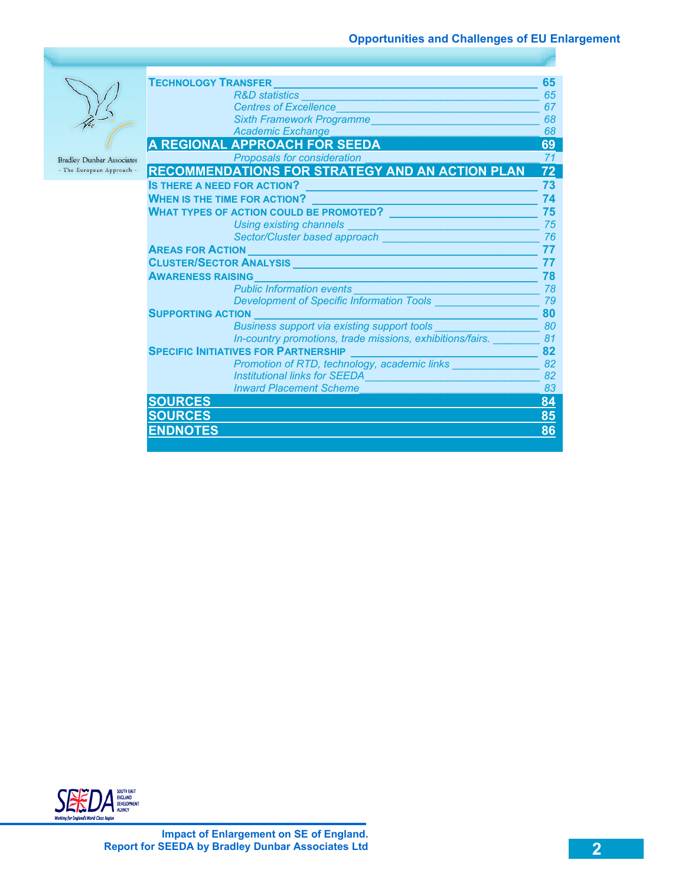

| <b>TECHNOLOGY TRANSFER</b>                                                                                                                             |    |
|--------------------------------------------------------------------------------------------------------------------------------------------------------|----|
| <b>R&amp;D</b> statistics                                                                                                                              | 65 |
| <b>Centres of Excellence</b>                                                                                                                           | 67 |
| <b>Sixth Framework Programme</b>                                                                                                                       | 68 |
| <b>Academic Exchange</b>                                                                                                                               | 68 |
| A REGIONAL APPROACH FOR SEEDA                                                                                                                          | 69 |
| <b>Proposals for consideration</b>                                                                                                                     | 71 |
| <b>RECOMMENDATIONS FOR STRATEGY AND AN ACTION PLAN</b>                                                                                                 | 72 |
| <b>IS THERE A NEED FOR ACTION?</b>                                                                                                                     | 73 |
| <b>WHEN IS THE TIME FOR ACTION?</b>                                                                                                                    | 74 |
| <b>WHAT TYPES OF ACTION COULD BE PROMOTED?</b>                                                                                                         | 75 |
| <b>Using existing channels</b>                                                                                                                         | 75 |
| Sector/Cluster based approach                                                                                                                          | 76 |
| <b>AREAS FOR ACTION</b>                                                                                                                                |    |
| <b>CLUSTER/SECTOR ANALYSIS</b><br><u> 1990 - Jan Stein Berg, mars and de Branch and de Branch and de Branch and de Branch and de Branch and de Bra</u> |    |
| <b>AWARENESS RAISING</b>                                                                                                                               |    |
| <b>Public Information events</b>                                                                                                                       | 78 |
| Development of Specific Information Tools _______                                                                                                      | 79 |
| <b>SUPPORTING ACTION</b>                                                                                                                               |    |
| Business support via existing support tools _____                                                                                                      | 80 |
| In-country promotions, trade missions, exhibitions/fairs.                                                                                              | 81 |
| <b>SPECIFIC INITIATIVES FOR PARTNERSHIP</b>                                                                                                            |    |
| Promotion of RTD, technology, academic links _______                                                                                                   | 82 |
| <b>Institutional links for SEEDA</b>                                                                                                                   | 82 |
| <b>Inward Placement Scheme</b>                                                                                                                         | 83 |
| <b>SOURCES</b>                                                                                                                                         | 84 |
| <b>SOURCES</b>                                                                                                                                         | 85 |
| <b>ENDNOTES</b>                                                                                                                                        | 86 |
|                                                                                                                                                        |    |

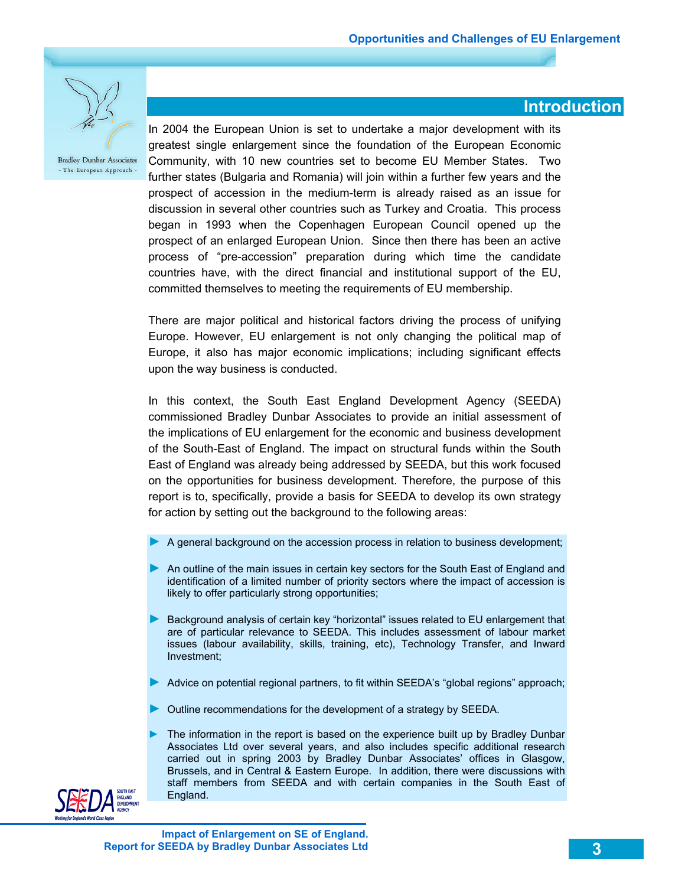

### **Introduction**

In 2004 the European Union is set to undertake a major development with its greatest single enlargement since the foundation of the European Economic Community, with 10 new countries set to become EU Member States. Two further states (Bulgaria and Romania) will join within a further few years and the prospect of accession in the medium-term is already raised as an issue for discussion in several other countries such as Turkey and Croatia. This process began in 1993 when the Copenhagen European Council opened up the prospect of an enlarged European Union. Since then there has been an active process of "pre-accession" preparation during which time the candidate countries have, with the direct financial and institutional support of the EU, committed themselves to meeting the requirements of EU membership.

There are major political and historical factors driving the process of unifying Europe. However, EU enlargement is not only changing the political map of Europe, it also has major economic implications; including significant effects upon the way business is conducted.

In this context, the South East England Development Agency (SEEDA) commissioned Bradley Dunbar Associates to provide an initial assessment of the implications of EU enlargement for the economic and business development of the South-East of England. The impact on structural funds within the South East of England was already being addressed by SEEDA, but this work focused on the opportunities for business development. Therefore, the purpose of this report is to, specifically, provide a basis for SEEDA to develop its own strategy for action by setting out the background to the following areas:

- ► A general background on the accession process in relation to business development;
- ► An outline of the main issues in certain key sectors for the South East of England and identification of a limited number of priority sectors where the impact of accession is likely to offer particularly strong opportunities;
- Background analysis of certain key "horizontal" issues related to EU enlargement that are of particular relevance to SEEDA. This includes assessment of labour market issues (labour availability, skills, training, etc), Technology Transfer, and Inward Investment;
- ► Advice on potential regional partners, to fit within SEEDA's "global regions" approach;
- ► Outline recommendations for the development of a strategy by SEEDA.
- The information in the report is based on the experience built up by Bradley Dunbar Associates Ltd over several years, and also includes specific additional research carried out in spring 2003 by Bradley Dunbar Associates' offices in Glasgow, Brussels, and in Central & Eastern Europe. In addition, there were discussions with staff members from SEEDA and with certain companies in the South East of England.

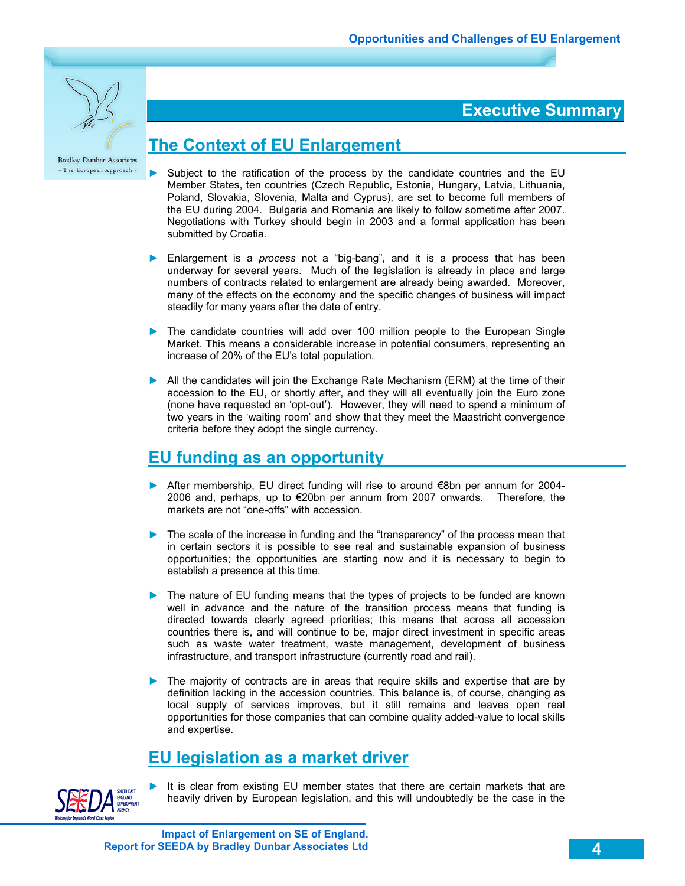

### **Executive Summary**

### **The Context of EU Enlargement**

- Subject to the ratification of the process by the candidate countries and the EU Member States, ten countries (Czech Republic, Estonia, Hungary, Latvia, Lithuania, Poland, Slovakia, Slovenia, Malta and Cyprus), are set to become full members of the EU during 2004. Bulgaria and Romania are likely to follow sometime after 2007. Negotiations with Turkey should begin in 2003 and a formal application has been submitted by Croatia.
- ► Enlargement is a *process* not a "big-bang", and it is a process that has been underway for several years. Much of the legislation is already in place and large numbers of contracts related to enlargement are already being awarded. Moreover, many of the effects on the economy and the specific changes of business will impact steadily for many years after the date of entry.
- ► The candidate countries will add over 100 million people to the European Single Market. This means a considerable increase in potential consumers, representing an increase of 20% of the EU's total population.
- ► All the candidates will join the Exchange Rate Mechanism (ERM) at the time of their accession to the EU, or shortly after, and they will all eventually join the Euro zone (none have requested an 'opt-out'). However, they will need to spend a minimum of two years in the 'waiting room' and show that they meet the Maastricht convergence criteria before they adopt the single currency.

### **EU funding as an opportunity**

- ► After membership, EU direct funding will rise to around €8bn per annum for 2004- 2006 and, perhaps, up to €20bn per annum from 2007 onwards. Therefore, the markets are not "one-offs" with accession.
- ► The scale of the increase in funding and the "transparency" of the process mean that in certain sectors it is possible to see real and sustainable expansion of business opportunities; the opportunities are starting now and it is necessary to begin to establish a presence at this time.
- ► The nature of EU funding means that the types of projects to be funded are known well in advance and the nature of the transition process means that funding is directed towards clearly agreed priorities; this means that across all accession countries there is, and will continue to be, major direct investment in specific areas such as waste water treatment, waste management, development of business infrastructure, and transport infrastructure (currently road and rail).
- ► The majority of contracts are in areas that require skills and expertise that are by definition lacking in the accession countries. This balance is, of course, changing as local supply of services improves, but it still remains and leaves open real opportunities for those companies that can combine quality added-value to local skills and expertise.

# **EU legislation as a market driver**



It is clear from existing EU member states that there are certain markets that are heavily driven by European legislation, and this will undoubtedly be the case in the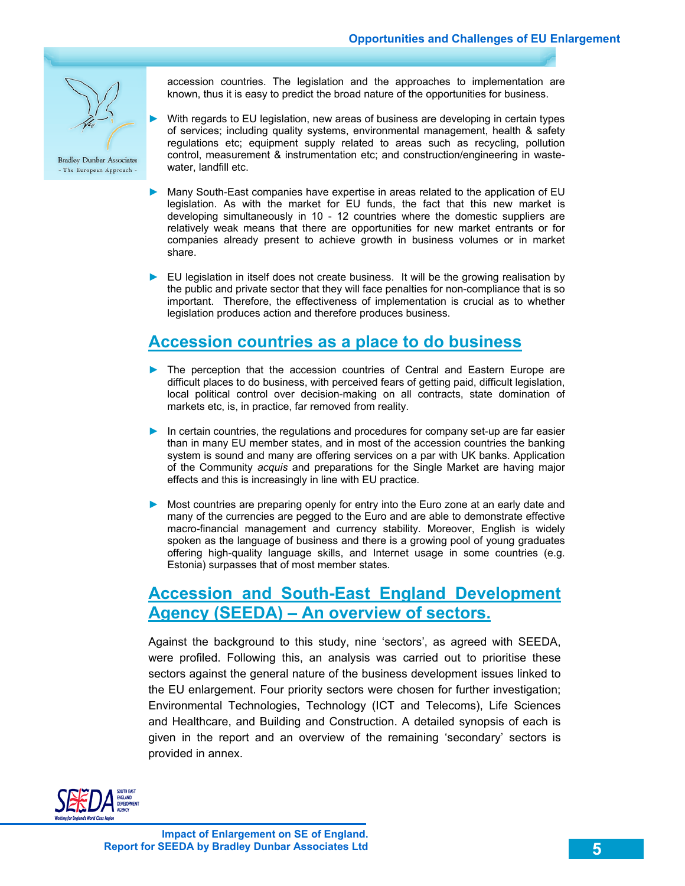

accession countries. The legislation and the approaches to implementation are known, thus it is easy to predict the broad nature of the opportunities for business.

- With regards to EU legislation, new areas of business are developing in certain types of services; including quality systems, environmental management, health & safety regulations etc; equipment supply related to areas such as recycling, pollution control, measurement & instrumentation etc; and construction/engineering in wastewater, landfill etc.
- ► Many South-East companies have expertise in areas related to the application of EU legislation. As with the market for EU funds, the fact that this new market is developing simultaneously in 10 - 12 countries where the domestic suppliers are relatively weak means that there are opportunities for new market entrants or for companies already present to achieve growth in business volumes or in market share.
- ► EU legislation in itself does not create business. It will be the growing realisation by the public and private sector that they will face penalties for non-compliance that is so important. Therefore, the effectiveness of implementation is crucial as to whether legislation produces action and therefore produces business.

# **Accession countries as a place to do business**

- ► The perception that the accession countries of Central and Eastern Europe are difficult places to do business, with perceived fears of getting paid, difficult legislation, local political control over decision-making on all contracts, state domination of markets etc, is, in practice, far removed from reality.
- ► In certain countries, the regulations and procedures for company set-up are far easier than in many EU member states, and in most of the accession countries the banking system is sound and many are offering services on a par with UK banks. Application of the Community *acquis* and preparations for the Single Market are having major effects and this is increasingly in line with EU practice.
- ► Most countries are preparing openly for entry into the Euro zone at an early date and many of the currencies are pegged to the Euro and are able to demonstrate effective macro-financial management and currency stability. Moreover, English is widely spoken as the language of business and there is a growing pool of young graduates offering high-quality language skills, and Internet usage in some countries (e.g. Estonia) surpasses that of most member states.

# **Accession and South-East England Development Agency (SEEDA) – An overview of sectors.**

Against the background to this study, nine 'sectors', as agreed with SEEDA, were profiled. Following this, an analysis was carried out to prioritise these sectors against the general nature of the business development issues linked to the EU enlargement. Four priority sectors were chosen for further investigation; Environmental Technologies, Technology (ICT and Telecoms), Life Sciences and Healthcare, and Building and Construction. A detailed synopsis of each is given in the report and an overview of the remaining 'secondary' sectors is provided in annex.

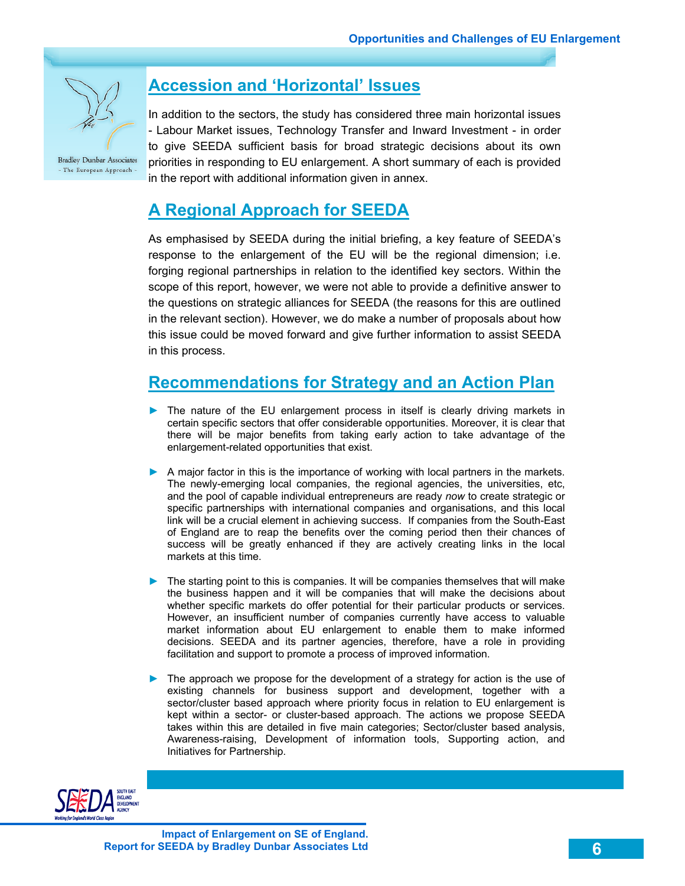

# **Accession and 'Horizontal' Issues**

In addition to the sectors, the study has considered three main horizontal issues - Labour Market issues, Technology Transfer and Inward Investment - in order to give SEEDA sufficient basis for broad strategic decisions about its own priorities in responding to EU enlargement. A short summary of each is provided in the report with additional information given in annex.

### **A Regional Approach for SEEDA**

As emphasised by SEEDA during the initial briefing, a key feature of SEEDA's response to the enlargement of the EU will be the regional dimension; i.e. forging regional partnerships in relation to the identified key sectors. Within the scope of this report, however, we were not able to provide a definitive answer to the questions on strategic alliances for SEEDA (the reasons for this are outlined in the relevant section). However, we do make a number of proposals about how this issue could be moved forward and give further information to assist SEEDA in this process.

# **Recommendations for Strategy and an Action Plan**

- ► The nature of the EU enlargement process in itself is clearly driving markets in certain specific sectors that offer considerable opportunities. Moreover, it is clear that there will be major benefits from taking early action to take advantage of the enlargement-related opportunities that exist.
- ► A major factor in this is the importance of working with local partners in the markets. The newly-emerging local companies, the regional agencies, the universities, etc, and the pool of capable individual entrepreneurs are ready *now* to create strategic or specific partnerships with international companies and organisations, and this local link will be a crucial element in achieving success. If companies from the South-East of England are to reap the benefits over the coming period then their chances of success will be greatly enhanced if they are actively creating links in the local markets at this time.
- ► The starting point to this is companies. It will be companies themselves that will make the business happen and it will be companies that will make the decisions about whether specific markets do offer potential for their particular products or services. However, an insufficient number of companies currently have access to valuable market information about EU enlargement to enable them to make informed decisions. SEEDA and its partner agencies, therefore, have a role in providing facilitation and support to promote a process of improved information.
- ► The approach we propose for the development of a strategy for action is the use of existing channels for business support and development, together with a sector/cluster based approach where priority focus in relation to EU enlargement is kept within a sector- or cluster-based approach. The actions we propose SEEDA takes within this are detailed in five main categories; Sector/cluster based analysis, Awareness-raising, Development of information tools, Supporting action, and Initiatives for Partnership.

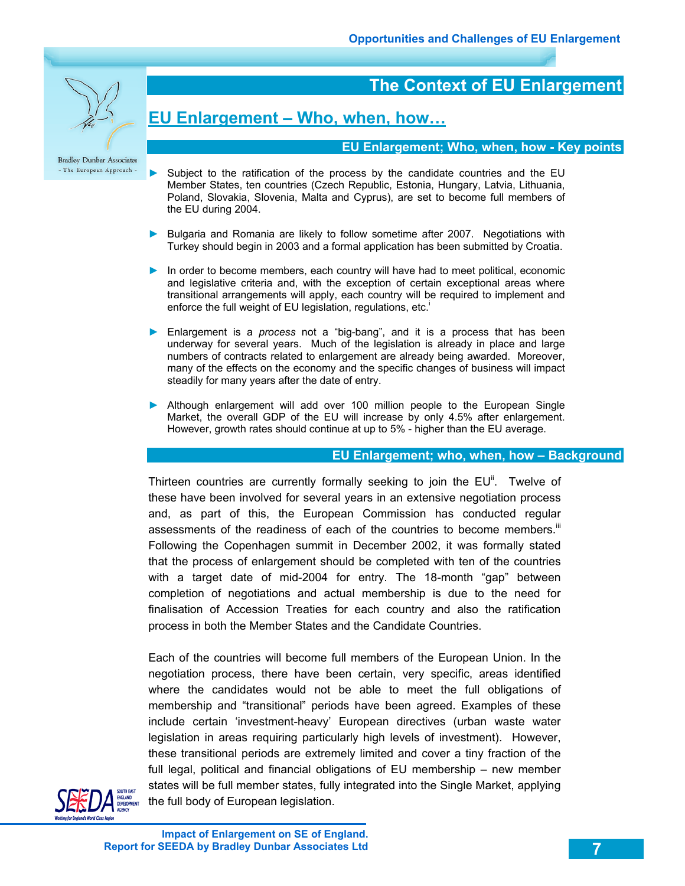

# **The Context of EU Enlargement**

# **EU Enlargement – Who, when, how…**

### **EU Enlargement; Who, when, how - Key points**

- ► Subject to the ratification of the process by the candidate countries and the EU Member States, ten countries (Czech Republic, Estonia, Hungary, Latvia, Lithuania, Poland, Slovakia, Slovenia, Malta and Cyprus), are set to become full members of the EU during 2004.
- ► Bulgaria and Romania are likely to follow sometime after 2007. Negotiations with Turkey should begin in 2003 and a formal application has been submitted by Croatia.
- ► In order to become members, each country will have had to meet political, economic and legislative criteria and, with the exception of certain exceptional areas where transitional arrangements will apply, each country will be required to implement and enforce the full weight of EU legislation, regulations, etc.<sup>i</sup>
- ► Enlargement is a *process* not a "big-bang", and it is a process that has been underway for several years. Much of the legislation is already in place and large numbers of contracts related to enlargement are already being awarded. Moreover, many of the effects on the economy and the specific changes of business will impact steadily for many years after the date of entry.
- ▶ Although enlargement will add over 100 million people to the European Single Market, the overall GDP of the EU will increase by only 4.5% after enlargement. However, growth rates should continue at up to 5% - higher than the EU average.

### **EU Enlargement; who, when, how – Background**

Thirteen countries are currently formally seeking to join the  $EU<sup>ii</sup>$ . Twelve of these have been involved for several years in an extensive negotiation process and, as part of this, the European Commission has conducted regular assessments of the readiness of each of the countries to become members.<sup>iii</sup> Following the Copenhagen summit in December 2002, it was formally stated that the process of enlargement should be completed with ten of the countries with a target date of mid-2004 for entry. The 18-month "gap" between completion of negotiations and actual membership is due to the need for finalisation of Accession Treaties for each country and also the ratification process in both the Member States and the Candidate Countries.

Each of the countries will become full members of the European Union. In the negotiation process, there have been certain, very specific, areas identified where the candidates would not be able to meet the full obligations of membership and "transitional" periods have been agreed. Examples of these include certain 'investment-heavy' European directives (urban waste water legislation in areas requiring particularly high levels of investment). However, these transitional periods are extremely limited and cover a tiny fraction of the full legal, political and financial obligations of EU membership – new member states will be full member states, fully integrated into the Single Market, applying the full body of European legislation.



**Impact of Enlargement on SE of England. Report for SEEDA by Bradley Dunbar Associates Ltd**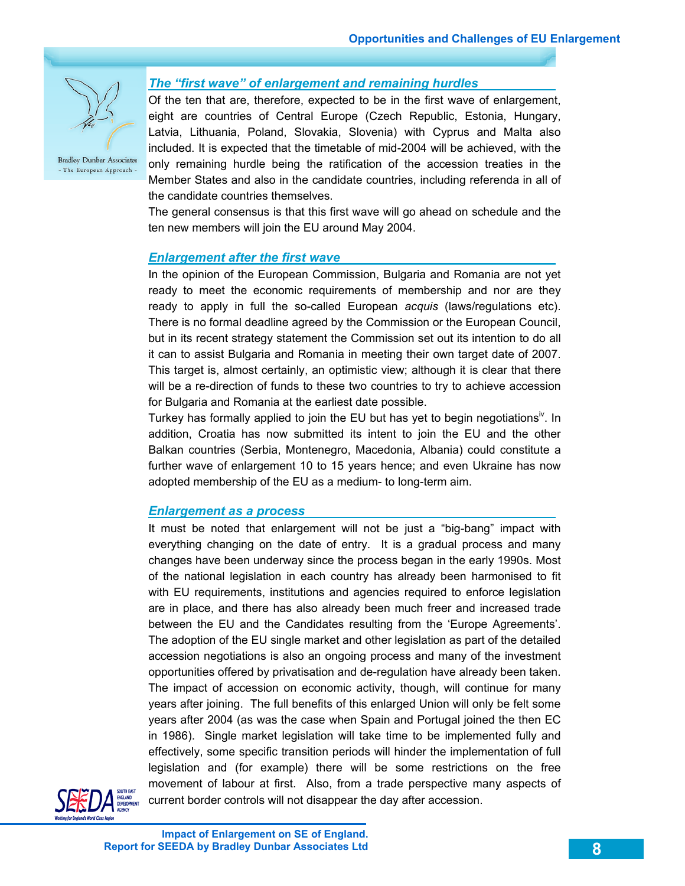

### *The "first wave" of enlargement and remaining hurdles*

Of the ten that are, therefore, expected to be in the first wave of enlargement, eight are countries of Central Europe (Czech Republic, Estonia, Hungary, Latvia, Lithuania, Poland, Slovakia, Slovenia) with Cyprus and Malta also included. It is expected that the timetable of mid-2004 will be achieved, with the only remaining hurdle being the ratification of the accession treaties in the Member States and also in the candidate countries, including referenda in all of the candidate countries themselves.

The general consensus is that this first wave will go ahead on schedule and the ten new members will join the EU around May 2004.

### *Enlargement after the first wave*

In the opinion of the European Commission, Bulgaria and Romania are not yet ready to meet the economic requirements of membership and nor are they ready to apply in full the so-called European *acquis* (laws/regulations etc). There is no formal deadline agreed by the Commission or the European Council, but in its recent strategy statement the Commission set out its intention to do all it can to assist Bulgaria and Romania in meeting their own target date of 2007. This target is, almost certainly, an optimistic view; although it is clear that there will be a re-direction of funds to these two countries to try to achieve accession for Bulgaria and Romania at the earliest date possible.

Turkey has formally applied to join the EU but has yet to begin negotiations<sup>iv</sup>. In addition, Croatia has now submitted its intent to join the EU and the other Balkan countries (Serbia, Montenegro, Macedonia, Albania) could constitute a further wave of enlargement 10 to 15 years hence; and even Ukraine has now adopted membership of the EU as a medium- to long-term aim.

#### *Enlargement as a process*

It must be noted that enlargement will not be just a "big-bang" impact with everything changing on the date of entry. It is a gradual process and many changes have been underway since the process began in the early 1990s. Most of the national legislation in each country has already been harmonised to fit with EU requirements, institutions and agencies required to enforce legislation are in place, and there has also already been much freer and increased trade between the EU and the Candidates resulting from the 'Europe Agreements'. The adoption of the EU single market and other legislation as part of the detailed accession negotiations is also an ongoing process and many of the investment opportunities offered by privatisation and de-regulation have already been taken. The impact of accession on economic activity, though, will continue for many years after joining. The full benefits of this enlarged Union will only be felt some years after 2004 (as was the case when Spain and Portugal joined the then EC in 1986). Single market legislation will take time to be implemented fully and effectively, some specific transition periods will hinder the implementation of full legislation and (for example) there will be some restrictions on the free movement of labour at first. Also, from a trade perspective many aspects of current border controls will not disappear the day after accession.

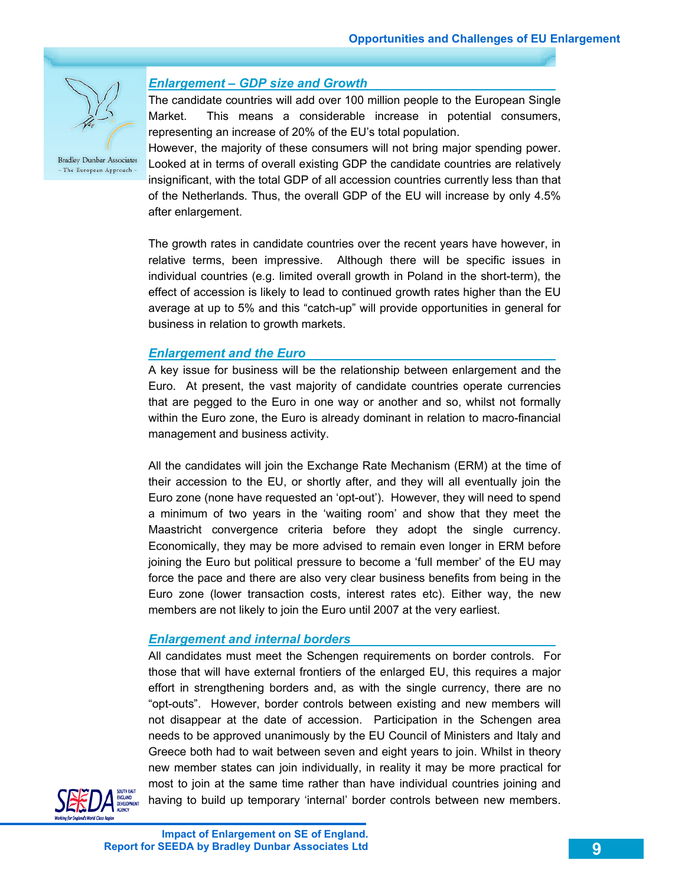

### *Enlargement – GDP size and Growth*

The candidate countries will add over 100 million people to the European Single Market. This means a considerable increase in potential consumers, representing an increase of 20% of the EU's total population.

However, the majority of these consumers will not bring major spending power. Looked at in terms of overall existing GDP the candidate countries are relatively insignificant, with the total GDP of all accession countries currently less than that of the Netherlands. Thus, the overall GDP of the EU will increase by only 4.5% after enlargement.

The growth rates in candidate countries over the recent years have however, in relative terms, been impressive. Although there will be specific issues in individual countries (e.g. limited overall growth in Poland in the short-term), the effect of accession is likely to lead to continued growth rates higher than the EU average at up to 5% and this "catch-up" will provide opportunities in general for business in relation to growth markets.

### *Enlargement and the Euro*

A key issue for business will be the relationship between enlargement and the Euro. At present, the vast majority of candidate countries operate currencies that are pegged to the Euro in one way or another and so, whilst not formally within the Euro zone, the Euro is already dominant in relation to macro-financial management and business activity.

All the candidates will join the Exchange Rate Mechanism (ERM) at the time of their accession to the EU, or shortly after, and they will all eventually join the Euro zone (none have requested an 'opt-out'). However, they will need to spend a minimum of two years in the 'waiting room' and show that they meet the Maastricht convergence criteria before they adopt the single currency. Economically, they may be more advised to remain even longer in ERM before joining the Euro but political pressure to become a 'full member' of the EU may force the pace and there are also very clear business benefits from being in the Euro zone (lower transaction costs, interest rates etc). Either way, the new members are not likely to join the Euro until 2007 at the very earliest.

### *Enlargement and internal borders*

All candidates must meet the Schengen requirements on border controls. For those that will have external frontiers of the enlarged EU, this requires a major effort in strengthening borders and, as with the single currency, there are no "opt-outs". However, border controls between existing and new members will not disappear at the date of accession. Participation in the Schengen area needs to be approved unanimously by the EU Council of Ministers and Italy and Greece both had to wait between seven and eight years to join. Whilst in theory new member states can join individually, in reality it may be more practical for most to join at the same time rather than have individual countries joining and having to build up temporary 'internal' border controls between new members.



**Impact of Enlargement on SE of England. Report for SEEDA by Bradley Dunbar Associates Ltd**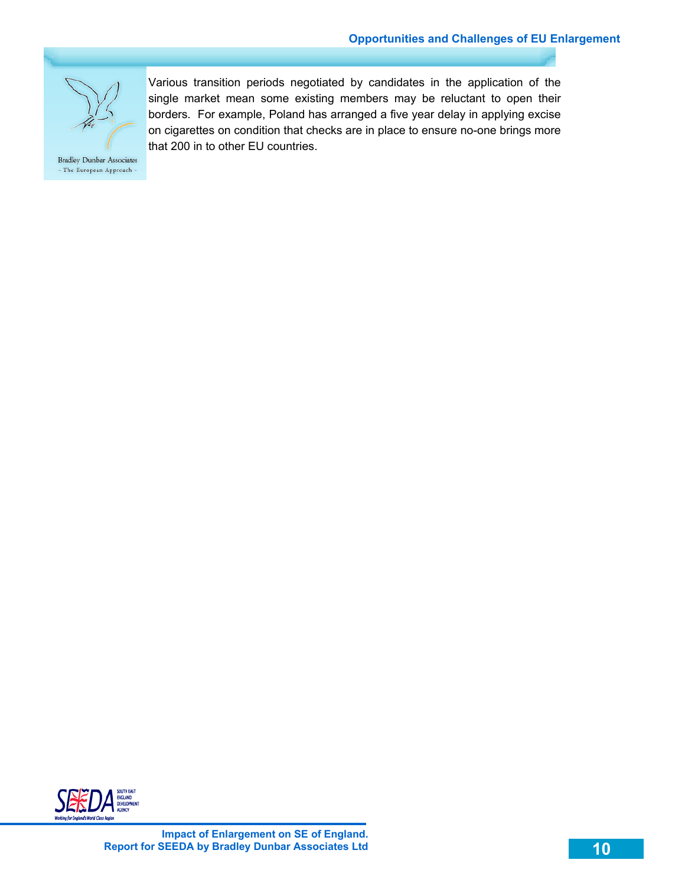

Various transition periods negotiated by candidates in the application of the single market mean some existing members may be reluctant to open their borders. For example, Poland has arranged a five year delay in applying excise on cigarettes on condition that checks are in place to ensure no-one brings more that 200 in to other EU countries.

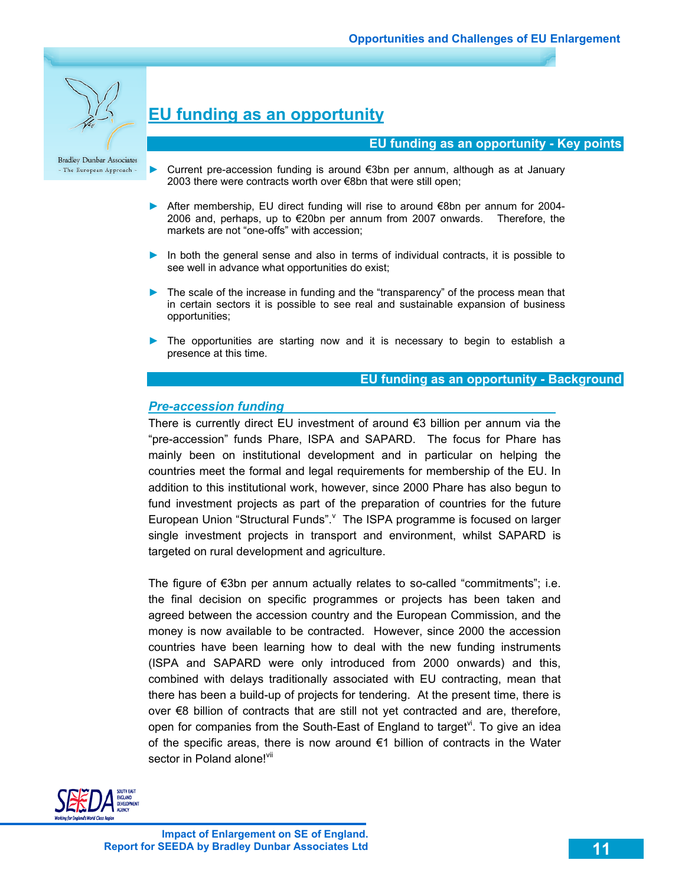

# **EU funding as an opportunity**

#### **EU funding as an opportunity - Key points**

- Current pre-accession funding is around €3bn per annum, although as at January 2003 there were contracts worth over €8bn that were still open;
- ► After membership, EU direct funding will rise to around €8bn per annum for 2004- 2006 and, perhaps, up to €20bn per annum from 2007 onwards. Therefore, the markets are not "one-offs" with accession;
- ► In both the general sense and also in terms of individual contracts, it is possible to see well in advance what opportunities do exist;
- ► The scale of the increase in funding and the "transparency" of the process mean that in certain sectors it is possible to see real and sustainable expansion of business opportunities;
- ► The opportunities are starting now and it is necessary to begin to establish a presence at this time.

#### **EU funding as an opportunity - Background**

#### *Pre-accession funding*

There is currently direct EU investment of around €3 billion per annum via the "pre-accession" funds Phare, ISPA and SAPARD. The focus for Phare has mainly been on institutional development and in particular on helping the countries meet the formal and legal requirements for membership of the EU. In addition to this institutional work, however, since 2000 Phare has also begun to fund investment projects as part of the preparation of countries for the future European Union "Structural Funds". The ISPA programme is focused on larger single investment projects in transport and environment, whilst SAPARD is targeted on rural development and agriculture.

The figure of €3bn per annum actually relates to so-called "commitments"; i.e. the final decision on specific programmes or projects has been taken and agreed between the accession country and the European Commission, and the money is now available to be contracted. However, since 2000 the accession countries have been learning how to deal with the new funding instruments (ISPA and SAPARD were only introduced from 2000 onwards) and this, combined with delays traditionally associated with EU contracting, mean that there has been a build-up of projects for tendering. At the present time, there is over €8 billion of contracts that are still not yet contracted and are, therefore, open for companies from the South-East of England to target<sup> $\theta$ </sup>. To give an idea of the specific areas, there is now around  $\epsilon$ 1 billion of contracts in the Water sector in Poland alone!<sup>vii</sup>

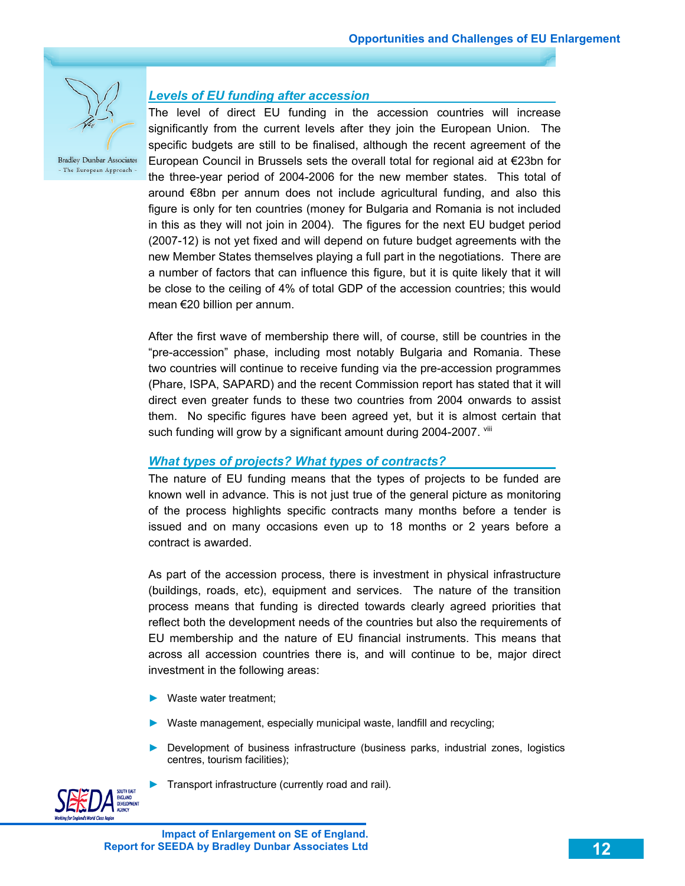

### *Levels of EU funding after accession*

The level of direct EU funding in the accession countries will increase significantly from the current levels after they join the European Union. The specific budgets are still to be finalised, although the recent agreement of the European Council in Brussels sets the overall total for regional aid at €23bn for the three-year period of 2004-2006 for the new member states. This total of around €8bn per annum does not include agricultural funding, and also this figure is only for ten countries (money for Bulgaria and Romania is not included in this as they will not join in 2004). The figures for the next EU budget period (2007-12) is not yet fixed and will depend on future budget agreements with the new Member States themselves playing a full part in the negotiations. There are a number of factors that can influence this figure, but it is quite likely that it will be close to the ceiling of 4% of total GDP of the accession countries; this would mean €20 billion per annum.

After the first wave of membership there will, of course, still be countries in the "pre-accession" phase, including most notably Bulgaria and Romania. These two countries will continue to receive funding via the pre-accession programmes (Phare, ISPA, SAPARD) and the recent Commission report has stated that it will direct even greater funds to these two countries from 2004 onwards to assist them. No specific figures have been agreed yet, but it is almost certain that such funding will grow by a significant amount during 2004-2007. Vill

### *What types of projects? What types of contracts?*

The nature of EU funding means that the types of projects to be funded are known well in advance. This is not just true of the general picture as monitoring of the process highlights specific contracts many months before a tender is issued and on many occasions even up to 18 months or 2 years before a contract is awarded.

As part of the accession process, there is investment in physical infrastructure (buildings, roads, etc), equipment and services. The nature of the transition process means that funding is directed towards clearly agreed priorities that reflect both the development needs of the countries but also the requirements of EU membership and the nature of EU financial instruments. This means that across all accession countries there is, and will continue to be, major direct investment in the following areas:

- ► Waste water treatment;
- Waste management, especially municipal waste, landfill and recycling;
- Development of business infrastructure (business parks, industrial zones, logistics centres, tourism facilities);
- ► Transport infrastructure (currently road and rail).

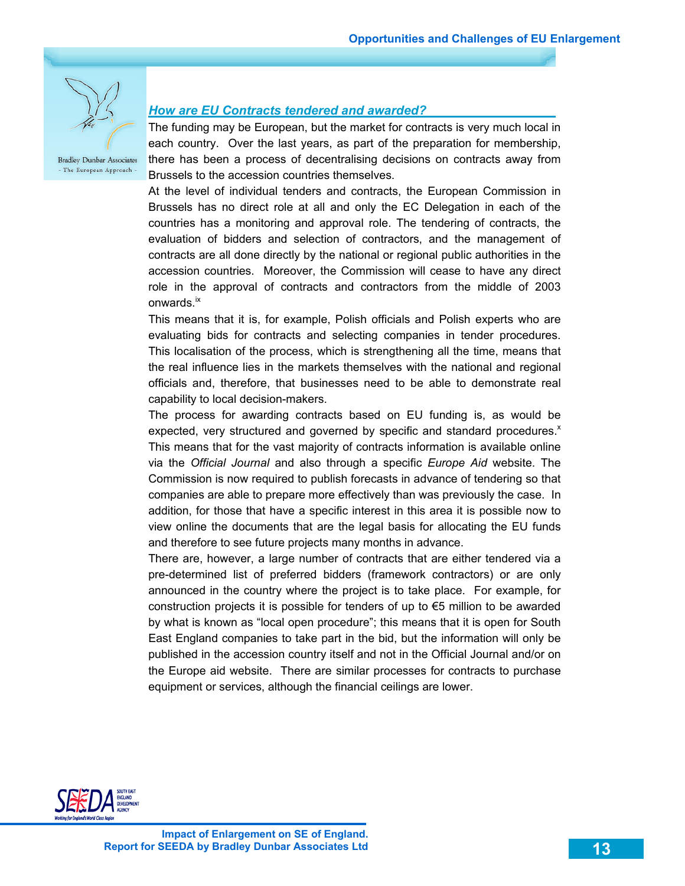

### *How are EU Contracts tendered and awarded?*

The funding may be European, but the market for contracts is very much local in each country. Over the last years, as part of the preparation for membership, there has been a process of decentralising decisions on contracts away from Brussels to the accession countries themselves.

At the level of individual tenders and contracts, the European Commission in Brussels has no direct role at all and only the EC Delegation in each of the countries has a monitoring and approval role. The tendering of contracts, the evaluation of bidders and selection of contractors, and the management of contracts are all done directly by the national or regional public authorities in the accession countries. Moreover, the Commission will cease to have any direct role in the approval of contracts and contractors from the middle of 2003 onwards.<sup>ix</sup>

This means that it is, for example, Polish officials and Polish experts who are evaluating bids for contracts and selecting companies in tender procedures. This localisation of the process, which is strengthening all the time, means that the real influence lies in the markets themselves with the national and regional officials and, therefore, that businesses need to be able to demonstrate real capability to local decision-makers.

The process for awarding contracts based on EU funding is, as would be expected, very structured and governed by specific and standard procedures. $x$ This means that for the vast majority of contracts information is available online via the *Official Journal* and also through a specific *Europe Aid* website. The Commission is now required to publish forecasts in advance of tendering so that companies are able to prepare more effectively than was previously the case. In addition, for those that have a specific interest in this area it is possible now to view online the documents that are the legal basis for allocating the EU funds and therefore to see future projects many months in advance.

There are, however, a large number of contracts that are either tendered via a pre-determined list of preferred bidders (framework contractors) or are only announced in the country where the project is to take place. For example, for construction projects it is possible for tenders of up to €5 million to be awarded by what is known as "local open procedure"; this means that it is open for South East England companies to take part in the bid, but the information will only be published in the accession country itself and not in the Official Journal and/or on the Europe aid website. There are similar processes for contracts to purchase equipment or services, although the financial ceilings are lower.

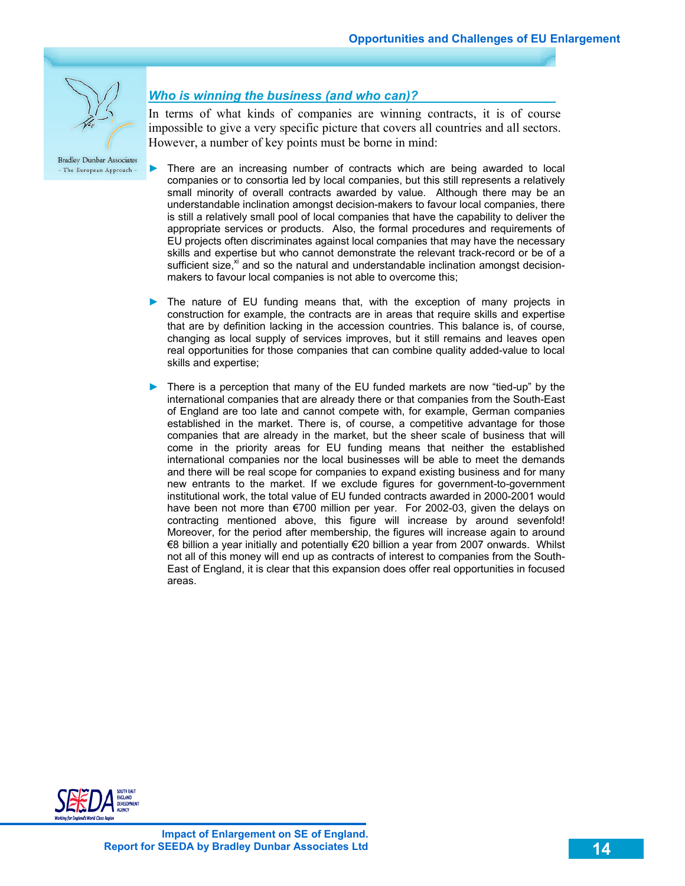

### *Who is winning the business (and who can)?*

In terms of what kinds of companies are winning contracts, it is of course impossible to give a very specific picture that covers all countries and all sectors. However, a number of key points must be borne in mind:

- There are an increasing number of contracts which are being awarded to local companies or to consortia led by local companies, but this still represents a relatively small minority of overall contracts awarded by value. Although there may be an understandable inclination amongst decision-makers to favour local companies, there is still a relatively small pool of local companies that have the capability to deliver the appropriate services or products. Also, the formal procedures and requirements of EU projects often discriminates against local companies that may have the necessary skills and expertise but who cannot demonstrate the relevant track-record or be of a sufficient size, $x_i$  and so the natural and understandable inclination amongst decisionmakers to favour local companies is not able to overcome this;
- ► The nature of EU funding means that, with the exception of many projects in construction for example, the contracts are in areas that require skills and expertise that are by definition lacking in the accession countries. This balance is, of course, changing as local supply of services improves, but it still remains and leaves open real opportunities for those companies that can combine quality added-value to local skills and expertise;
- ► There is a perception that many of the EU funded markets are now "tied-up" by the international companies that are already there or that companies from the South-East of England are too late and cannot compete with, for example, German companies established in the market. There is, of course, a competitive advantage for those companies that are already in the market, but the sheer scale of business that will come in the priority areas for EU funding means that neither the established international companies nor the local businesses will be able to meet the demands and there will be real scope for companies to expand existing business and for many new entrants to the market. If we exclude figures for government-to-government institutional work, the total value of EU funded contracts awarded in 2000-2001 would have been not more than €700 million per year. For 2002-03, given the delays on contracting mentioned above, this figure will increase by around sevenfold! Moreover, for the period after membership, the figures will increase again to around €8 billion a year initially and potentially €20 billion a year from 2007 onwards. Whilst not all of this money will end up as contracts of interest to companies from the South-East of England, it is clear that this expansion does offer real opportunities in focused areas.

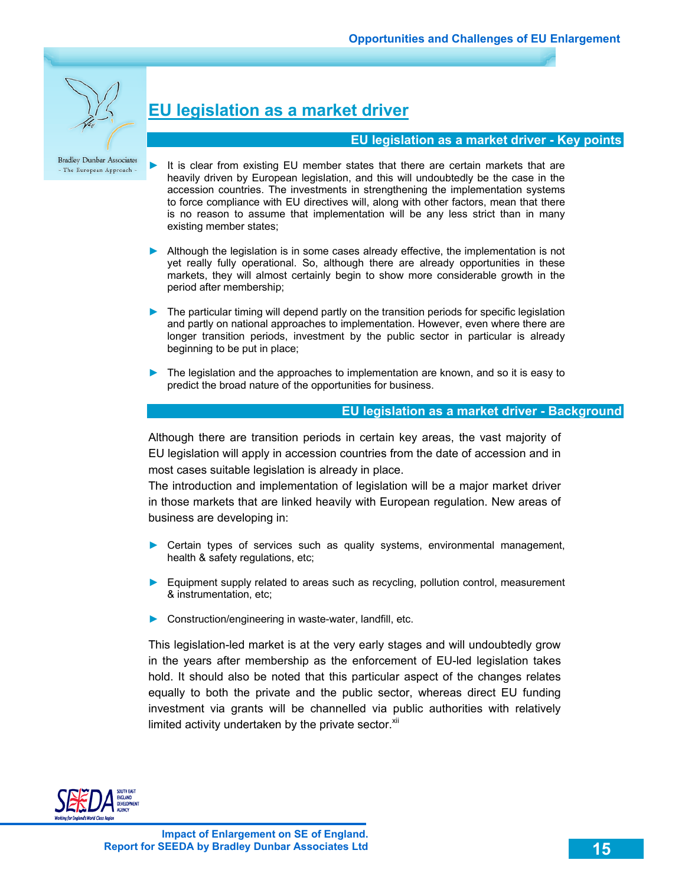

# **EU legislation as a market driver**

### **EU legislation as a market driver - Key points**

- It is clear from existing EU member states that there are certain markets that are heavily driven by European legislation, and this will undoubtedly be the case in the accession countries. The investments in strengthening the implementation systems to force compliance with EU directives will, along with other factors, mean that there is no reason to assume that implementation will be any less strict than in many existing member states;
- ► Although the legislation is in some cases already effective, the implementation is not yet really fully operational. So, although there are already opportunities in these markets, they will almost certainly begin to show more considerable growth in the period after membership;
- ► The particular timing will depend partly on the transition periods for specific legislation and partly on national approaches to implementation. However, even where there are longer transition periods, investment by the public sector in particular is already beginning to be put in place;
- ► The legislation and the approaches to implementation are known, and so it is easy to predict the broad nature of the opportunities for business.

### **EU legislation as a market driver - Background**

Although there are transition periods in certain key areas, the vast majority of EU legislation will apply in accession countries from the date of accession and in most cases suitable legislation is already in place.

The introduction and implementation of legislation will be a major market driver in those markets that are linked heavily with European regulation. New areas of business are developing in:

- ► Certain types of services such as quality systems, environmental management, health & safety regulations, etc;
- ► Equipment supply related to areas such as recycling, pollution control, measurement & instrumentation, etc;
- ► Construction/engineering in waste-water, landfill, etc.

This legislation-led market is at the very early stages and will undoubtedly grow in the years after membership as the enforcement of EU-led legislation takes hold. It should also be noted that this particular aspect of the changes relates equally to both the private and the public sector, whereas direct EU funding investment via grants will be channelled via public authorities with relatively limited activity undertaken by the private sector. $x_{\text{in}}$ 

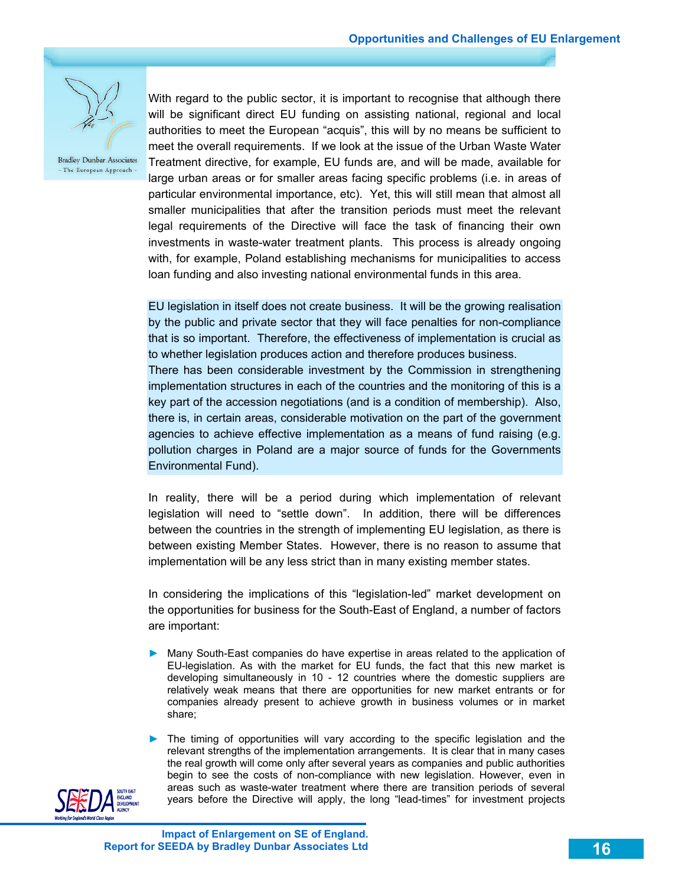

With regard to the public sector, it is important to recognise that although there will be significant direct EU funding on assisting national, regional and local authorities to meet the European "acquis", this will by no means be sufficient to meet the overall requirements. If we look at the issue of the Urban Waste Water Treatment directive, for example, EU funds are, and will be made, available for large urban areas or for smaller areas facing specific problems (i.e. in areas of particular environmental importance, etc). Yet, this will still mean that almost all smaller municipalities that after the transition periods must meet the relevant legal requirements of the Directive will face the task of financing their own investments in waste-water treatment plants. This process is already ongoing with, for example, Poland establishing mechanisms for municipalities to access loan funding and also investing national environmental funds in this area.

EU legislation in itself does not create business. It will be the growing realisation by the public and private sector that they will face penalties for non-compliance that is so important. Therefore, the effectiveness of implementation is crucial as to whether legislation produces action and therefore produces business. There has been considerable investment by the Commission in strengthening implementation structures in each of the countries and the monitoring of this is a key part of the accession negotiations (and is a condition of membership). Also, there is, in certain areas, considerable motivation on the part of the government agencies to achieve effective implementation as a means of fund raising (e.g. pollution charges in Poland are a major source of funds for the Governments Environmental Fund).

In reality, there will be a period during which implementation of relevant legislation will need to "settle down". In addition, there will be differences between the countries in the strength of implementing EU legislation, as there is between existing Member States. However, there is no reason to assume that implementation will be any less strict than in many existing member states.

In considering the implications of this "legislation-led" market development on the opportunities for business for the South-East of England, a number of factors are important:

► Many South-East companies do have expertise in areas related to the application of EU-legislation. As with the market for EU funds, the fact that this new market is developing simultaneously in 10 - 12 countries where the domestic suppliers are relatively weak means that there are opportunities for new market entrants or for companies already present to achieve growth in business volumes or in market share;

► The timing of opportunities will vary according to the specific legislation and the relevant strengths of the implementation arrangements. It is clear that in many cases the real growth will come only after several years as companies and public authorities begin to see the costs of non-compliance with new legislation. However, even in areas such as waste-water treatment where there are transition periods of several years before the Directive will apply, the long "lead-times" for investment projects

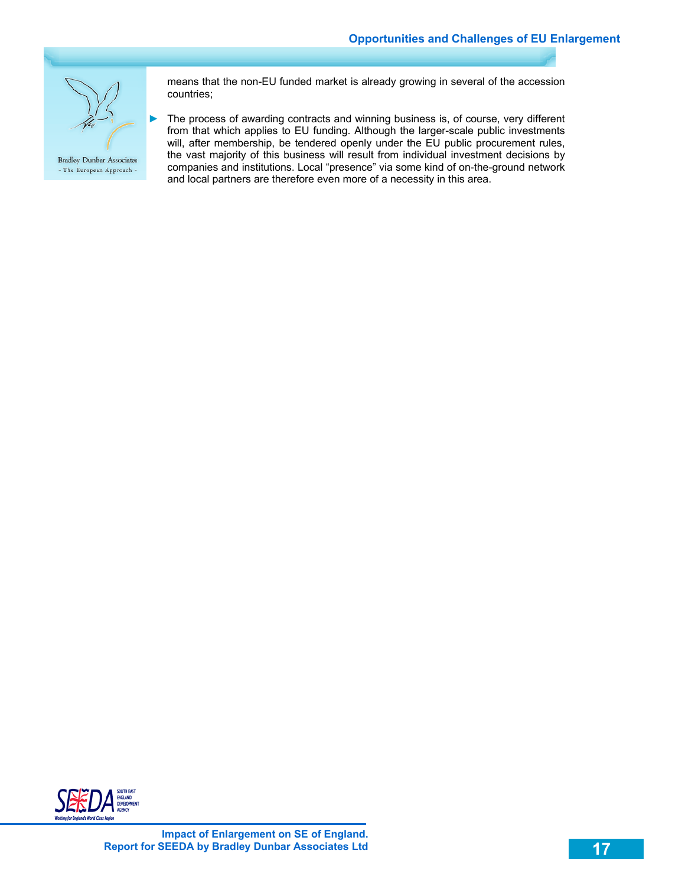

means that the non-EU funded market is already growing in several of the accession countries;

► The process of awarding contracts and winning business is, of course, very different from that which applies to EU funding. Although the larger-scale public investments will, after membership, be tendered openly under the EU public procurement rules, the vast majority of this business will result from individual investment decisions by companies and institutions. Local "presence" via some kind of on-the-ground network and local partners are therefore even more of a necessity in this area.

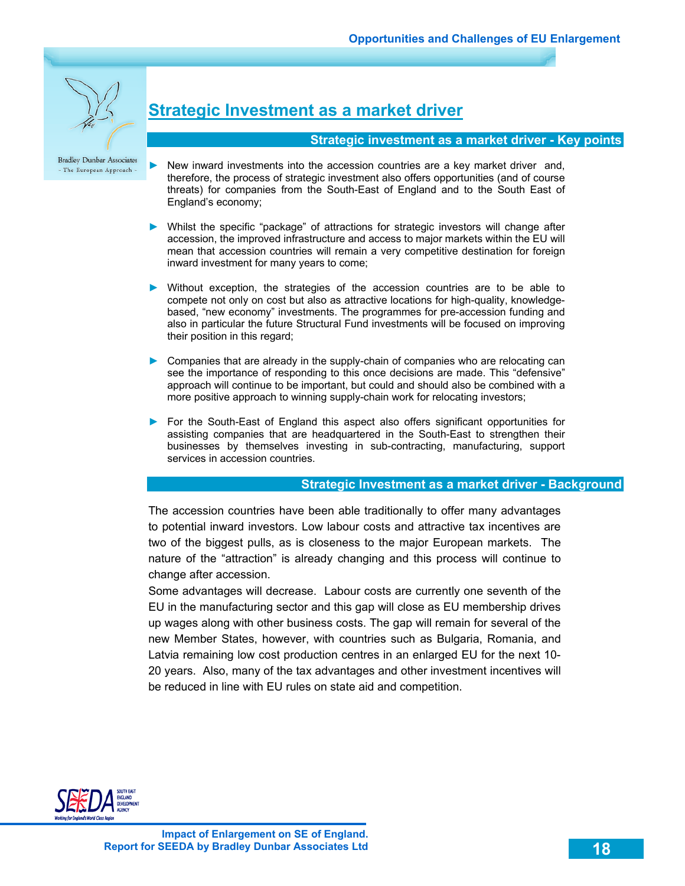

# **Strategic Investment as a market driver**

#### **Strategic investment as a market driver - Key points**

- New inward investments into the accession countries are a key market driver and, therefore, the process of strategic investment also offers opportunities (and of course threats) for companies from the South-East of England and to the South East of England's economy;
- ► Whilst the specific "package" of attractions for strategic investors will change after accession, the improved infrastructure and access to major markets within the EU will mean that accession countries will remain a very competitive destination for foreign inward investment for many years to come;
- ► Without exception, the strategies of the accession countries are to be able to compete not only on cost but also as attractive locations for high-quality, knowledgebased, "new economy" investments. The programmes for pre-accession funding and also in particular the future Structural Fund investments will be focused on improving their position in this regard;
- ► Companies that are already in the supply-chain of companies who are relocating can see the importance of responding to this once decisions are made. This "defensive" approach will continue to be important, but could and should also be combined with a more positive approach to winning supply-chain work for relocating investors;
- ► For the South-East of England this aspect also offers significant opportunities for assisting companies that are headquartered in the South-East to strengthen their businesses by themselves investing in sub-contracting, manufacturing, support services in accession countries.

#### **Strategic Investment as a market driver - Background**

The accession countries have been able traditionally to offer many advantages to potential inward investors. Low labour costs and attractive tax incentives are two of the biggest pulls, as is closeness to the major European markets. The nature of the "attraction" is already changing and this process will continue to change after accession.

Some advantages will decrease. Labour costs are currently one seventh of the EU in the manufacturing sector and this gap will close as EU membership drives up wages along with other business costs. The gap will remain for several of the new Member States, however, with countries such as Bulgaria, Romania, and Latvia remaining low cost production centres in an enlarged EU for the next 10- 20 years. Also, many of the tax advantages and other investment incentives will be reduced in line with EU rules on state aid and competition.

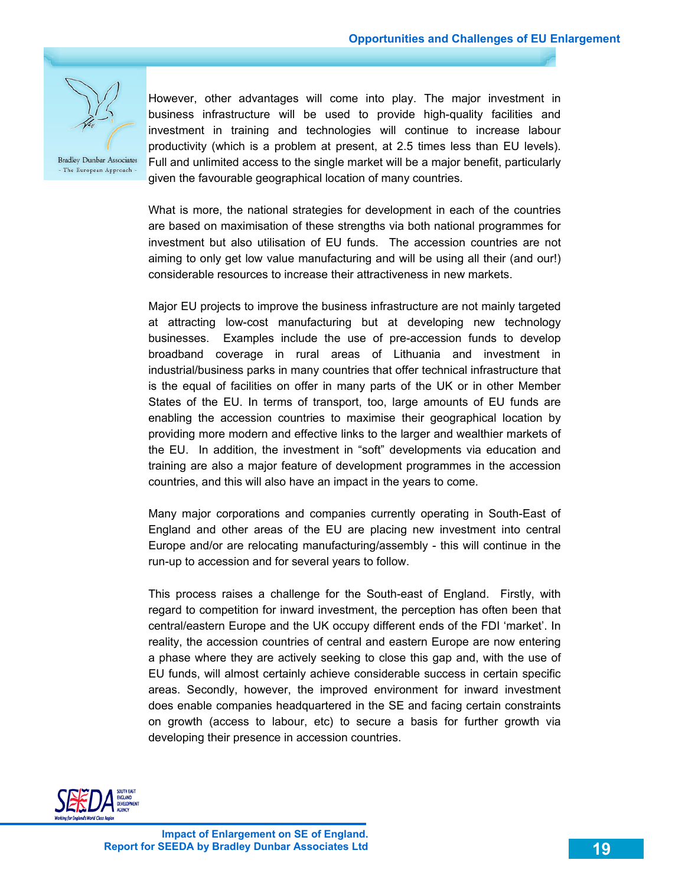

However, other advantages will come into play. The major investment in business infrastructure will be used to provide high-quality facilities and investment in training and technologies will continue to increase labour productivity (which is a problem at present, at 2.5 times less than EU levels). Full and unlimited access to the single market will be a major benefit, particularly given the favourable geographical location of many countries.

What is more, the national strategies for development in each of the countries are based on maximisation of these strengths via both national programmes for investment but also utilisation of EU funds. The accession countries are not aiming to only get low value manufacturing and will be using all their (and our!) considerable resources to increase their attractiveness in new markets.

Major EU projects to improve the business infrastructure are not mainly targeted at attracting low-cost manufacturing but at developing new technology businesses. Examples include the use of pre-accession funds to develop broadband coverage in rural areas of Lithuania and investment in industrial/business parks in many countries that offer technical infrastructure that is the equal of facilities on offer in many parts of the UK or in other Member States of the EU. In terms of transport, too, large amounts of EU funds are enabling the accession countries to maximise their geographical location by providing more modern and effective links to the larger and wealthier markets of the EU. In addition, the investment in "soft" developments via education and training are also a major feature of development programmes in the accession countries, and this will also have an impact in the years to come.

Many major corporations and companies currently operating in South-East of England and other areas of the EU are placing new investment into central Europe and/or are relocating manufacturing/assembly - this will continue in the run-up to accession and for several years to follow.

This process raises a challenge for the South-east of England. Firstly, with regard to competition for inward investment, the perception has often been that central/eastern Europe and the UK occupy different ends of the FDI 'market'. In reality, the accession countries of central and eastern Europe are now entering a phase where they are actively seeking to close this gap and, with the use of EU funds, will almost certainly achieve considerable success in certain specific areas. Secondly, however, the improved environment for inward investment does enable companies headquartered in the SE and facing certain constraints on growth (access to labour, etc) to secure a basis for further growth via developing their presence in accession countries.

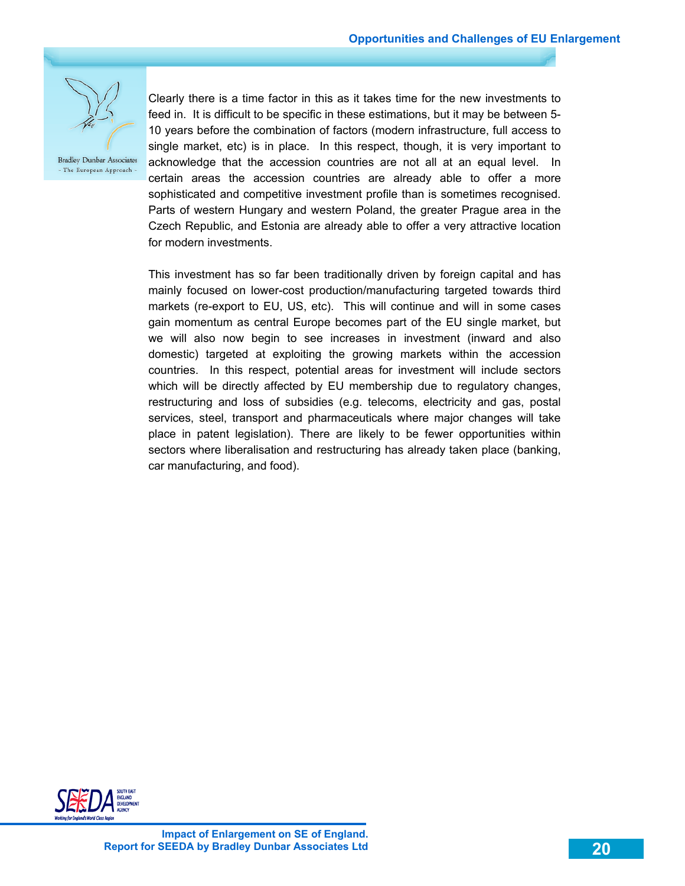

Clearly there is a time factor in this as it takes time for the new investments to feed in. It is difficult to be specific in these estimations, but it may be between 5- 10 years before the combination of factors (modern infrastructure, full access to single market, etc) is in place. In this respect, though, it is very important to acknowledge that the accession countries are not all at an equal level. In certain areas the accession countries are already able to offer a more sophisticated and competitive investment profile than is sometimes recognised. Parts of western Hungary and western Poland, the greater Prague area in the Czech Republic, and Estonia are already able to offer a very attractive location for modern investments.

This investment has so far been traditionally driven by foreign capital and has mainly focused on lower-cost production/manufacturing targeted towards third markets (re-export to EU, US, etc). This will continue and will in some cases gain momentum as central Europe becomes part of the EU single market, but we will also now begin to see increases in investment (inward and also domestic) targeted at exploiting the growing markets within the accession countries. In this respect, potential areas for investment will include sectors which will be directly affected by EU membership due to regulatory changes, restructuring and loss of subsidies (e.g. telecoms, electricity and gas, postal services, steel, transport and pharmaceuticals where major changes will take place in patent legislation). There are likely to be fewer opportunities within sectors where liberalisation and restructuring has already taken place (banking, car manufacturing, and food).

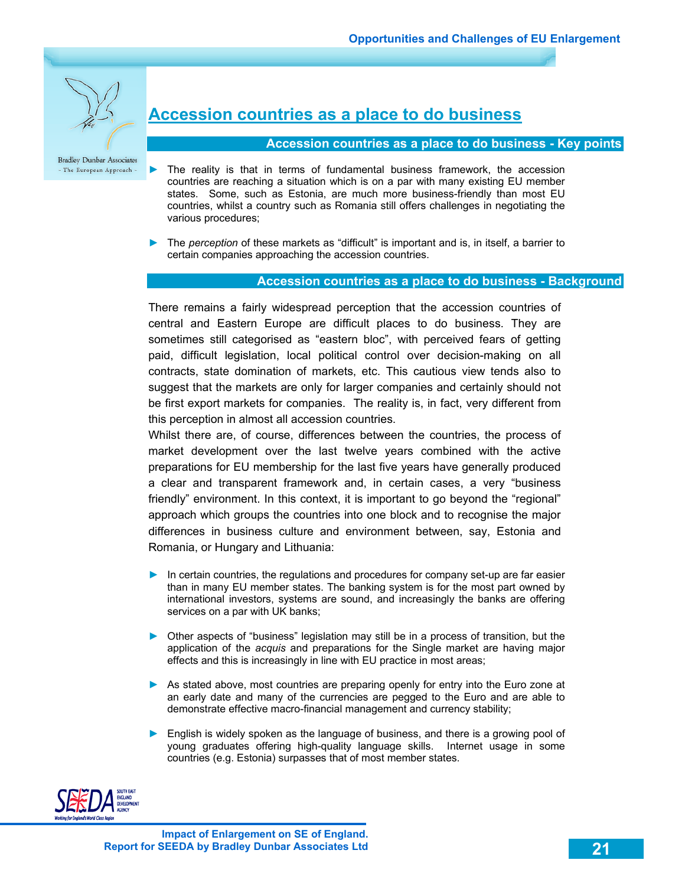

# **Accession countries as a place to do business**

#### **Accession countries as a place to do business - Key points**

- ► The reality is that in terms of fundamental business framework, the accession countries are reaching a situation which is on a par with many existing EU member states. Some, such as Estonia, are much more business-friendly than most EU countries, whilst a country such as Romania still offers challenges in negotiating the various procedures;
- ► The *perception* of these markets as "difficult" is important and is, in itself, a barrier to certain companies approaching the accession countries.

#### **Accession countries as a place to do business - Background**

There remains a fairly widespread perception that the accession countries of central and Eastern Europe are difficult places to do business. They are sometimes still categorised as "eastern bloc", with perceived fears of getting paid, difficult legislation, local political control over decision-making on all contracts, state domination of markets, etc. This cautious view tends also to suggest that the markets are only for larger companies and certainly should not be first export markets for companies. The reality is, in fact, very different from this perception in almost all accession countries.

Whilst there are, of course, differences between the countries, the process of market development over the last twelve years combined with the active preparations for EU membership for the last five years have generally produced a clear and transparent framework and, in certain cases, a very "business friendly" environment. In this context, it is important to go beyond the "regional" approach which groups the countries into one block and to recognise the major differences in business culture and environment between, say, Estonia and Romania, or Hungary and Lithuania:

- ► In certain countries, the regulations and procedures for company set-up are far easier than in many EU member states. The banking system is for the most part owned by international investors, systems are sound, and increasingly the banks are offering services on a par with UK banks;
- ► Other aspects of "business" legislation may still be in a process of transition, but the application of the *acquis* and preparations for the Single market are having major effects and this is increasingly in line with EU practice in most areas;
- ► As stated above, most countries are preparing openly for entry into the Euro zone at an early date and many of the currencies are pegged to the Euro and are able to demonstrate effective macro-financial management and currency stability;
- ► English is widely spoken as the language of business, and there is a growing pool of young graduates offering high-quality language skills. Internet usage in some countries (e.g. Estonia) surpasses that of most member states.

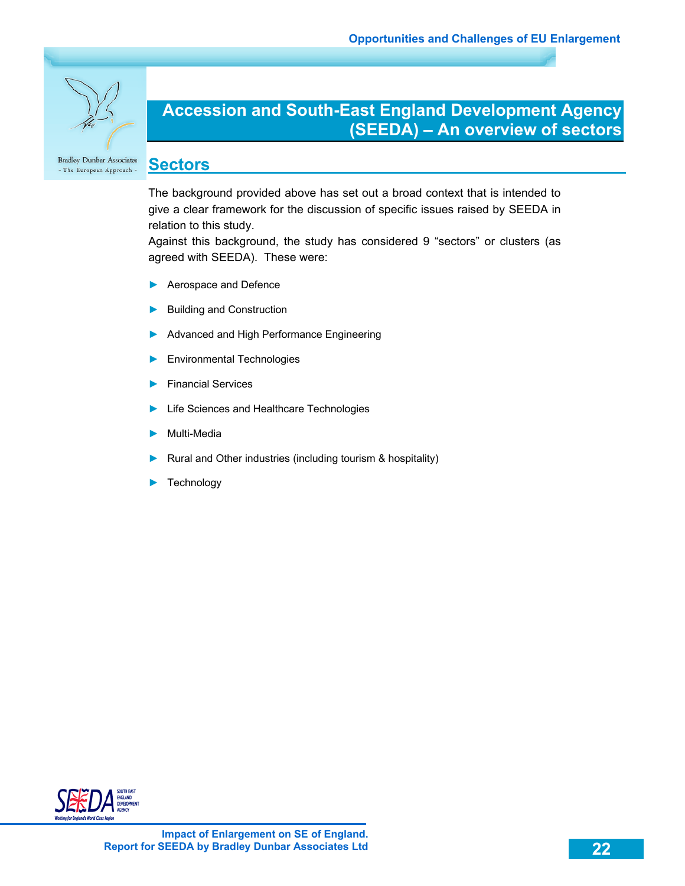

# **Accession and South-East England Development Agency (SEEDA) – An overview of sectors**

#### **Sectors**  - The European Approach -

The background provided above has set out a broad context that is intended to give a clear framework for the discussion of specific issues raised by SEEDA in relation to this study.

Against this background, the study has considered 9 "sectors" or clusters (as agreed with SEEDA). These were:

- Aerospace and Defence
- ► Building and Construction
- Advanced and High Performance Engineering
- ► Environmental Technologies
- ► Financial Services
- Life Sciences and Healthcare Technologies
- ► Multi-Media
- Rural and Other industries (including tourism & hospitality)
- Technology

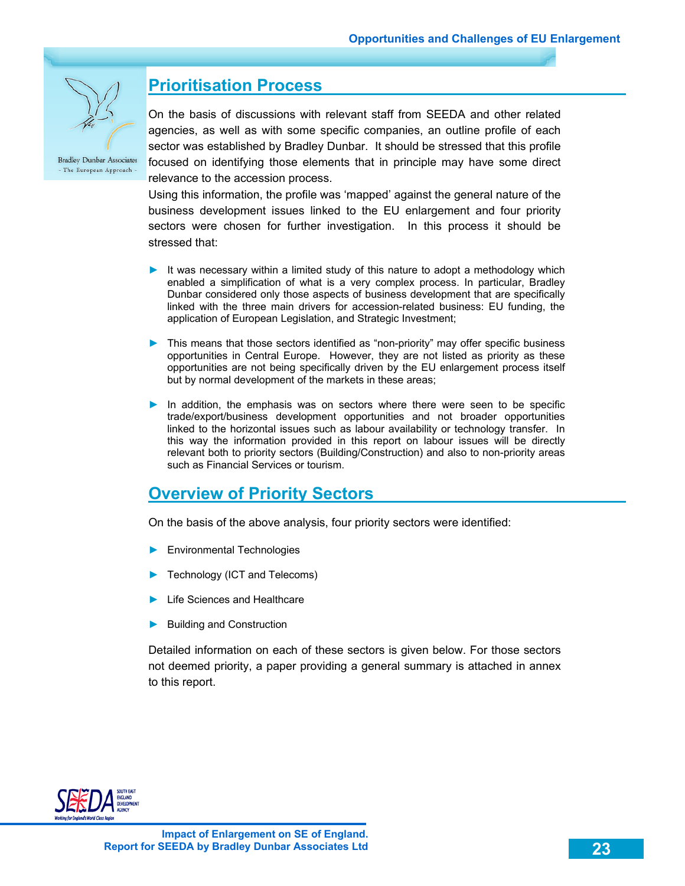

# **Prioritisation Process**

On the basis of discussions with relevant staff from SEEDA and other related agencies, as well as with some specific companies, an outline profile of each sector was established by Bradley Dunbar. It should be stressed that this profile focused on identifying those elements that in principle may have some direct relevance to the accession process.

Using this information, the profile was 'mapped' against the general nature of the business development issues linked to the EU enlargement and four priority sectors were chosen for further investigation. In this process it should be stressed that:

- ► It was necessary within a limited study of this nature to adopt a methodology which enabled a simplification of what is a very complex process. In particular, Bradley Dunbar considered only those aspects of business development that are specifically linked with the three main drivers for accession-related business: EU funding, the application of European Legislation, and Strategic Investment;
- ► This means that those sectors identified as "non-priority" may offer specific business opportunities in Central Europe. However, they are not listed as priority as these opportunities are not being specifically driven by the EU enlargement process itself but by normal development of the markets in these areas;
- ► In addition, the emphasis was on sectors where there were seen to be specific trade/export/business development opportunities and not broader opportunities linked to the horizontal issues such as labour availability or technology transfer. In this way the information provided in this report on labour issues will be directly relevant both to priority sectors (Building/Construction) and also to non-priority areas such as Financial Services or tourism.

### **Overview of Priority Sectors**

On the basis of the above analysis, four priority sectors were identified:

- ► Environmental Technologies
- Technology (ICT and Telecoms)
- ► Life Sciences and Healthcare
- ► Building and Construction

Detailed information on each of these sectors is given below. For those sectors not deemed priority, a paper providing a general summary is attached in annex to this report.

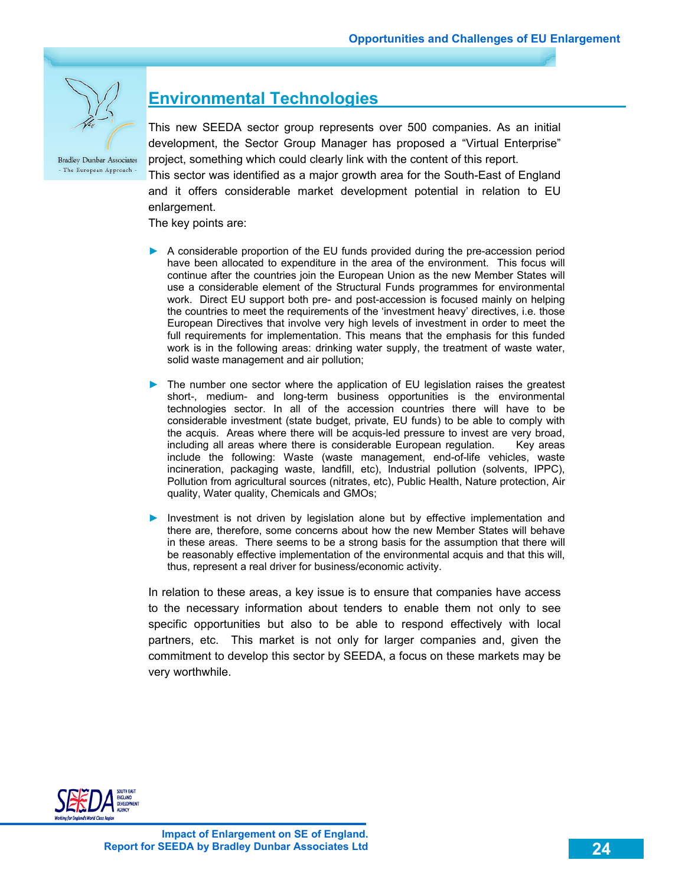

# **Environmental Technologies**

This new SEEDA sector group represents over 500 companies. As an initial development, the Sector Group Manager has proposed a "Virtual Enterprise" project, something which could clearly link with the content of this report.

This sector was identified as a major growth area for the South-East of England and it offers considerable market development potential in relation to EU enlargement.

The key points are:

- ► A considerable proportion of the EU funds provided during the pre-accession period have been allocated to expenditure in the area of the environment. This focus will continue after the countries join the European Union as the new Member States will use a considerable element of the Structural Funds programmes for environmental work. Direct EU support both pre- and post-accession is focused mainly on helping the countries to meet the requirements of the 'investment heavy' directives, i.e. those European Directives that involve very high levels of investment in order to meet the full requirements for implementation. This means that the emphasis for this funded work is in the following areas: drinking water supply, the treatment of waste water, solid waste management and air pollution;
- ► The number one sector where the application of EU legislation raises the greatest short-, medium- and long-term business opportunities is the environmental technologies sector. In all of the accession countries there will have to be considerable investment (state budget, private, EU funds) to be able to comply with the acquis. Areas where there will be acquis-led pressure to invest are very broad, including all areas where there is considerable European regulation. Key areas include the following: Waste (waste management, end-of-life vehicles, waste incineration, packaging waste, landfill, etc), Industrial pollution (solvents, IPPC), Pollution from agricultural sources (nitrates, etc), Public Health, Nature protection, Air quality, Water quality, Chemicals and GMOs;
- ► Investment is not driven by legislation alone but by effective implementation and there are, therefore, some concerns about how the new Member States will behave in these areas. There seems to be a strong basis for the assumption that there will be reasonably effective implementation of the environmental acquis and that this will, thus, represent a real driver for business/economic activity.

In relation to these areas, a key issue is to ensure that companies have access to the necessary information about tenders to enable them not only to see specific opportunities but also to be able to respond effectively with local partners, etc. This market is not only for larger companies and, given the commitment to develop this sector by SEEDA, a focus on these markets may be very worthwhile.

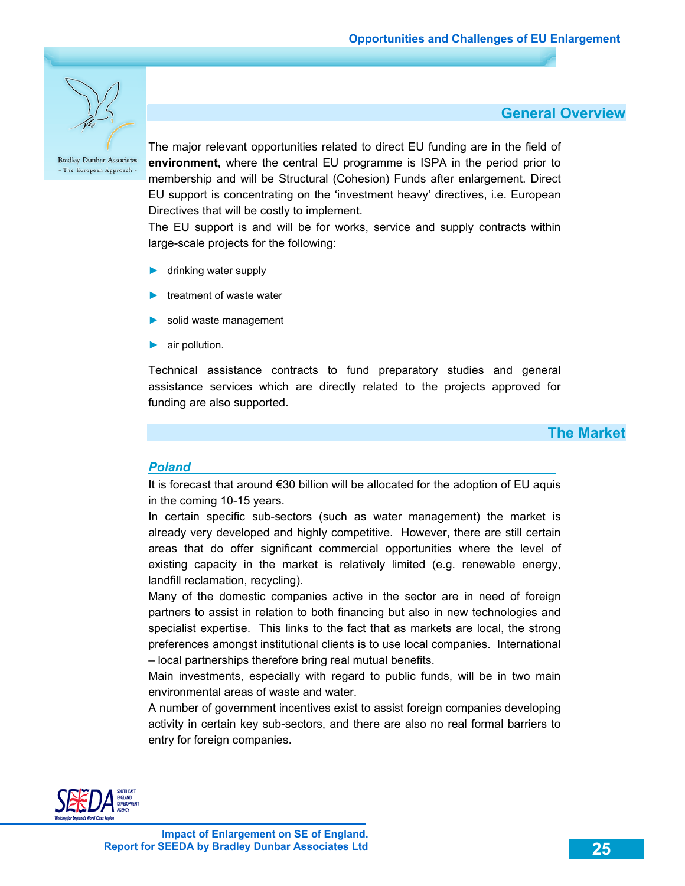

The major relevant opportunities related to direct EU funding are in the field of **environment,** where the central EU programme is ISPA in the period prior to membership and will be Structural (Cohesion) Funds after enlargement. Direct EU support is concentrating on the 'investment heavy' directives, i.e. European Directives that will be costly to implement.

The EU support is and will be for works, service and supply contracts within large-scale projects for the following:

- ► drinking water supply
- ► treatment of waste water
- solid waste management
- air pollution.

Technical assistance contracts to fund preparatory studies and general assistance services which are directly related to the projects approved for funding are also supported.

### **The Market**

 **General Overview** 

### *Poland*

It is forecast that around €30 billion will be allocated for the adoption of EU aquis in the coming 10-15 years.

In certain specific sub-sectors (such as water management) the market is already very developed and highly competitive. However, there are still certain areas that do offer significant commercial opportunities where the level of existing capacity in the market is relatively limited (e.g. renewable energy, landfill reclamation, recycling).

Many of the domestic companies active in the sector are in need of foreign partners to assist in relation to both financing but also in new technologies and specialist expertise. This links to the fact that as markets are local, the strong preferences amongst institutional clients is to use local companies. International – local partnerships therefore bring real mutual benefits.

Main investments, especially with regard to public funds, will be in two main environmental areas of waste and water.

A number of government incentives exist to assist foreign companies developing activity in certain key sub-sectors, and there are also no real formal barriers to entry for foreign companies.

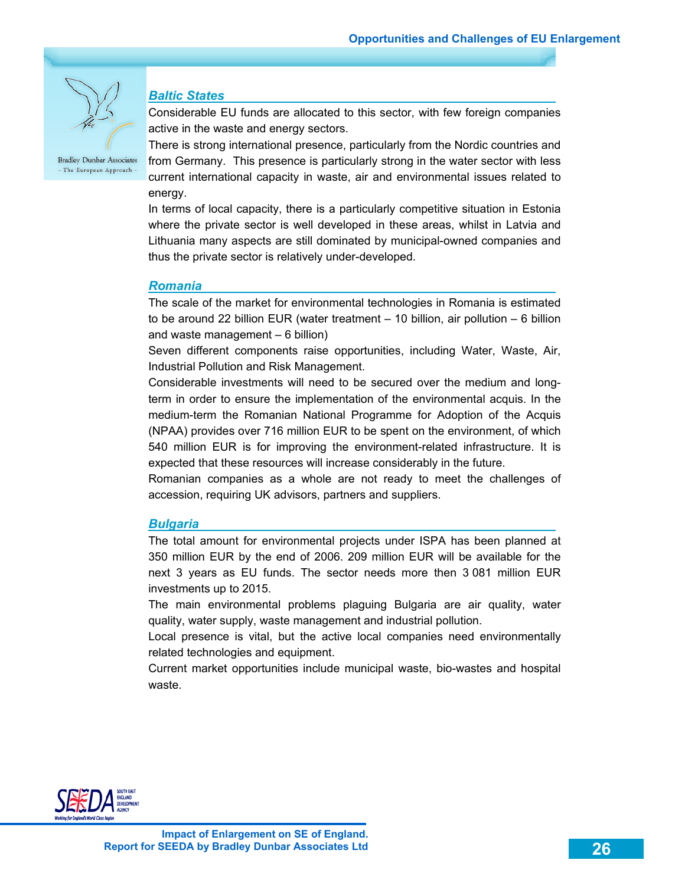

### *Baltic States*

Considerable EU funds are allocated to this sector, with few foreign companies active in the waste and energy sectors.

There is strong international presence, particularly from the Nordic countries and from Germany. This presence is particularly strong in the water sector with less current international capacity in waste, air and environmental issues related to energy.

In terms of local capacity, there is a particularly competitive situation in Estonia where the private sector is well developed in these areas, whilst in Latvia and Lithuania many aspects are still dominated by municipal-owned companies and thus the private sector is relatively under-developed.

### *Romania*

The scale of the market for environmental technologies in Romania is estimated to be around 22 billion EUR (water treatment – 10 billion, air pollution – 6 billion and waste management – 6 billion)

Seven different components raise opportunities, including Water, Waste, Air, Industrial Pollution and Risk Management.

Considerable investments will need to be secured over the medium and longterm in order to ensure the implementation of the environmental acquis. In the medium-term the Romanian National Programme for Adoption of the Acquis (NPAA) provides over 716 million EUR to be spent on the environment, of which 540 million EUR is for improving the environment-related infrastructure. It is expected that these resources will increase considerably in the future.

Romanian companies as a whole are not ready to meet the challenges of accession, requiring UK advisors, partners and suppliers.

#### *Bulgaria*

The total amount for environmental projects under ISPA has been planned at 350 million EUR by the end of 2006. 209 million EUR will be available for the next 3 years as EU funds. The sector needs more then 3 081 million EUR investments up to 2015.

The main environmental problems plaguing Bulgaria are air quality, water quality, water supply, waste management and industrial pollution.

Local presence is vital, but the active local companies need environmentally related technologies and equipment.

Current market opportunities include municipal waste, bio-wastes and hospital waste.

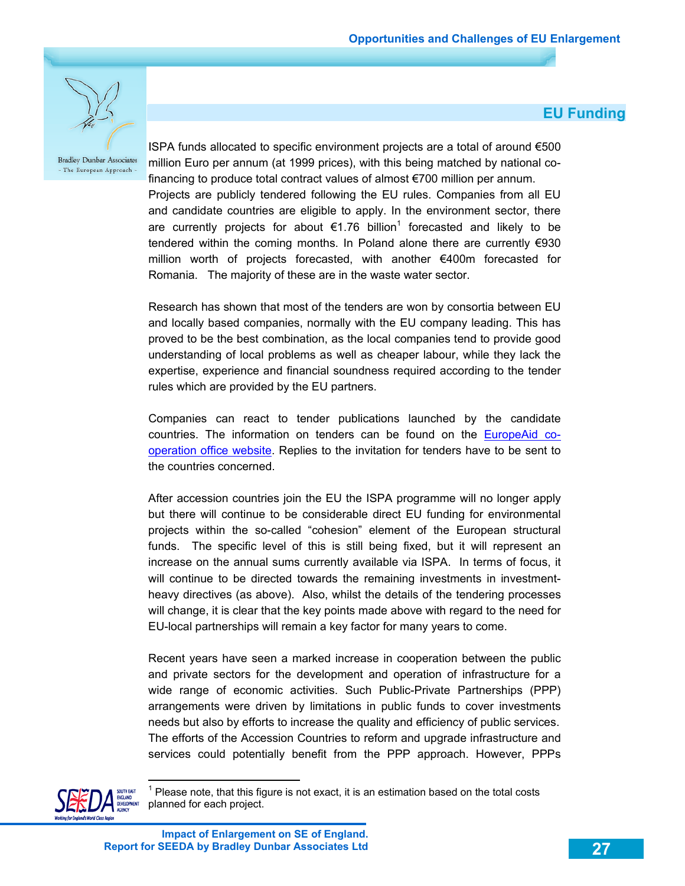**EU Funding** 



**Bradley Dunbar Associates** - The European Approach -

ISPA funds allocated to specific environment projects are a total of around €500 million Euro per annum (at 1999 prices), with this being matched by national cofinancing to produce total contract values of almost €700 million per annum. Projects are publicly tendered following the EU rules. Companies from all EU and candidate countries are eligible to apply. In the environment sector, there are currently projects for about  $\epsilon$ 1.76 billion<sup>1</sup> forecasted and likely to be tendered within the coming months. In Poland alone there are currently €930 million worth of projects forecasted, with another €400m forecasted for Romania. The majority of these are in the waste water sector.

Research has shown that most of the tenders are won by consortia between EU and locally based companies, normally with the EU company leading. This has proved to be the best combination, as the local companies tend to provide good understanding of local problems as well as cheaper labour, while they lack the expertise, experience and financial soundness required according to the tender rules which are provided by the EU partners.

Companies can react to tender publications launched by the candidate countries. The information on tenders can be found on the EuropeAid cooperation office website. Replies to the invitation for tenders have to be sent to the countries concerned.

After accession countries join the EU the ISPA programme will no longer apply but there will continue to be considerable direct EU funding for environmental projects within the so-called "cohesion" element of the European structural funds. The specific level of this is still being fixed, but it will represent an increase on the annual sums currently available via ISPA. In terms of focus, it will continue to be directed towards the remaining investments in investmentheavy directives (as above). Also, whilst the details of the tendering processes will change, it is clear that the key points made above with regard to the need for EU-local partnerships will remain a key factor for many years to come.

Recent years have seen a marked increase in cooperation between the public and private sectors for the development and operation of infrastructure for a wide range of economic activities. Such Public-Private Partnerships (PPP) arrangements were driven by limitations in public funds to cover investments needs but also by efforts to increase the quality and efficiency of public services. The efforts of the Accession Countries to reform and upgrade infrastructure and services could potentially benefit from the PPP approach. However, PPPs



 $\overline{a}$ 

<sup>1</sup> Please note, that this figure is not exact, it is an estimation based on the total costs planned for each project.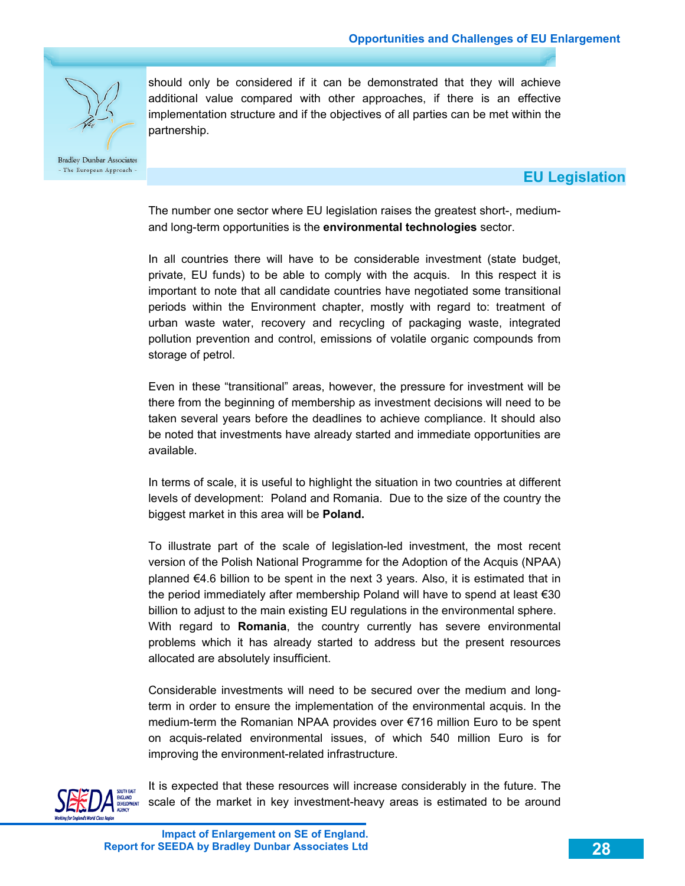

partnership.

### **EU Legislation**

The number one sector where EU legislation raises the greatest short-, mediumand long-term opportunities is the **environmental technologies** sector.

should only be considered if it can be demonstrated that they will achieve additional value compared with other approaches, if there is an effective implementation structure and if the objectives of all parties can be met within the

In all countries there will have to be considerable investment (state budget, private, EU funds) to be able to comply with the acquis. In this respect it is important to note that all candidate countries have negotiated some transitional periods within the Environment chapter, mostly with regard to: treatment of urban waste water, recovery and recycling of packaging waste, integrated pollution prevention and control, emissions of volatile organic compounds from storage of petrol.

Even in these "transitional" areas, however, the pressure for investment will be there from the beginning of membership as investment decisions will need to be taken several years before the deadlines to achieve compliance. It should also be noted that investments have already started and immediate opportunities are available.

In terms of scale, it is useful to highlight the situation in two countries at different levels of development: Poland and Romania. Due to the size of the country the biggest market in this area will be **Poland.**

To illustrate part of the scale of legislation-led investment, the most recent version of the Polish National Programme for the Adoption of the Acquis (NPAA) planned €4.6 billion to be spent in the next 3 years. Also, it is estimated that in the period immediately after membership Poland will have to spend at least €30 billion to adjust to the main existing EU regulations in the environmental sphere. With regard to **Romania**, the country currently has severe environmental problems which it has already started to address but the present resources allocated are absolutely insufficient.

Considerable investments will need to be secured over the medium and longterm in order to ensure the implementation of the environmental acquis. In the medium-term the Romanian NPAA provides over €716 million Euro to be spent on acquis-related environmental issues, of which 540 million Euro is for improving the environment-related infrastructure.



It is expected that these resources will increase considerably in the future. The scale of the market in key investment-heavy areas is estimated to be around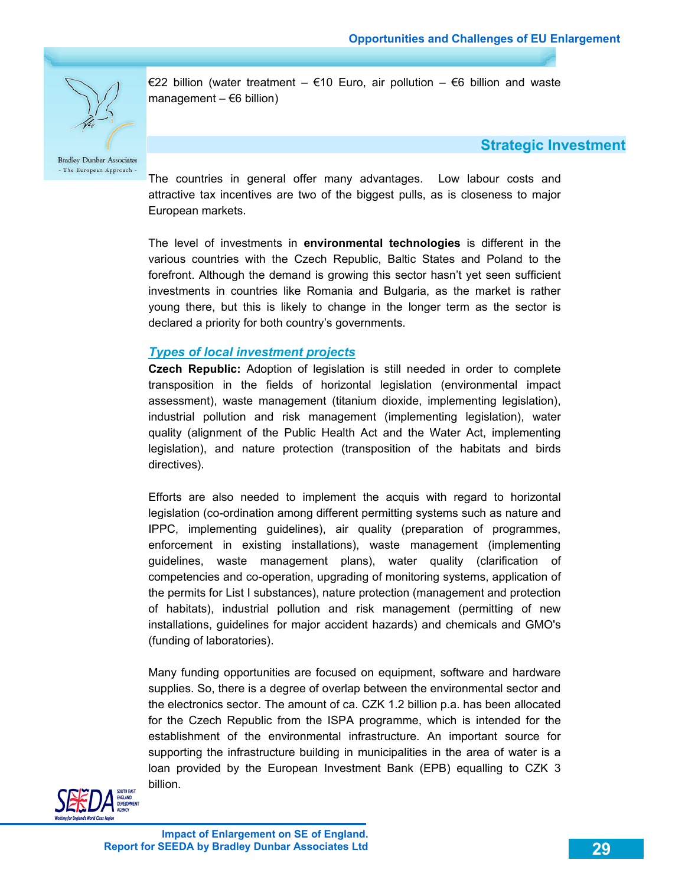

€22 billion (water treatment – €10 Euro, air pollution – €6 billion and waste management  $-$  €6 billion)

 **Strategic Investment** 

The countries in general offer many advantages. Low labour costs and attractive tax incentives are two of the biggest pulls, as is closeness to major European markets.

The level of investments in **environmental technologies** is different in the various countries with the Czech Republic, Baltic States and Poland to the forefront. Although the demand is growing this sector hasn't yet seen sufficient investments in countries like Romania and Bulgaria, as the market is rather young there, but this is likely to change in the longer term as the sector is declared a priority for both country's governments.

### *Types of local investment projects*

**Czech Republic:** Adoption of legislation is still needed in order to complete transposition in the fields of horizontal legislation (environmental impact assessment), waste management (titanium dioxide, implementing legislation), industrial pollution and risk management (implementing legislation), water quality (alignment of the Public Health Act and the Water Act, implementing legislation), and nature protection (transposition of the habitats and birds directives).

Efforts are also needed to implement the acquis with regard to horizontal legislation (co-ordination among different permitting systems such as nature and IPPC, implementing guidelines), air quality (preparation of programmes, enforcement in existing installations), waste management (implementing guidelines, waste management plans), water quality (clarification of competencies and co-operation, upgrading of monitoring systems, application of the permits for List I substances), nature protection (management and protection of habitats), industrial pollution and risk management (permitting of new installations, guidelines for major accident hazards) and chemicals and GMO's (funding of laboratories).

Many funding opportunities are focused on equipment, software and hardware supplies. So, there is a degree of overlap between the environmental sector and the electronics sector. The amount of ca. CZK 1.2 billion p.a. has been allocated for the Czech Republic from the ISPA programme, which is intended for the establishment of the environmental infrastructure. An important source for supporting the infrastructure building in municipalities in the area of water is a loan provided by the European Investment Bank (EPB) equalling to CZK 3 billion.

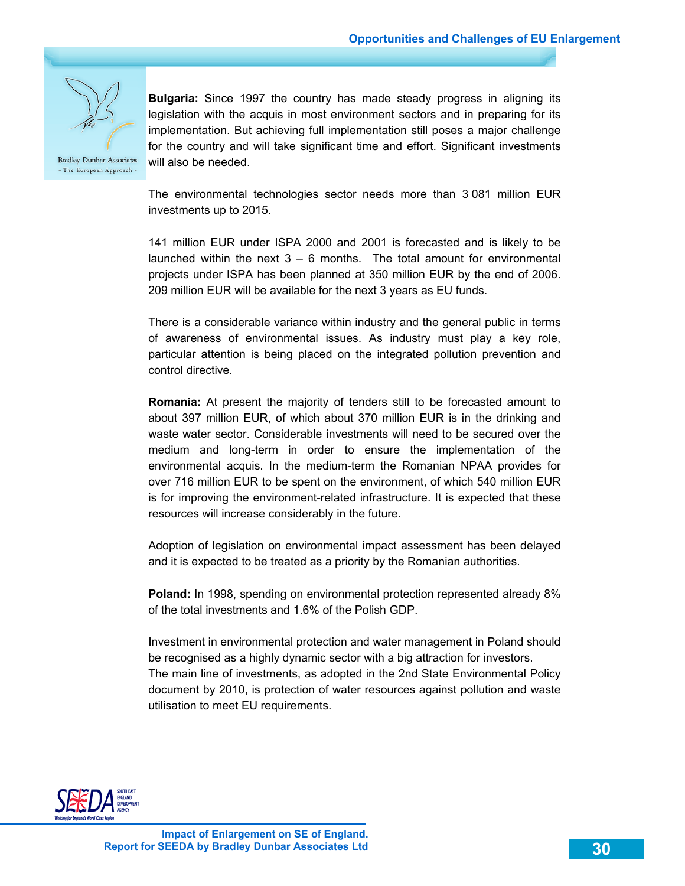

**Bulgaria:** Since 1997 the country has made steady progress in aligning its legislation with the acquis in most environment sectors and in preparing for its implementation. But achieving full implementation still poses a major challenge for the country and will take significant time and effort. Significant investments will also be needed.

**Bradley Dunbar Associates** - The European Approach -

> The environmental technologies sector needs more than 3 081 million EUR investments up to 2015.

> 141 million EUR under ISPA 2000 and 2001 is forecasted and is likely to be launched within the next  $3 - 6$  months. The total amount for environmental projects under ISPA has been planned at 350 million EUR by the end of 2006. 209 million EUR will be available for the next 3 years as EU funds.

> There is a considerable variance within industry and the general public in terms of awareness of environmental issues. As industry must play a key role, particular attention is being placed on the integrated pollution prevention and control directive.

> **Romania:** At present the majority of tenders still to be forecasted amount to about 397 million EUR, of which about 370 million EUR is in the drinking and waste water sector. Considerable investments will need to be secured over the medium and long-term in order to ensure the implementation of the environmental acquis. In the medium-term the Romanian NPAA provides for over 716 million EUR to be spent on the environment, of which 540 million EUR is for improving the environment-related infrastructure. It is expected that these resources will increase considerably in the future.

> Adoption of legislation on environmental impact assessment has been delayed and it is expected to be treated as a priority by the Romanian authorities.

> **Poland:** In 1998, spending on environmental protection represented already 8% of the total investments and 1.6% of the Polish GDP.

> Investment in environmental protection and water management in Poland should be recognised as a highly dynamic sector with a big attraction for investors. The main line of investments, as adopted in the 2nd State Environmental Policy document by 2010, is protection of water resources against pollution and waste utilisation to meet EU requirements.

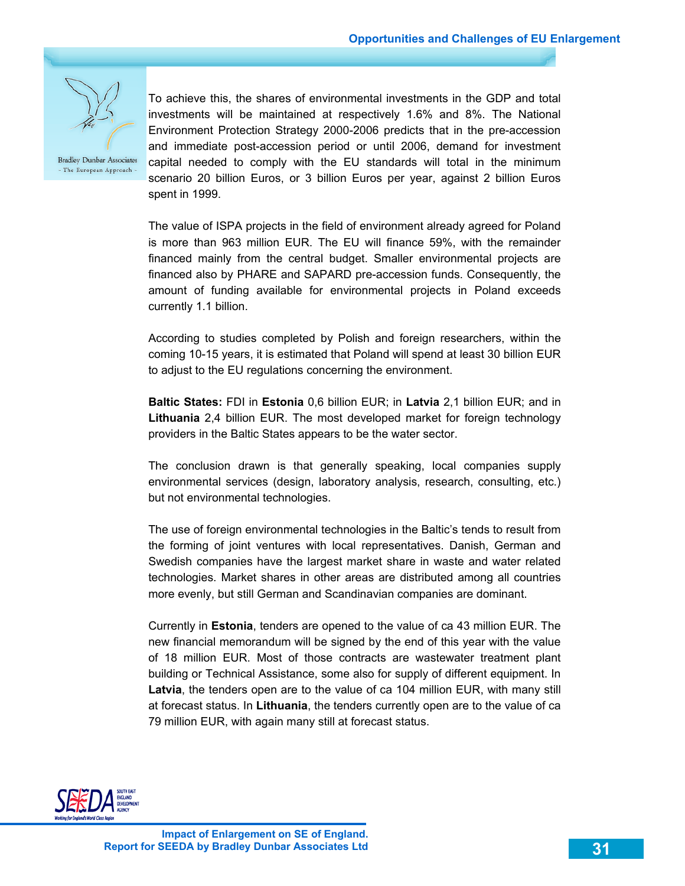

To achieve this, the shares of environmental investments in the GDP and total investments will be maintained at respectively 1.6% and 8%. The National Environment Protection Strategy 2000-2006 predicts that in the pre-accession and immediate post-accession period or until 2006, demand for investment capital needed to comply with the EU standards will total in the minimum scenario 20 billion Euros, or 3 billion Euros per year, against 2 billion Euros spent in 1999.

The value of ISPA projects in the field of environment already agreed for Poland is more than 963 million EUR. The EU will finance 59%, with the remainder financed mainly from the central budget. Smaller environmental projects are financed also by PHARE and SAPARD pre-accession funds. Consequently, the amount of funding available for environmental projects in Poland exceeds currently 1.1 billion.

According to studies completed by Polish and foreign researchers, within the coming 10-15 years, it is estimated that Poland will spend at least 30 billion EUR to adjust to the EU regulations concerning the environment.

**Baltic States:** FDI in **Estonia** 0,6 billion EUR; in **Latvia** 2,1 billion EUR; and in **Lithuania** 2,4 billion EUR. The most developed market for foreign technology providers in the Baltic States appears to be the water sector.

The conclusion drawn is that generally speaking, local companies supply environmental services (design, laboratory analysis, research, consulting, etc.) but not environmental technologies.

The use of foreign environmental technologies in the Baltic's tends to result from the forming of joint ventures with local representatives. Danish, German and Swedish companies have the largest market share in waste and water related technologies. Market shares in other areas are distributed among all countries more evenly, but still German and Scandinavian companies are dominant.

Currently in **Estonia**, tenders are opened to the value of ca 43 million EUR. The new financial memorandum will be signed by the end of this year with the value of 18 million EUR. Most of those contracts are wastewater treatment plant building or Technical Assistance, some also for supply of different equipment. In **Latvia**, the tenders open are to the value of ca 104 million EUR, with many still at forecast status. In **Lithuania**, the tenders currently open are to the value of ca 79 million EUR, with again many still at forecast status.

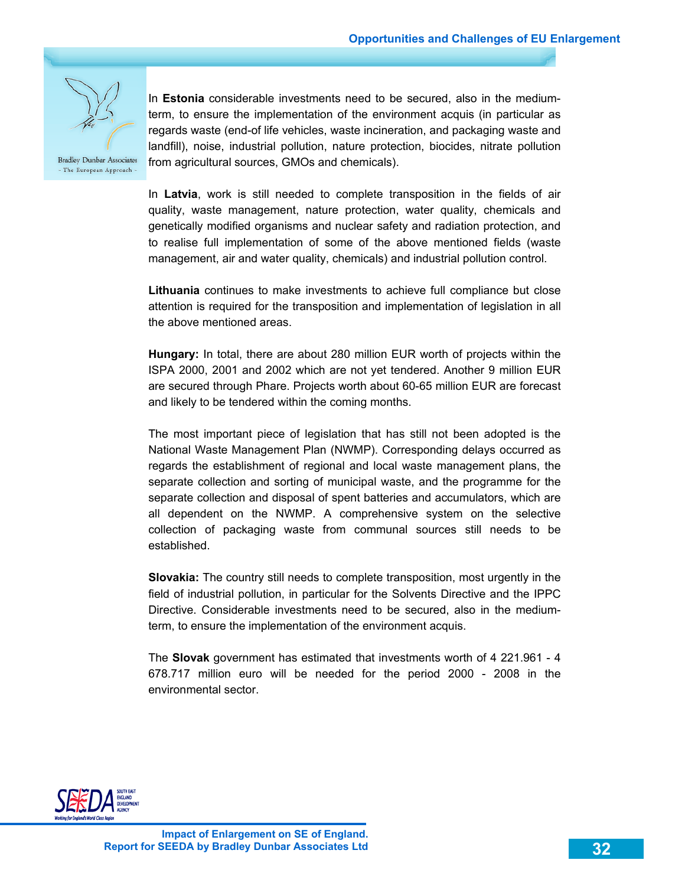

In **Estonia** considerable investments need to be secured, also in the mediumterm, to ensure the implementation of the environment acquis (in particular as regards waste (end-of life vehicles, waste incineration, and packaging waste and landfill), noise, industrial pollution, nature protection, biocides, nitrate pollution from agricultural sources, GMOs and chemicals).

In **Latvia**, work is still needed to complete transposition in the fields of air quality, waste management, nature protection, water quality, chemicals and genetically modified organisms and nuclear safety and radiation protection, and to realise full implementation of some of the above mentioned fields (waste management, air and water quality, chemicals) and industrial pollution control.

**Lithuania** continues to make investments to achieve full compliance but close attention is required for the transposition and implementation of legislation in all the above mentioned areas.

**Hungary:** In total, there are about 280 million EUR worth of projects within the ISPA 2000, 2001 and 2002 which are not yet tendered. Another 9 million EUR are secured through Phare. Projects worth about 60-65 million EUR are forecast and likely to be tendered within the coming months.

The most important piece of legislation that has still not been adopted is the National Waste Management Plan (NWMP). Corresponding delays occurred as regards the establishment of regional and local waste management plans, the separate collection and sorting of municipal waste, and the programme for the separate collection and disposal of spent batteries and accumulators, which are all dependent on the NWMP. A comprehensive system on the selective collection of packaging waste from communal sources still needs to be established.

**Slovakia:** The country still needs to complete transposition, most urgently in the field of industrial pollution, in particular for the Solvents Directive and the IPPC Directive. Considerable investments need to be secured, also in the mediumterm, to ensure the implementation of the environment acquis.

The **Slovak** government has estimated that investments worth of 4 221.961 - 4 678.717 million euro will be needed for the period 2000 - 2008 in the environmental sector.

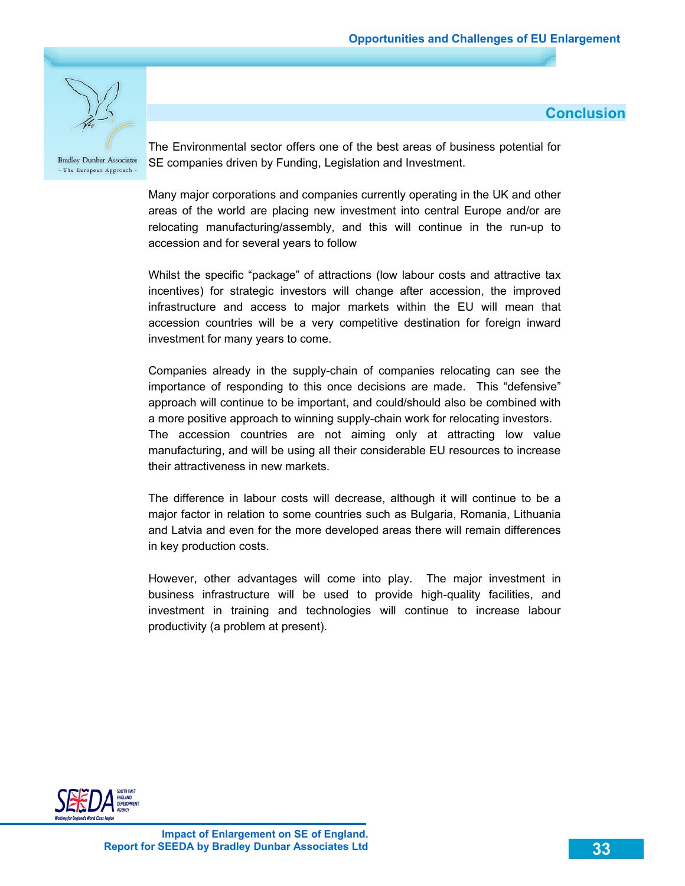**Conclusion** 



**Bradley Dunbar Associates** - The European Approach -

The Environmental sector offers one of the best areas of business potential for SE companies driven by Funding, Legislation and Investment.

Many major corporations and companies currently operating in the UK and other areas of the world are placing new investment into central Europe and/or are relocating manufacturing/assembly, and this will continue in the run-up to accession and for several years to follow

Whilst the specific "package" of attractions (low labour costs and attractive tax incentives) for strategic investors will change after accession, the improved infrastructure and access to major markets within the EU will mean that accession countries will be a very competitive destination for foreign inward investment for many years to come.

Companies already in the supply-chain of companies relocating can see the importance of responding to this once decisions are made. This "defensive" approach will continue to be important, and could/should also be combined with a more positive approach to winning supply-chain work for relocating investors. The accession countries are not aiming only at attracting low value manufacturing, and will be using all their considerable EU resources to increase their attractiveness in new markets.

The difference in labour costs will decrease, although it will continue to be a major factor in relation to some countries such as Bulgaria, Romania, Lithuania and Latvia and even for the more developed areas there will remain differences in key production costs.

However, other advantages will come into play. The major investment in business infrastructure will be used to provide high-quality facilities, and investment in training and technologies will continue to increase labour productivity (a problem at present).

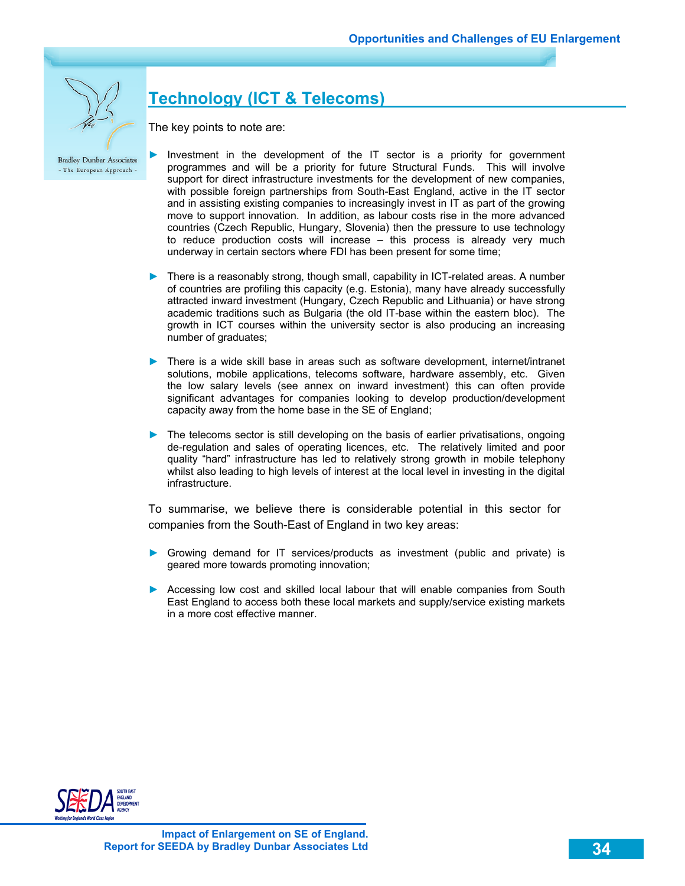

# **Technology (ICT & Telecoms)**

The key points to note are:

- Investment in the development of the IT sector is a priority for government programmes and will be a priority for future Structural Funds. This will involve support for direct infrastructure investments for the development of new companies, with possible foreign partnerships from South-East England, active in the IT sector and in assisting existing companies to increasingly invest in IT as part of the growing move to support innovation. In addition, as labour costs rise in the more advanced countries (Czech Republic, Hungary, Slovenia) then the pressure to use technology to reduce production costs will increase – this process is already very much underway in certain sectors where FDI has been present for some time;
- ► There is a reasonably strong, though small, capability in ICT-related areas. A number of countries are profiling this capacity (e.g. Estonia), many have already successfully attracted inward investment (Hungary, Czech Republic and Lithuania) or have strong academic traditions such as Bulgaria (the old IT-base within the eastern bloc). The growth in ICT courses within the university sector is also producing an increasing number of graduates;
- ► There is a wide skill base in areas such as software development, internet/intranet solutions, mobile applications, telecoms software, hardware assembly, etc. Given the low salary levels (see annex on inward investment) this can often provide significant advantages for companies looking to develop production/development capacity away from the home base in the SE of England;
- ► The telecoms sector is still developing on the basis of earlier privatisations, ongoing de-regulation and sales of operating licences, etc. The relatively limited and poor quality "hard" infrastructure has led to relatively strong growth in mobile telephony whilst also leading to high levels of interest at the local level in investing in the digital infrastructure.

To summarise, we believe there is considerable potential in this sector for companies from the South-East of England in two key areas:

- ► Growing demand for IT services/products as investment (public and private) is geared more towards promoting innovation;
- ► Accessing low cost and skilled local labour that will enable companies from South East England to access both these local markets and supply/service existing markets in a more cost effective manner.

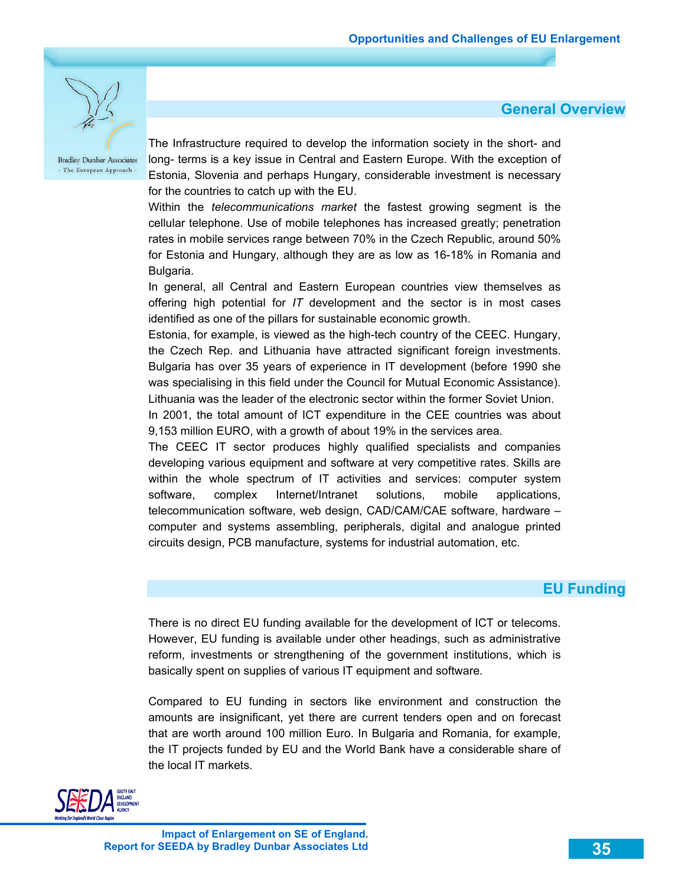**General Overview**



**Bradley Dunbar Associates** - The European Approach -

The Infrastructure required to develop the information society in the short- and long- terms is a key issue in Central and Eastern Europe. With the exception of Estonia, Slovenia and perhaps Hungary, considerable investment is necessary for the countries to catch up with the EU.

Within the *telecommunications market* the fastest growing segment is the cellular telephone. Use of mobile telephones has increased greatly; penetration rates in mobile services range between 70% in the Czech Republic, around 50% for Estonia and Hungary, although they are as low as 16-18% in Romania and Bulgaria.

In general, all Central and Eastern European countries view themselves as offering high potential for *IT* development and the sector is in most cases identified as one of the pillars for sustainable economic growth.

Estonia, for example, is viewed as the high-tech country of the CEEC. Hungary, the Czech Rep. and Lithuania have attracted significant foreign investments. Bulgaria has over 35 years of experience in IT development (before 1990 she was specialising in this field under the Council for Mutual Economic Assistance). Lithuania was the leader of the electronic sector within the former Soviet Union.

In 2001, the total amount of ICT expenditure in the CEE countries was about 9,153 million EURO, with a growth of about 19% in the services area.

The CEEC IT sector produces highly qualified specialists and companies developing various equipment and software at very competitive rates. Skills are within the whole spectrum of IT activities and services: computer system software, complex Internet/Intranet solutions, mobile applications, telecommunication software, web design, CAD/CAM/CAE software, hardware – computer and systems assembling, peripherals, digital and analogue printed circuits design, PCB manufacture, systems for industrial automation, etc.

### **EU Funding**

There is no direct EU funding available for the development of ICT or telecoms. However, EU funding is available under other headings, such as administrative reform, investments or strengthening of the government institutions, which is basically spent on supplies of various IT equipment and software.

Compared to EU funding in sectors like environment and construction the amounts are insignificant, yet there are current tenders open and on forecast that are worth around 100 million Euro. In Bulgaria and Romania, for example, the IT projects funded by EU and the World Bank have a considerable share of the local IT markets.

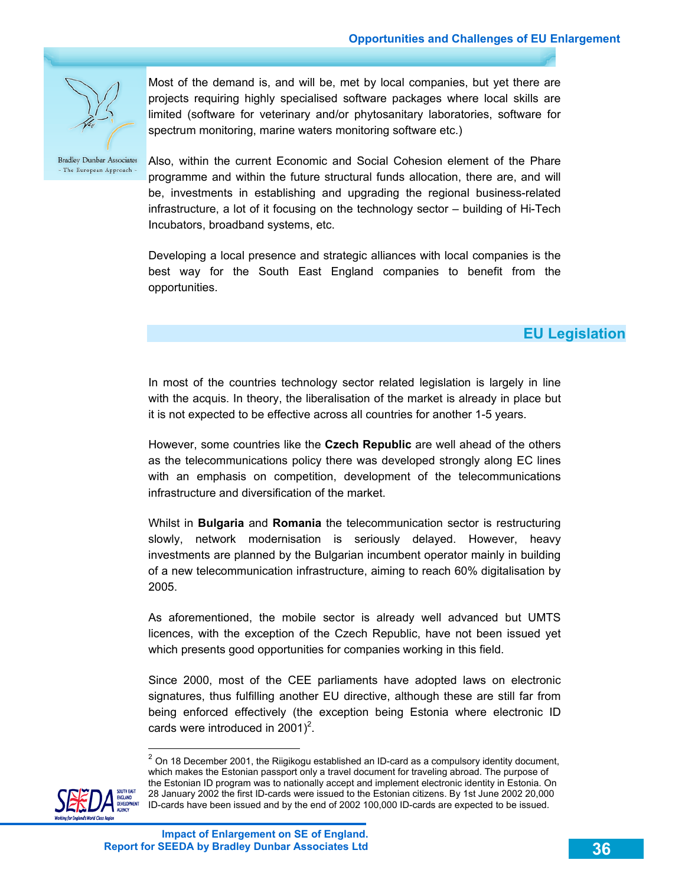

Most of the demand is, and will be, met by local companies, but yet there are projects requiring highly specialised software packages where local skills are limited (software for veterinary and/or phytosanitary laboratories, software for spectrum monitoring, marine waters monitoring software etc.)

**Bradley Dunbar Associates** - The European Approach -

Also, within the current Economic and Social Cohesion element of the Phare programme and within the future structural funds allocation, there are, and will be, investments in establishing and upgrading the regional business-related infrastructure, a lot of it focusing on the technology sector – building of Hi-Tech Incubators, broadband systems, etc.

Developing a local presence and strategic alliances with local companies is the best way for the South East England companies to benefit from the opportunities.

### **EU Legislation**

In most of the countries technology sector related legislation is largely in line with the acquis. In theory, the liberalisation of the market is already in place but it is not expected to be effective across all countries for another 1-5 years.

However, some countries like the **Czech Republic** are well ahead of the others as the telecommunications policy there was developed strongly along EC lines with an emphasis on competition, development of the telecommunications infrastructure and diversification of the market.

Whilst in **Bulgaria** and **Romania** the telecommunication sector is restructuring slowly, network modernisation is seriously delayed. However, heavy investments are planned by the Bulgarian incumbent operator mainly in building of a new telecommunication infrastructure, aiming to reach 60% digitalisation by 2005.

As aforementioned, the mobile sector is already well advanced but UMTS licences, with the exception of the Czech Republic, have not been issued yet which presents good opportunities for companies working in this field.

Since 2000, most of the CEE parliaments have adopted laws on electronic signatures, thus fulfilling another EU directive, although these are still far from being enforced effectively (the exception being Estonia where electronic ID cards were introduced in 2001)<sup>2</sup>.

 $2$  On 18 December 2001, the Riigikogu established an ID-card as a compulsory identity document, which makes the Estonian passport only a travel document for traveling abroad. The purpose of the Estonian ID program was to nationally accept and implement electronic identity in Estonia. On 28 January 2002 the first ID-cards were issued to the Estonian citizens. By 1st June 2002 20,000 ID-cards have been issued and by the end of 2002 100,000 ID-cards are expected to be issued.

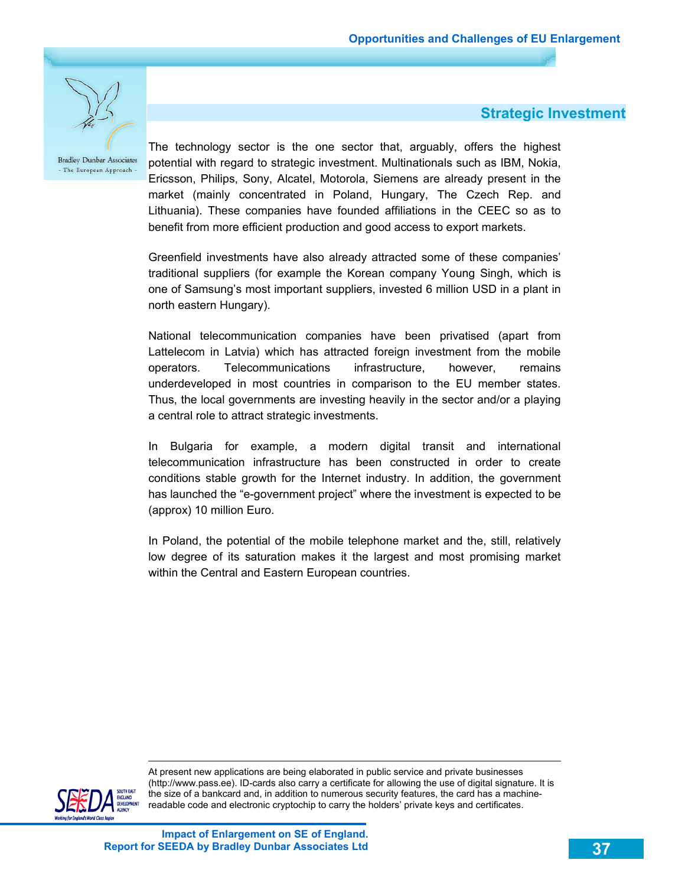

### **Strategic Investment**

The technology sector is the one sector that, arguably, offers the highest potential with regard to strategic investment. Multinationals such as IBM, Nokia, Ericsson, Philips, Sony, Alcatel, Motorola, Siemens are already present in the market (mainly concentrated in Poland, Hungary, The Czech Rep. and Lithuania). These companies have founded affiliations in the CEEC so as to benefit from more efficient production and good access to export markets.

Greenfield investments have also already attracted some of these companies' traditional suppliers (for example the Korean company Young Singh, which is one of Samsung's most important suppliers, invested 6 million USD in a plant in north eastern Hungary).

National telecommunication companies have been privatised (apart from Lattelecom in Latvia) which has attracted foreign investment from the mobile operators. Telecommunications infrastructure, however, remains underdeveloped in most countries in comparison to the EU member states. Thus, the local governments are investing heavily in the sector and/or a playing a central role to attract strategic investments.

In Bulgaria for example, a modern digital transit and international telecommunication infrastructure has been constructed in order to create conditions stable growth for the Internet industry. In addition, the government has launched the "e-government project" where the investment is expected to be (approx) 10 million Euro.

In Poland, the potential of the mobile telephone market and the, still, relatively low degree of its saturation makes it the largest and most promising market within the Central and Eastern European countries.



-

At present new applications are being elaborated in public service and private businesses (http://www.pass.ee). ID-cards also carry a certificate for allowing the use of digital signature. It is the size of a bankcard and, in addition to numerous security features, the card has a machinereadable code and electronic cryptochip to carry the holders' private keys and certificates.

**Impact of Enlargement on SE of England. Report for SEEDA by Bradley Dunbar Associates Ltd**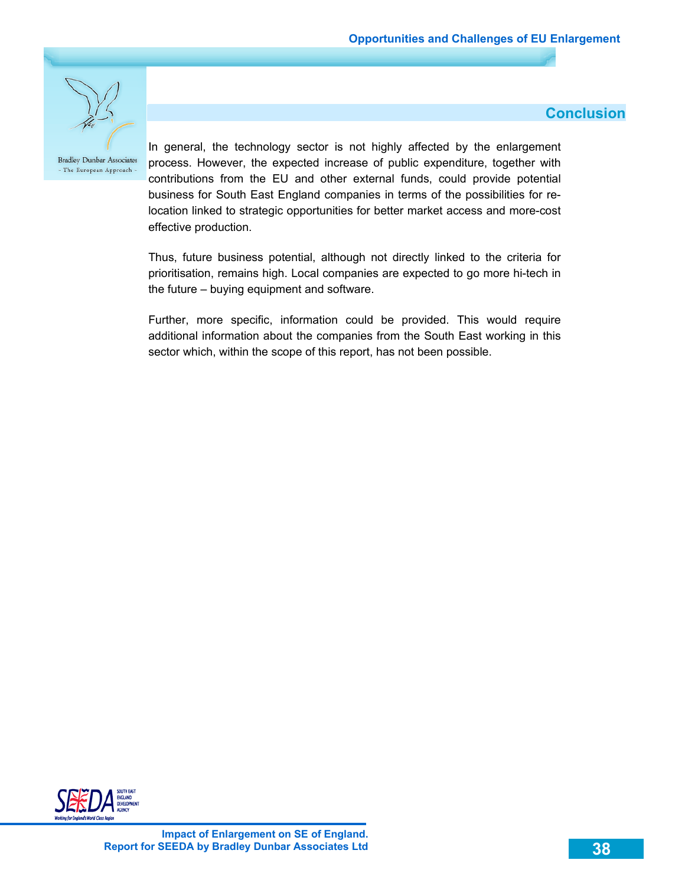**Conclusion** 



**Bradley Dunbar Associates** - The European Approach -

In general, the technology sector is not highly affected by the enlargement process. However, the expected increase of public expenditure, together with contributions from the EU and other external funds, could provide potential business for South East England companies in terms of the possibilities for relocation linked to strategic opportunities for better market access and more-cost effective production.

Thus, future business potential, although not directly linked to the criteria for prioritisation, remains high. Local companies are expected to go more hi-tech in the future – buying equipment and software.

Further, more specific, information could be provided. This would require additional information about the companies from the South East working in this sector which, within the scope of this report, has not been possible.

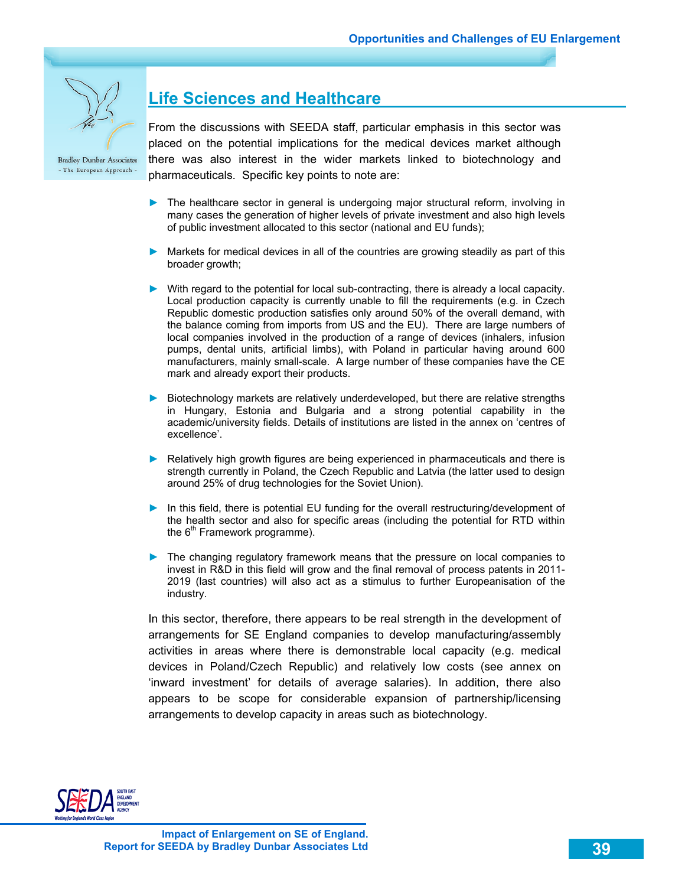

# **Life Sciences and Healthcare**

From the discussions with SEEDA staff, particular emphasis in this sector was placed on the potential implications for the medical devices market although there was also interest in the wider markets linked to biotechnology and pharmaceuticals. Specific key points to note are:

- ► The healthcare sector in general is undergoing major structural reform, involving in many cases the generation of higher levels of private investment and also high levels of public investment allocated to this sector (national and EU funds);
- ► Markets for medical devices in all of the countries are growing steadily as part of this broader growth;
- ► With regard to the potential for local sub-contracting, there is already a local capacity. Local production capacity is currently unable to fill the requirements (e.g. in Czech Republic domestic production satisfies only around 50% of the overall demand, with the balance coming from imports from US and the EU). There are large numbers of local companies involved in the production of a range of devices (inhalers, infusion pumps, dental units, artificial limbs), with Poland in particular having around 600 manufacturers, mainly small-scale. A large number of these companies have the CE mark and already export their products.
- ► Biotechnology markets are relatively underdeveloped, but there are relative strengths in Hungary, Estonia and Bulgaria and a strong potential capability in the academic/university fields. Details of institutions are listed in the annex on 'centres of excellence'.
- ► Relatively high growth figures are being experienced in pharmaceuticals and there is strength currently in Poland, the Czech Republic and Latvia (the latter used to design around 25% of drug technologies for the Soviet Union).
- ► In this field, there is potential EU funding for the overall restructuring/development of the health sector and also for specific areas (including the potential for RTD within the  $6<sup>th</sup>$  Framework programme).
- ► The changing regulatory framework means that the pressure on local companies to invest in R&D in this field will grow and the final removal of process patents in 2011- 2019 (last countries) will also act as a stimulus to further Europeanisation of the industry.

In this sector, therefore, there appears to be real strength in the development of arrangements for SE England companies to develop manufacturing/assembly activities in areas where there is demonstrable local capacity (e.g. medical devices in Poland/Czech Republic) and relatively low costs (see annex on 'inward investment' for details of average salaries). In addition, there also appears to be scope for considerable expansion of partnership/licensing arrangements to develop capacity in areas such as biotechnology.

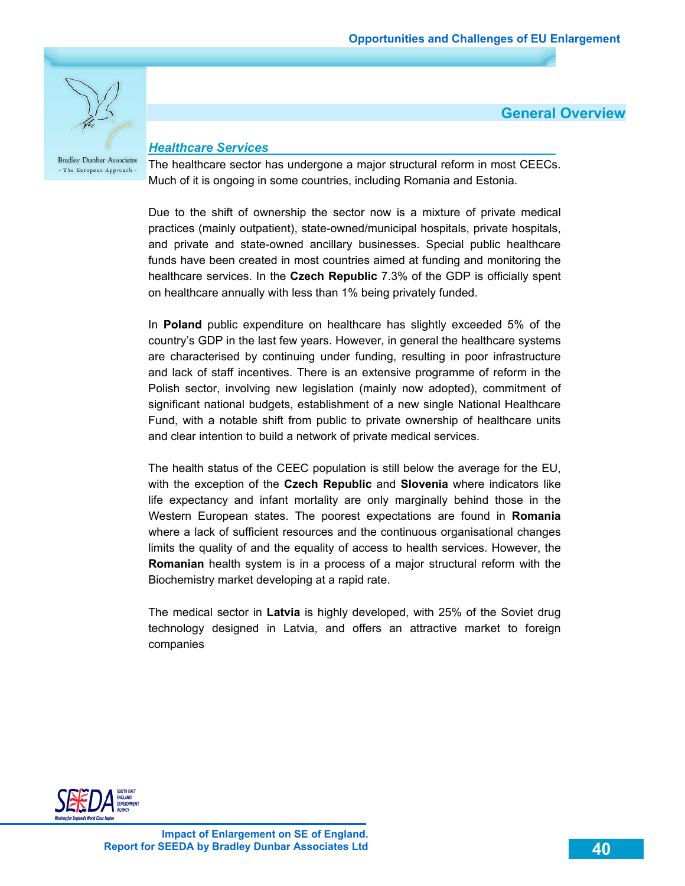**General Overview** 



- The European Approach -

*Healthcare Services* 

The healthcare sector has undergone a major structural reform in most CEECs. Much of it is ongoing in some countries, including Romania and Estonia.

Due to the shift of ownership the sector now is a mixture of private medical practices (mainly outpatient), state-owned/municipal hospitals, private hospitals, and private and state-owned ancillary businesses. Special public healthcare funds have been created in most countries aimed at funding and monitoring the healthcare services. In the **Czech Republic** 7.3% of the GDP is officially spent on healthcare annually with less than 1% being privately funded.

In **Poland** public expenditure on healthcare has slightly exceeded 5% of the country's GDP in the last few years. However, in general the healthcare systems are characterised by continuing under funding, resulting in poor infrastructure and lack of staff incentives. There is an extensive programme of reform in the Polish sector, involving new legislation (mainly now adopted), commitment of significant national budgets, establishment of a new single National Healthcare Fund, with a notable shift from public to private ownership of healthcare units and clear intention to build a network of private medical services.

The health status of the CEEC population is still below the average for the EU, with the exception of the **Czech Republic** and **Slovenia** where indicators like life expectancy and infant mortality are only marginally behind those in the Western European states. The poorest expectations are found in **Romania**  where a lack of sufficient resources and the continuous organisational changes limits the quality of and the equality of access to health services. However, the **Romanian** health system is in a process of a major structural reform with the Biochemistry market developing at a rapid rate.

The medical sector in **Latvia** is highly developed, with 25% of the Soviet drug technology designed in Latvia, and offers an attractive market to foreign companies

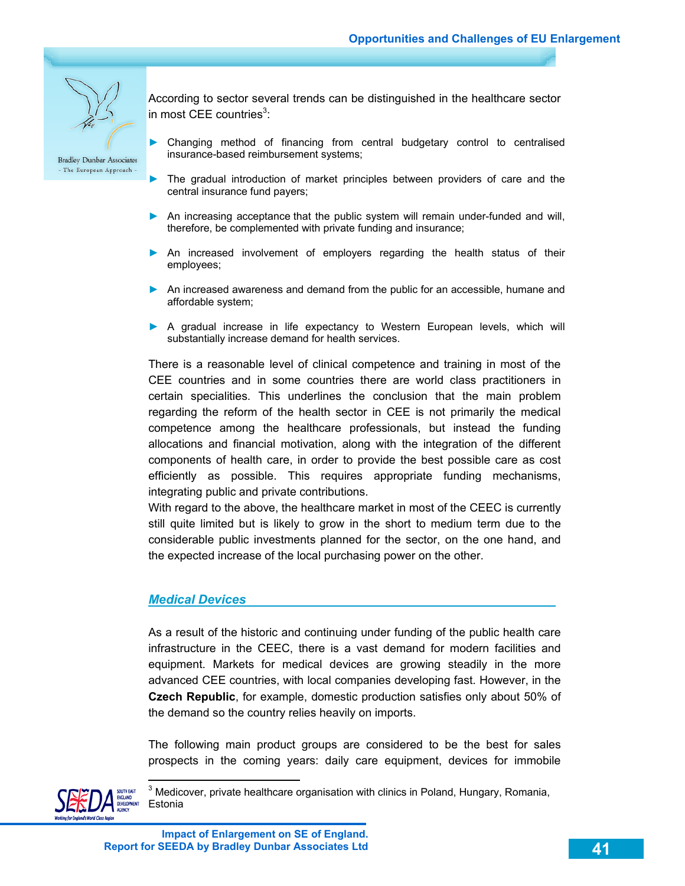

According to sector several trends can be distinguished in the healthcare sector in most CEE countries<sup>3</sup>:

- Changing method of financing from central budgetary control to centralised insurance-based reimbursement systems;
- ► The gradual introduction of market principles between providers of care and the central insurance fund payers;
- ► An increasing acceptance that the public system will remain under-funded and will, therefore, be complemented with private funding and insurance;
- ► An increased involvement of employers regarding the health status of their employees;
- ► An increased awareness and demand from the public for an accessible, humane and affordable system;
- ► A gradual increase in life expectancy to Western European levels, which will substantially increase demand for health services.

There is a reasonable level of clinical competence and training in most of the CEE countries and in some countries there are world class practitioners in certain specialities. This underlines the conclusion that the main problem regarding the reform of the health sector in CEE is not primarily the medical competence among the healthcare professionals, but instead the funding allocations and financial motivation, along with the integration of the different components of health care, in order to provide the best possible care as cost efficiently as possible. This requires appropriate funding mechanisms, integrating public and private contributions.

With regard to the above, the healthcare market in most of the CEEC is currently still quite limited but is likely to grow in the short to medium term due to the considerable public investments planned for the sector, on the one hand, and the expected increase of the local purchasing power on the other.

#### *Medical Devices*

As a result of the historic and continuing under funding of the public health care infrastructure in the CEEC, there is a vast demand for modern facilities and equipment. Markets for medical devices are growing steadily in the more advanced CEE countries, with local companies developing fast. However, in the **Czech Republic**, for example, domestic production satisfies only about 50% of the demand so the country relies heavily on imports.

The following main product groups are considered to be the best for sales prospects in the coming years: daily care equipment, devices for immobile



 $\overline{a}$ 

<sup>3</sup> Medicover, private healthcare organisation with clinics in Poland, Hungary, Romania, Estonia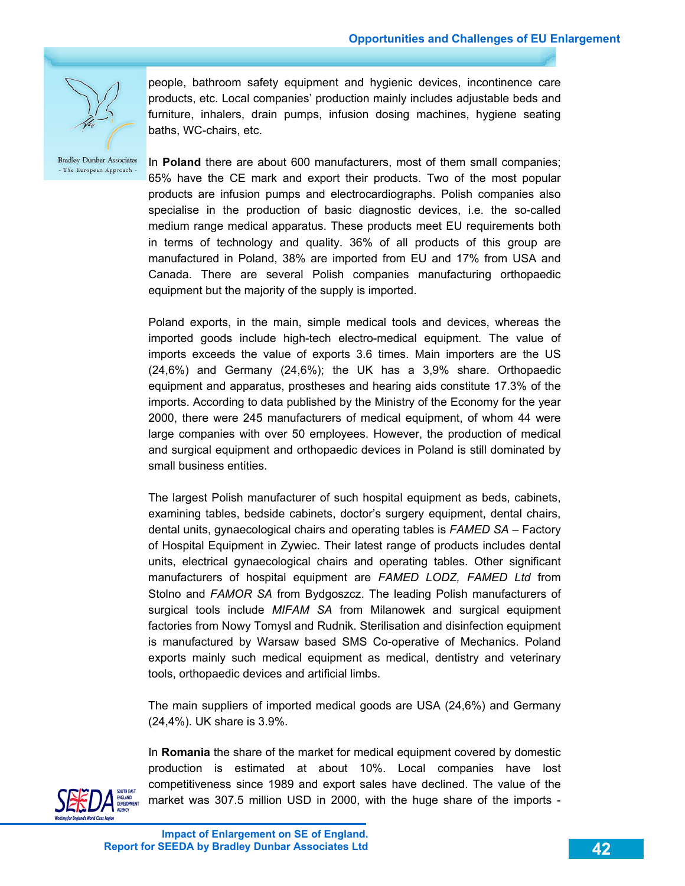

people, bathroom safety equipment and hygienic devices, incontinence care products, etc. Local companies' production mainly includes adjustable beds and furniture, inhalers, drain pumps, infusion dosing machines, hygiene seating baths, WC-chairs, etc.

In **Poland** there are about 600 manufacturers, most of them small companies; 65% have the CE mark and export their products. Two of the most popular products are infusion pumps and electrocardiographs. Polish companies also specialise in the production of basic diagnostic devices, i.e. the so-called medium range medical apparatus. These products meet EU requirements both in terms of technology and quality. 36% of all products of this group are manufactured in Poland, 38% are imported from EU and 17% from USA and Canada. There are several Polish companies manufacturing orthopaedic equipment but the majority of the supply is imported.

Poland exports, in the main, simple medical tools and devices, whereas the imported goods include high-tech electro-medical equipment. The value of imports exceeds the value of exports 3.6 times. Main importers are the US (24,6%) and Germany (24,6%); the UK has a 3,9% share. Orthopaedic equipment and apparatus, prostheses and hearing aids constitute 17.3% of the imports. According to data published by the Ministry of the Economy for the year 2000, there were 245 manufacturers of medical equipment, of whom 44 were large companies with over 50 employees. However, the production of medical and surgical equipment and orthopaedic devices in Poland is still dominated by small business entities.

The largest Polish manufacturer of such hospital equipment as beds, cabinets, examining tables, bedside cabinets, doctor's surgery equipment, dental chairs, dental units, gynaecological chairs and operating tables is *FAMED SA* – Factory of Hospital Equipment in Zywiec. Their latest range of products includes dental units, electrical gynaecological chairs and operating tables. Other significant manufacturers of hospital equipment are *FAMED LODZ, FAMED Ltd* from Stolno and *FAMOR SA* from Bydgoszcz. The leading Polish manufacturers of surgical tools include *MIFAM SA* from Milanowek and surgical equipment factories from Nowy Tomysl and Rudnik. Sterilisation and disinfection equipment is manufactured by Warsaw based SMS Co-operative of Mechanics. Poland exports mainly such medical equipment as medical, dentistry and veterinary tools, orthopaedic devices and artificial limbs.

The main suppliers of imported medical goods are USA (24,6%) and Germany (24,4%). UK share is 3.9%.

In **Romania** the share of the market for medical equipment covered by domestic production is estimated at about 10%. Local companies have lost competitiveness since 1989 and export sales have declined. The value of the market was 307.5 million USD in 2000, with the huge share of the imports -

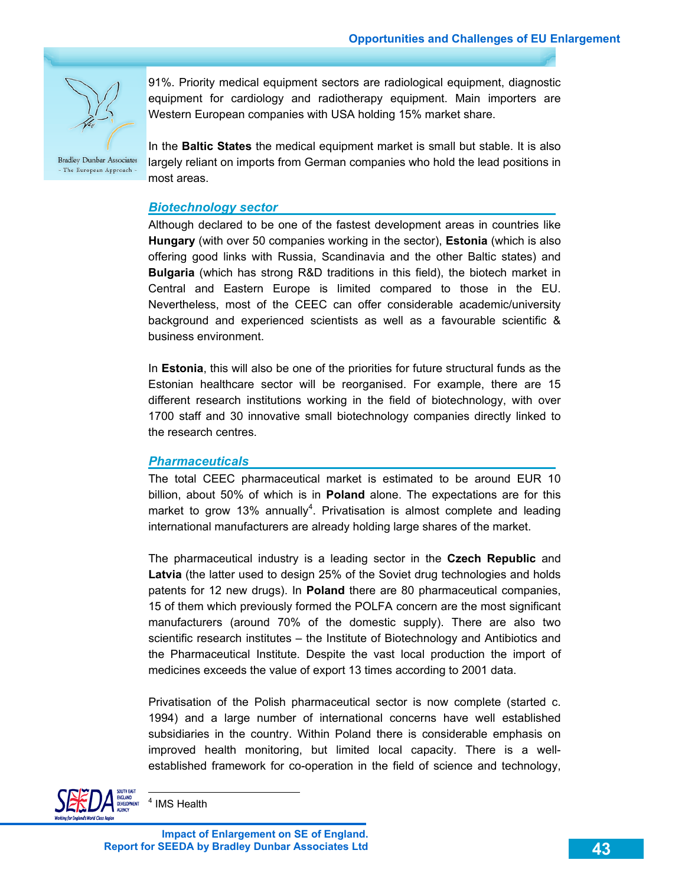

91%. Priority medical equipment sectors are radiological equipment, diagnostic equipment for cardiology and radiotherapy equipment. Main importers are Western European companies with USA holding 15% market share.

In the **Baltic States** the medical equipment market is small but stable. It is also largely reliant on imports from German companies who hold the lead positions in most areas.

#### *Biotechnology sector*

Although declared to be one of the fastest development areas in countries like **Hungary** (with over 50 companies working in the sector), **Estonia** (which is also offering good links with Russia, Scandinavia and the other Baltic states) and **Bulgaria** (which has strong R&D traditions in this field), the biotech market in Central and Eastern Europe is limited compared to those in the EU. Nevertheless, most of the CEEC can offer considerable academic/university background and experienced scientists as well as a favourable scientific & business environment.

In **Estonia**, this will also be one of the priorities for future structural funds as the Estonian healthcare sector will be reorganised. For example, there are 15 different research institutions working in the field of biotechnology, with over 1700 staff and 30 innovative small biotechnology companies directly linked to the research centres.

#### *Pharmaceuticals*

The total CEEC pharmaceutical market is estimated to be around EUR 10 billion, about 50% of which is in **Poland** alone. The expectations are for this market to grow 13% annually<sup>4</sup>. Privatisation is almost complete and leading international manufacturers are already holding large shares of the market.

The pharmaceutical industry is a leading sector in the **Czech Republic** and **Latvia** (the latter used to design 25% of the Soviet drug technologies and holds patents for 12 new drugs). In **Poland** there are 80 pharmaceutical companies, 15 of them which previously formed the POLFA concern are the most significant manufacturers (around 70% of the domestic supply). There are also two scientific research institutes – the Institute of Biotechnology and Antibiotics and the Pharmaceutical Institute. Despite the vast local production the import of medicines exceeds the value of export 13 times according to 2001 data.

Privatisation of the Polish pharmaceutical sector is now complete (started c. 1994) and a large number of international concerns have well established subsidiaries in the country. Within Poland there is considerable emphasis on improved health monitoring, but limited local capacity. There is a wellestablished framework for co-operation in the field of science and technology,



 $\overline{a}$ 4 IMS Health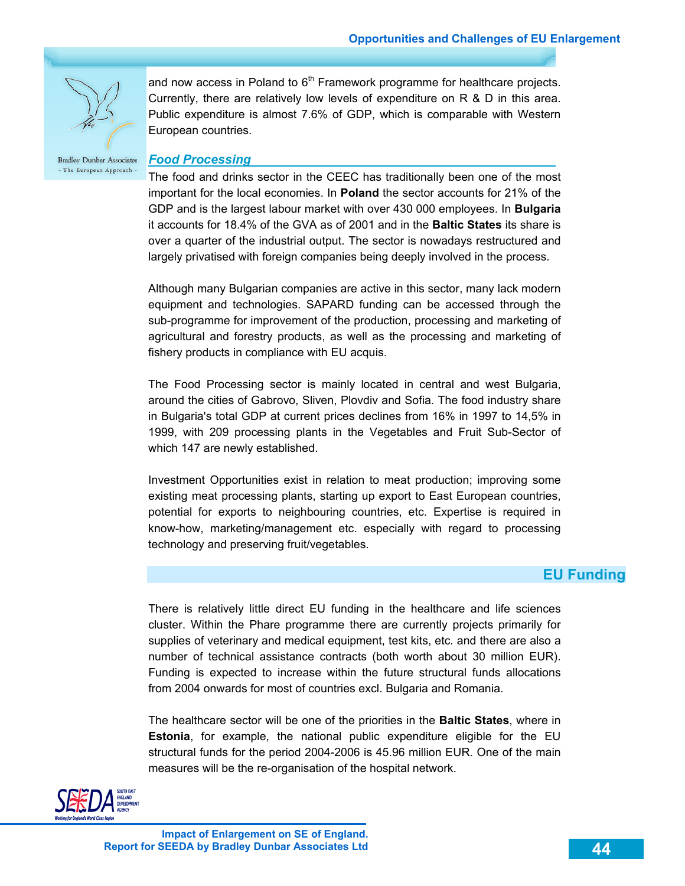

and now access in Poland to  $6<sup>th</sup>$  Framework programme for healthcare projects. Currently, there are relatively low levels of expenditure on R & D in this area. Public expenditure is almost 7.6% of GDP, which is comparable with Western European countries.

**Bradley Dunbar Associates** - The European Approach -

### *Food Processing*

The food and drinks sector in the CEEC has traditionally been one of the most important for the local economies. In **Poland** the sector accounts for 21% of the GDP and is the largest labour market with over 430 000 employees. In **Bulgaria** it accounts for 18.4% of the GVA as of 2001 and in the **Baltic States** its share is over a quarter of the industrial output. The sector is nowadays restructured and largely privatised with foreign companies being deeply involved in the process.

Although many Bulgarian companies are active in this sector, many lack modern equipment and technologies. SAPARD funding can be accessed through the sub-programme for improvement of the production, processing and marketing of agricultural and forestry products, as well as the processing and marketing of fishery products in compliance with EU acquis.

The Food Processing sector is mainly located in central and west Bulgaria, around the cities of Gabrovo, Sliven, Plovdiv and Sofia. The food industry share in Bulgaria's total GDP at current prices declines from 16% in 1997 to 14,5% in 1999, with 209 processing plants in the Vegetables and Fruit Sub-Sector of which 147 are newly established.

Investment Opportunities exist in relation to meat production; improving some existing meat processing plants, starting up export to East European countries, potential for exports to neighbouring countries, etc. Expertise is required in know-how, marketing/management etc. especially with regard to processing technology and preserving fruit/vegetables.

### **EU Funding**

There is relatively little direct EU funding in the healthcare and life sciences cluster. Within the Phare programme there are currently projects primarily for supplies of veterinary and medical equipment, test kits, etc. and there are also a number of technical assistance contracts (both worth about 30 million EUR). Funding is expected to increase within the future structural funds allocations from 2004 onwards for most of countries excl. Bulgaria and Romania.

The healthcare sector will be one of the priorities in the **Baltic States**, where in **Estonia**, for example, the national public expenditure eligible for the EU structural funds for the period 2004-2006 is 45.96 million EUR. One of the main measures will be the re-organisation of the hospital network.

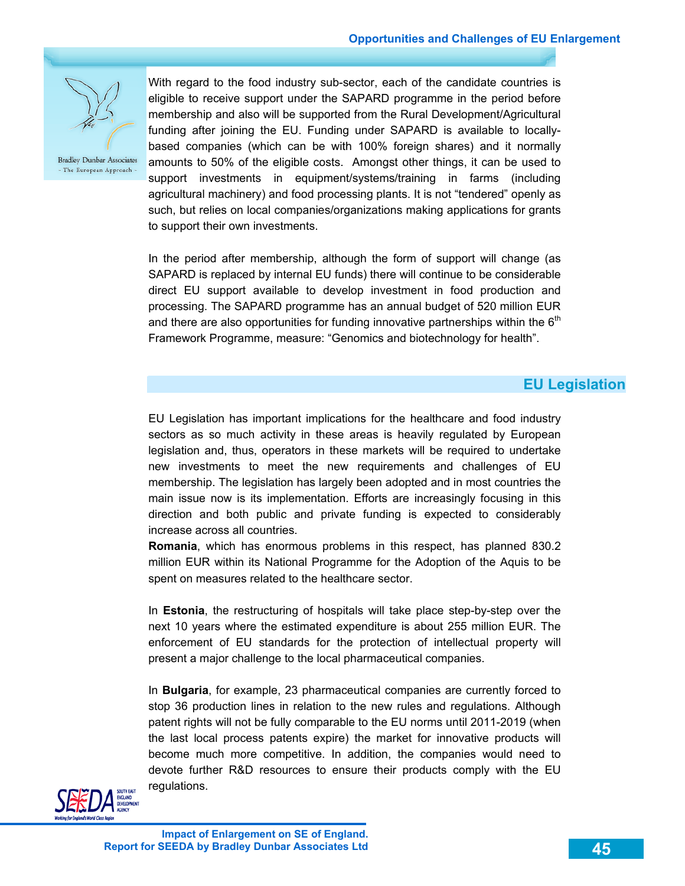

With regard to the food industry sub-sector, each of the candidate countries is eligible to receive support under the SAPARD programme in the period before membership and also will be supported from the Rural Development/Agricultural funding after joining the EU. Funding under SAPARD is available to locallybased companies (which can be with 100% foreign shares) and it normally amounts to 50% of the eligible costs. Amongst other things, it can be used to support investments in equipment/systems/training in farms (including agricultural machinery) and food processing plants. It is not "tendered" openly as such, but relies on local companies/organizations making applications for grants to support their own investments.

In the period after membership, although the form of support will change (as SAPARD is replaced by internal EU funds) there will continue to be considerable direct EU support available to develop investment in food production and processing. The SAPARD programme has an annual budget of 520 million EUR and there are also opportunities for funding innovative partnerships within the  $6<sup>th</sup>$ Framework Programme, measure: "Genomics and biotechnology for health".

### **EU Legislation**

EU Legislation has important implications for the healthcare and food industry sectors as so much activity in these areas is heavily regulated by European legislation and, thus, operators in these markets will be required to undertake new investments to meet the new requirements and challenges of EU membership. The legislation has largely been adopted and in most countries the main issue now is its implementation. Efforts are increasingly focusing in this direction and both public and private funding is expected to considerably increase across all countries.

**Romania**, which has enormous problems in this respect, has planned 830.2 million EUR within its National Programme for the Adoption of the Aquis to be spent on measures related to the healthcare sector.

In **Estonia**, the restructuring of hospitals will take place step-by-step over the next 10 years where the estimated expenditure is about 255 million EUR. The enforcement of EU standards for the protection of intellectual property will present a major challenge to the local pharmaceutical companies.

In **Bulgaria**, for example, 23 pharmaceutical companies are currently forced to stop 36 production lines in relation to the new rules and regulations. Although patent rights will not be fully comparable to the EU norms until 2011-2019 (when the last local process patents expire) the market for innovative products will become much more competitive. In addition, the companies would need to devote further R&D resources to ensure their products comply with the EU regulations.

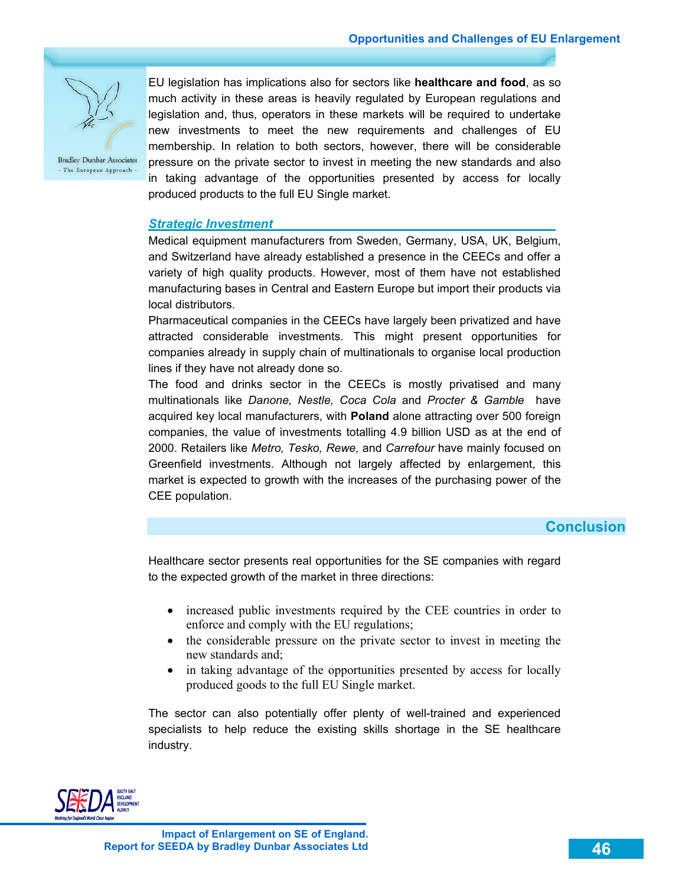

EU legislation has implications also for sectors like **healthcare and food**, as so much activity in these areas is heavily regulated by European regulations and legislation and, thus, operators in these markets will be required to undertake new investments to meet the new requirements and challenges of EU membership. In relation to both sectors, however, there will be considerable pressure on the private sector to invest in meeting the new standards and also in taking advantage of the opportunities presented by access for locally produced products to the full EU Single market.

### *Strategic Investment*

Medical equipment manufacturers from Sweden, Germany, USA, UK, Belgium, and Switzerland have already established a presence in the CEECs and offer a variety of high quality products. However, most of them have not established manufacturing bases in Central and Eastern Europe but import their products via local distributors.

Pharmaceutical companies in the CEECs have largely been privatized and have attracted considerable investments. This might present opportunities for companies already in supply chain of multinationals to organise local production lines if they have not already done so.

The food and drinks sector in the CEECs is mostly privatised and many multinationals like *Danone, Nestle, Coca Cola* and *Procter & Gamble* have acquired key local manufacturers, with **Poland** alone attracting over 500 foreign companies, the value of investments totalling 4.9 billion USD as at the end of 2000. Retailers like *Metro, Tesko, Rewe,* and *Carrefour* have mainly focused on Greenfield investments. Although not largely affected by enlargement, this market is expected to growth with the increases of the purchasing power of the CEE population.

### **Conclusion**

Healthcare sector presents real opportunities for the SE companies with regard to the expected growth of the market in three directions:

- increased public investments required by the CEE countries in order to enforce and comply with the EU regulations;
- the considerable pressure on the private sector to invest in meeting the new standards and;
- in taking advantage of the opportunities presented by access for locally produced goods to the full EU Single market.

The sector can also potentially offer plenty of well-trained and experienced specialists to help reduce the existing skills shortage in the SE healthcare industry.

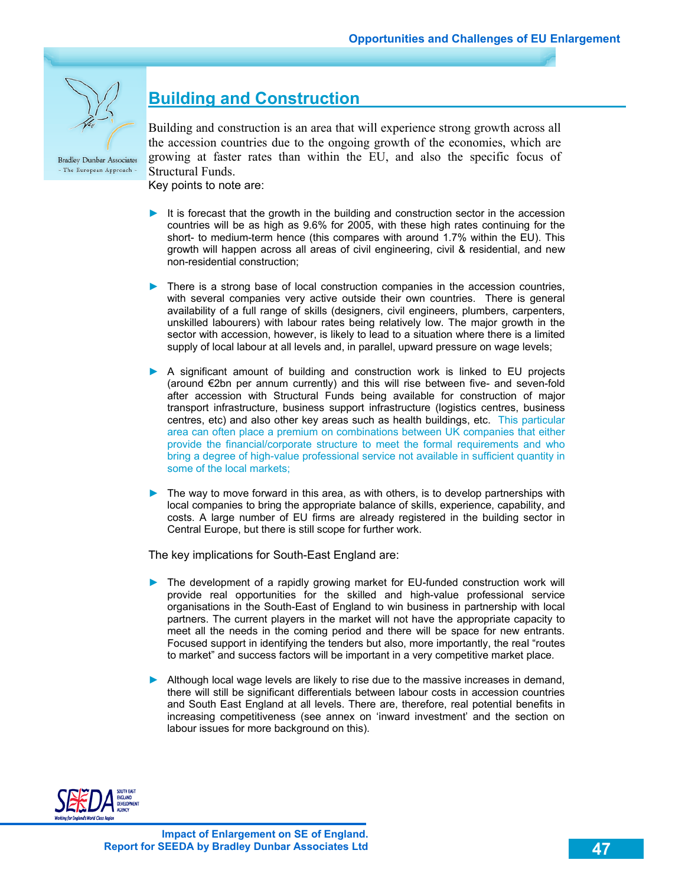

# **Building and Construction**

Building and construction is an area that will experience strong growth across all the accession countries due to the ongoing growth of the economies, which are growing at faster rates than within the EU, and also the specific focus of Structural Funds.

Key points to note are:

- ► It is forecast that the growth in the building and construction sector in the accession countries will be as high as 9.6% for 2005, with these high rates continuing for the short- to medium-term hence (this compares with around 1.7% within the EU). This growth will happen across all areas of civil engineering, civil & residential, and new non-residential construction;
- ► There is a strong base of local construction companies in the accession countries, with several companies very active outside their own countries. There is general availability of a full range of skills (designers, civil engineers, plumbers, carpenters, unskilled labourers) with labour rates being relatively low. The major growth in the sector with accession, however, is likely to lead to a situation where there is a limited supply of local labour at all levels and, in parallel, upward pressure on wage levels;
- ► A significant amount of building and construction work is linked to EU projects (around €2bn per annum currently) and this will rise between five- and seven-fold after accession with Structural Funds being available for construction of major transport infrastructure, business support infrastructure (logistics centres, business centres, etc) and also other key areas such as health buildings, etc. This particular area can often place a premium on combinations between UK companies that either provide the financial/corporate structure to meet the formal requirements and who bring a degree of high-value professional service not available in sufficient quantity in some of the local markets;
- The way to move forward in this area, as with others, is to develop partnerships with local companies to bring the appropriate balance of skills, experience, capability, and costs. A large number of EU firms are already registered in the building sector in Central Europe, but there is still scope for further work.

The key implications for South-East England are:

- ► The development of a rapidly growing market for EU-funded construction work will provide real opportunities for the skilled and high-value professional service organisations in the South-East of England to win business in partnership with local partners. The current players in the market will not have the appropriate capacity to meet all the needs in the coming period and there will be space for new entrants. Focused support in identifying the tenders but also, more importantly, the real "routes to market" and success factors will be important in a very competitive market place.
- ► Although local wage levels are likely to rise due to the massive increases in demand, there will still be significant differentials between labour costs in accession countries and South East England at all levels. There are, therefore, real potential benefits in increasing competitiveness (see annex on 'inward investment' and the section on labour issues for more background on this).

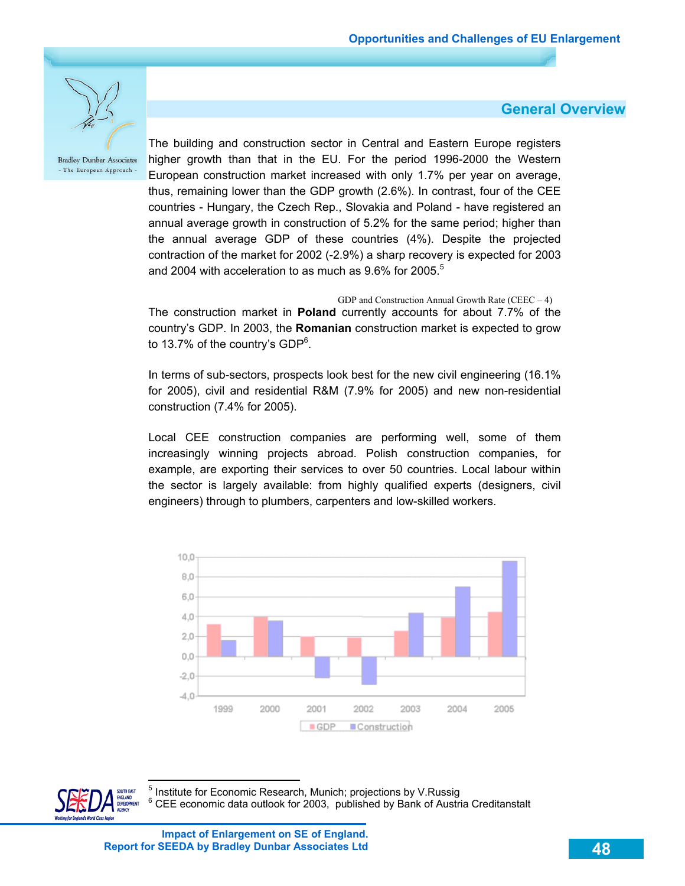**General Overview**



**Bradley Dunbar Associates** - The European Approach

The building and construction sector in Central and Eastern Europe registers higher growth than that in the EU. For the period 1996-2000 the Western European construction market increased with only 1.7% per year on average, thus, remaining lower than the GDP growth (2.6%). In contrast, four of the CEE countries - Hungary, the Czech Rep., Slovakia and Poland - have registered an annual average growth in construction of 5.2% for the same period; higher than the annual average GDP of these countries (4%). Despite the projected contraction of the market for 2002 (-2.9%) a sharp recovery is expected for 2003 and 2004 with acceleration to as much as  $9.6\%$  for 2005.<sup>5</sup>

GDP and Construction Annual Growth Rate  $(CEEC - 4)$ The construction market in **Poland** currently accounts for about 7.7% of the country's GDP. In 2003, the **Romanian** construction market is expected to grow to 13.7% of the country's GDP<sup>6</sup>.

In terms of sub-sectors, prospects look best for the new civil engineering (16.1% for 2005), civil and residential R&M (7.9% for 2005) and new non-residential construction (7.4% for 2005).

Local CEE construction companies are performing well, some of them increasingly winning projects abroad. Polish construction companies, for example, are exporting their services to over 50 countries. Local labour within the sector is largely available: from highly qualified experts (designers, civil engineers) through to plumbers, carpenters and low-skilled workers.



 $\overline{a}$ 

**Impact of Enlargement on SE of England. Report for SEEDA by Bradley Dunbar Associates Ltd**

<sup>5</sup> Institute for Economic Research, Munich; projections by V.Russig 6 CEE economic data outlook for 2003, published by Bank of Austria Creditanstalt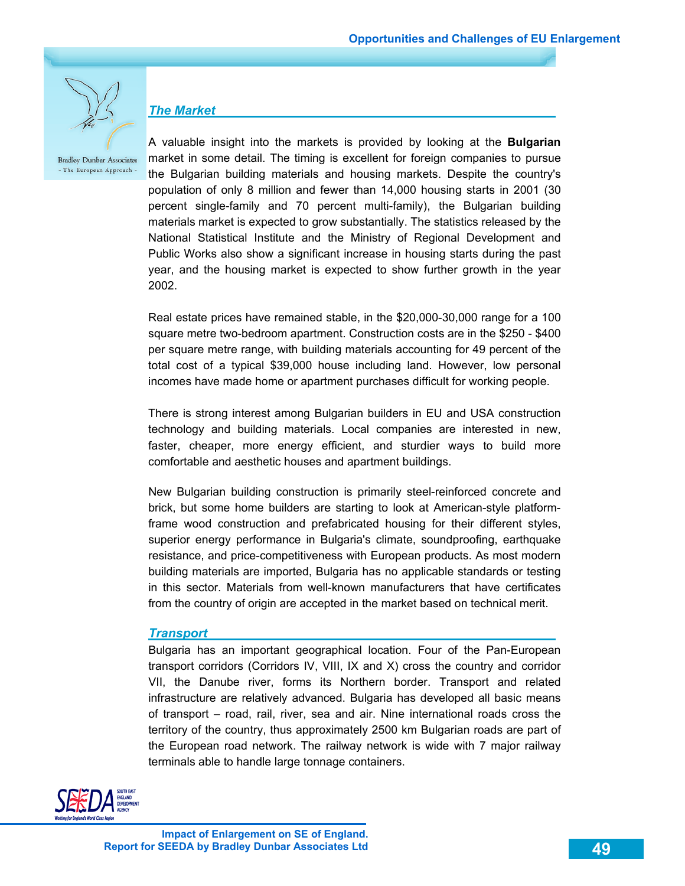

*The Market* 

**Bradley Dunbar Associates** - The European Approach -

A valuable insight into the markets is provided by looking at the **Bulgarian** market in some detail. The timing is excellent for foreign companies to pursue the Bulgarian building materials and housing markets. Despite the country's population of only 8 million and fewer than 14,000 housing starts in 2001 (30 percent single-family and 70 percent multi-family), the Bulgarian building materials market is expected to grow substantially. The statistics released by the National Statistical Institute and the Ministry of Regional Development and Public Works also show a significant increase in housing starts during the past year, and the housing market is expected to show further growth in the year 2002.

Real estate prices have remained stable, in the \$20,000-30,000 range for a 100 square metre two-bedroom apartment. Construction costs are in the \$250 - \$400 per square metre range, with building materials accounting for 49 percent of the total cost of a typical \$39,000 house including land. However, low personal incomes have made home or apartment purchases difficult for working people.

There is strong interest among Bulgarian builders in EU and USA construction technology and building materials. Local companies are interested in new, faster, cheaper, more energy efficient, and sturdier ways to build more comfortable and aesthetic houses and apartment buildings.

New Bulgarian building construction is primarily steel-reinforced concrete and brick, but some home builders are starting to look at American-style platformframe wood construction and prefabricated housing for their different styles, superior energy performance in Bulgaria's climate, soundproofing, earthquake resistance, and price-competitiveness with European products. As most modern building materials are imported, Bulgaria has no applicable standards or testing in this sector. Materials from well-known manufacturers that have certificates from the country of origin are accepted in the market based on technical merit.

#### *Transport*

Bulgaria has an important geographical location. Four of the Pan-European transport corridors (Corridors IV, VIII, IX and X) cross the country and corridor VII, the Danube river, forms its Northern border. Transport and related infrastructure are relatively advanced. Bulgaria has developed all basic means of transport – road, rail, river, sea and air. Nine international roads cross the territory of the country, thus approximately 2500 km Bulgarian roads are part of the European road network. The railway network is wide with 7 major railway terminals able to handle large tonnage containers.

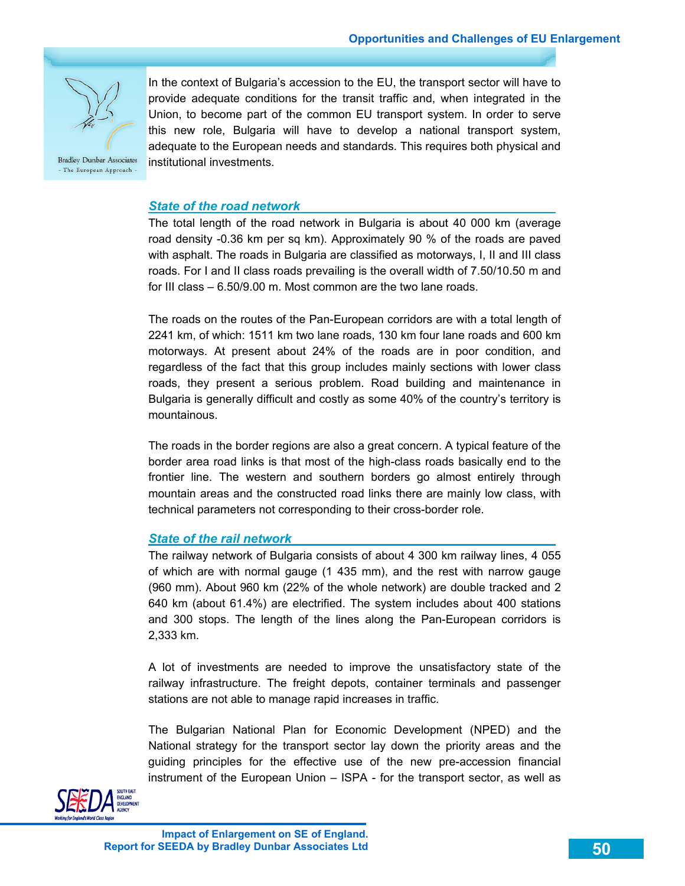

In the context of Bulgaria's accession to the EU, the transport sector will have to provide adequate conditions for the transit traffic and, when integrated in the Union, to become part of the common EU transport system. In order to serve this new role, Bulgaria will have to develop a national transport system, adequate to the European needs and standards. This requires both physical and institutional investments.

*State of the road network* 

The total length of the road network in Bulgaria is about 40 000 km (average road density -0.36 km per sq km). Approximately 90 % of the roads are paved with asphalt. The roads in Bulgaria are classified as motorways, I, II and III class roads. For I and II class roads prevailing is the overall width of 7.50/10.50 m and for III class – 6.50/9.00 m. Most common are the two lane roads.

The roads on the routes of the Pan-European corridors are with a total length of 2241 km, of which: 1511 km two lane roads, 130 km four lane roads and 600 km motorways. At present about 24% of the roads are in poor condition, and regardless of the fact that this group includes mainly sections with lower class roads, they present a serious problem. Road building and maintenance in Bulgaria is generally difficult and costly as some 40% of the country's territory is mountainous.

The roads in the border regions are also a great concern. A typical feature of the border area road links is that most of the high-class roads basically end to the frontier line. The western and southern borders go almost entirely through mountain areas and the constructed road links there are mainly low class, with technical parameters not corresponding to their cross-border role.

#### *State of the rail network*

The railway network of Bulgaria consists of about 4 300 km railway lines, 4 055 of which are with normal gauge (1 435 mm), and the rest with narrow gauge (960 mm). About 960 km (22% of the whole network) are double tracked and 2 640 km (about 61.4%) are electrified. The system includes about 400 stations and 300 stops. The length of the lines along the Pan-European corridors is 2,333 km.

A lot of investments are needed to improve the unsatisfactory state of the railway infrastructure. The freight depots, container terminals and passenger stations are not able to manage rapid increases in traffic.

The Bulgarian National Plan for Economic Development (NPED) and the National strategy for the transport sector lay down the priority areas and the guiding principles for the effective use of the new pre-accession financial instrument of the European Union – ISPA - for the transport sector, as well as

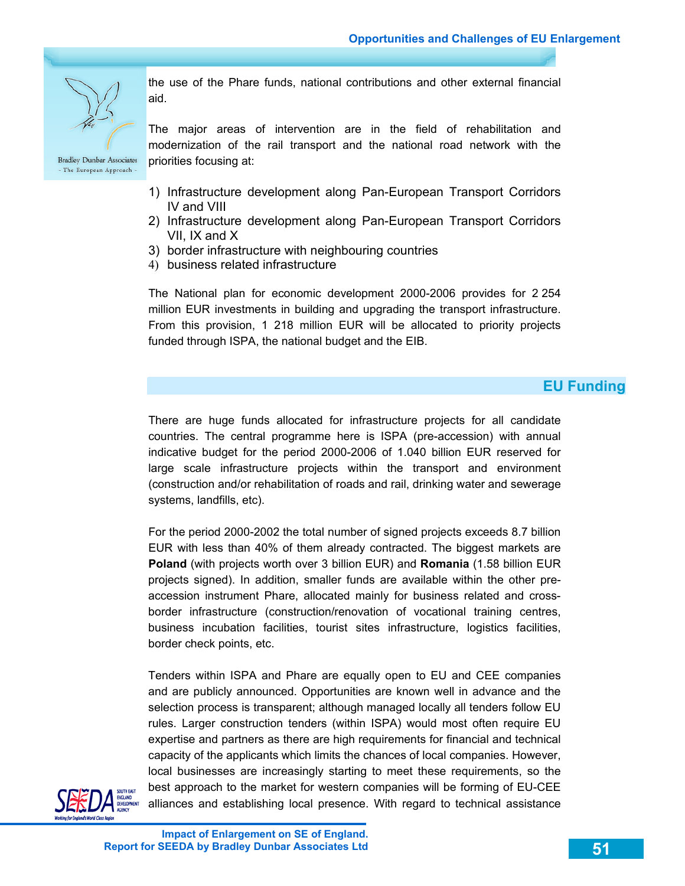

**Bradley Dunbar Associates** 

- The European Approach -

the use of the Phare funds, national contributions and other external financial aid.

The major areas of intervention are in the field of rehabilitation and modernization of the rail transport and the national road network with the priorities focusing at:

- 1) Infrastructure development along Pan-European Transport Corridors IV and VIII
- 2) Infrastructure development along Pan-European Transport Corridors VII, IX and X
- 3) border infrastructure with neighbouring countries
- 4) business related infrastructure

The National plan for economic development 2000-2006 provides for 2 254 million EUR investments in building and upgrading the transport infrastructure. From this provision, 1 218 million EUR will be allocated to priority projects funded through ISPA, the national budget and the EIB.

### **EU Funding**

There are huge funds allocated for infrastructure projects for all candidate countries. The central programme here is ISPA (pre-accession) with annual indicative budget for the period 2000-2006 of 1.040 billion EUR reserved for large scale infrastructure projects within the transport and environment (construction and/or rehabilitation of roads and rail, drinking water and sewerage systems, landfills, etc).

For the period 2000-2002 the total number of signed projects exceeds 8.7 billion EUR with less than 40% of them already contracted. The biggest markets are **Poland** (with projects worth over 3 billion EUR) and **Romania** (1.58 billion EUR projects signed). In addition, smaller funds are available within the other preaccession instrument Phare, allocated mainly for business related and crossborder infrastructure (construction/renovation of vocational training centres, business incubation facilities, tourist sites infrastructure, logistics facilities, border check points, etc.

Tenders within ISPA and Phare are equally open to EU and CEE companies and are publicly announced. Opportunities are known well in advance and the selection process is transparent; although managed locally all tenders follow EU rules. Larger construction tenders (within ISPA) would most often require EU expertise and partners as there are high requirements for financial and technical capacity of the applicants which limits the chances of local companies. However, local businesses are increasingly starting to meet these requirements, so the best approach to the market for western companies will be forming of EU-CEE alliances and establishing local presence. With regard to technical assistance

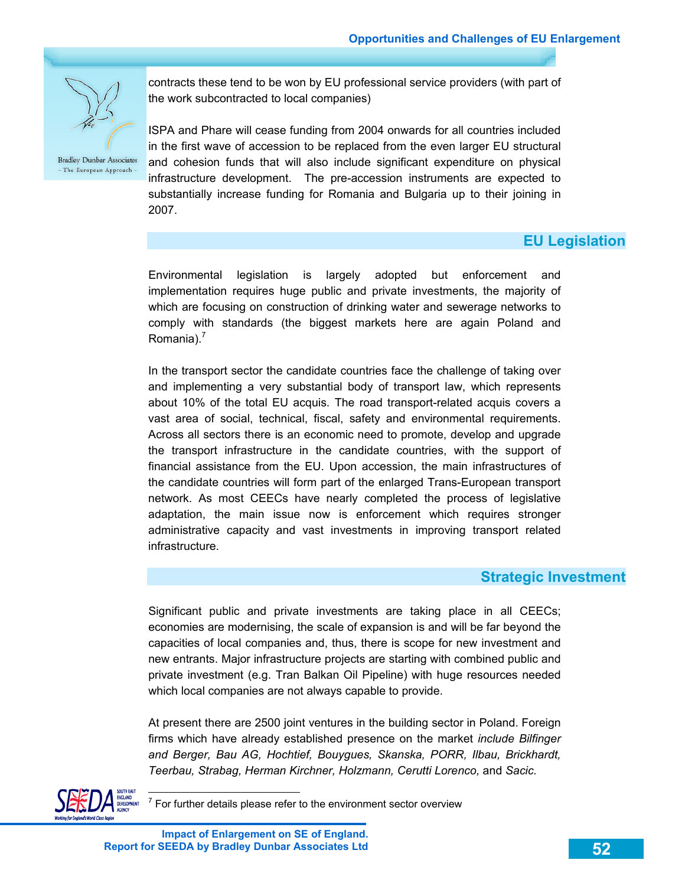

contracts these tend to be won by EU professional service providers (with part of the work subcontracted to local companies)

ISPA and Phare will cease funding from 2004 onwards for all countries included in the first wave of accession to be replaced from the even larger EU structural and cohesion funds that will also include significant expenditure on physical infrastructure development. The pre-accession instruments are expected to substantially increase funding for Romania and Bulgaria up to their joining in 2007.

## **EU Legislation**

Environmental legislation is largely adopted but enforcement and implementation requires huge public and private investments, the majority of which are focusing on construction of drinking water and sewerage networks to comply with standards (the biggest markets here are again Poland and Romania). $<sup>7</sup>$ </sup>

In the transport sector the candidate countries face the challenge of taking over and implementing a very substantial body of transport law, which represents about 10% of the total EU acquis. The road transport-related acquis covers a vast area of social, technical, fiscal, safety and environmental requirements. Across all sectors there is an economic need to promote, develop and upgrade the transport infrastructure in the candidate countries, with the support of financial assistance from the EU. Upon accession, the main infrastructures of the candidate countries will form part of the enlarged Trans-European transport network. As most CEECs have nearly completed the process of legislative adaptation, the main issue now is enforcement which requires stronger administrative capacity and vast investments in improving transport related infrastructure.

### **Strategic Investment**

Significant public and private investments are taking place in all CEECs; economies are modernising, the scale of expansion is and will be far beyond the capacities of local companies and, thus, there is scope for new investment and new entrants. Major infrastructure projects are starting with combined public and private investment (e.g. Tran Balkan Oil Pipeline) with huge resources needed which local companies are not always capable to provide.

At present there are 2500 joint ventures in the building sector in Poland. Foreign firms which have already established presence on the market *include Bilfinger and Berger, Bau AG, Hochtief, Bouygues, Skanska, PORR, Ilbau, Brickhardt, Teerbau, Strabag, Herman Kirchner, Holzmann, Cerutti Lorenco,* and *Sacic.*



To For further details please refer to the environment sector overview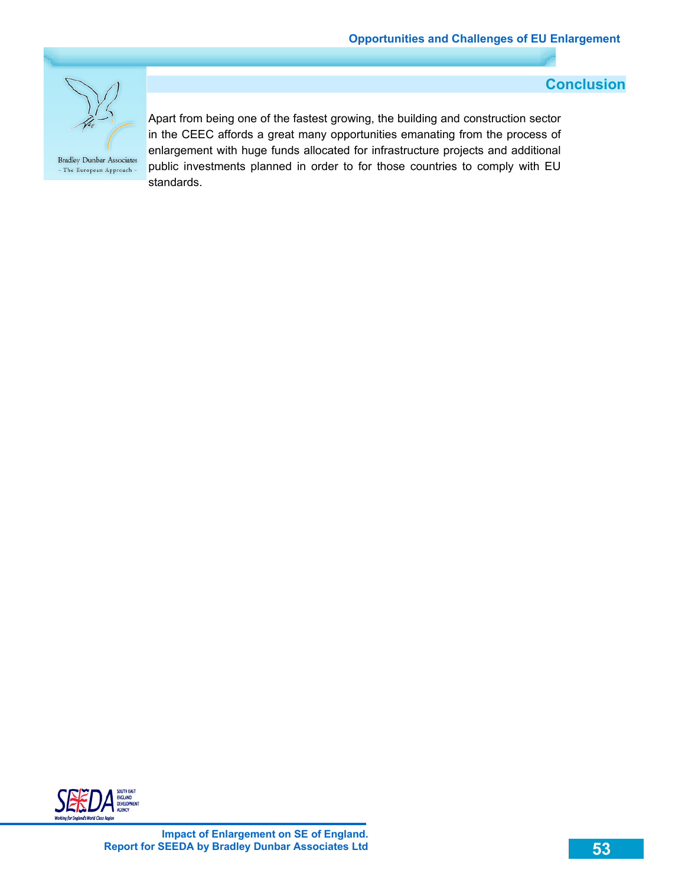

 **Conclusion** 

Apart from being one of the fastest growing, the building and construction sector in the CEEC affords a great many opportunities emanating from the process of enlargement with huge funds allocated for infrastructure projects and additional public investments planned in order to for those countries to comply with EU standards.

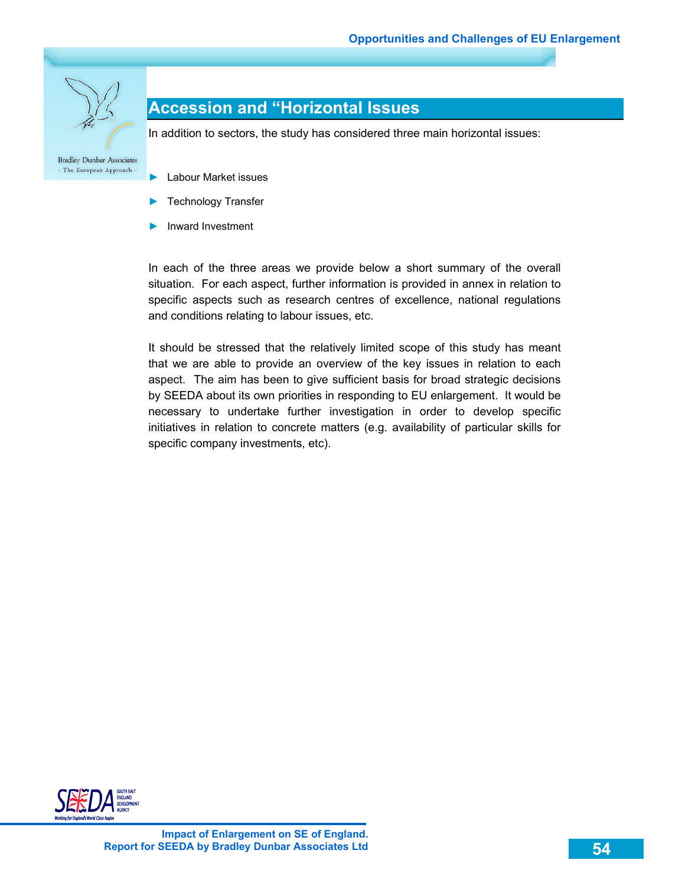

## **Accession and "Horizontal Issues**

In addition to sectors, the study has considered three main horizontal issues:

- The European Approach -
	- ► Labour Market issues
	- Technology Transfer
	- ► Inward Investment

In each of the three areas we provide below a short summary of the overall situation. For each aspect, further information is provided in annex in relation to specific aspects such as research centres of excellence, national regulations and conditions relating to labour issues, etc.

It should be stressed that the relatively limited scope of this study has meant that we are able to provide an overview of the key issues in relation to each aspect. The aim has been to give sufficient basis for broad strategic decisions by SEEDA about its own priorities in responding to EU enlargement. It would be necessary to undertake further investigation in order to develop specific initiatives in relation to concrete matters (e.g. availability of particular skills for specific company investments, etc).

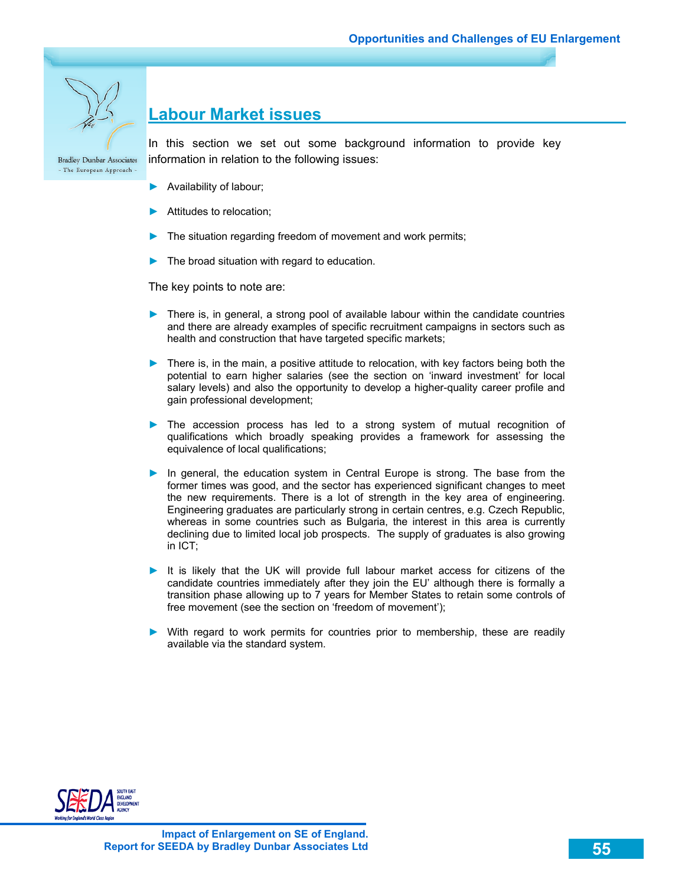

## **Labour Market issues**

**Bradley Dunbar Associates** - The European Approach -

In this section we set out some background information to provide key information in relation to the following issues:

- ► Availability of labour;
- ► Attitudes to relocation;
- The situation regarding freedom of movement and work permits;
- The broad situation with regard to education.

The key points to note are:

- ► There is, in general, a strong pool of available labour within the candidate countries and there are already examples of specific recruitment campaigns in sectors such as health and construction that have targeted specific markets;
- ► There is, in the main, a positive attitude to relocation, with key factors being both the potential to earn higher salaries (see the section on 'inward investment' for local salary levels) and also the opportunity to develop a higher-quality career profile and gain professional development;
- ► The accession process has led to a strong system of mutual recognition of qualifications which broadly speaking provides a framework for assessing the equivalence of local qualifications;
- ► In general, the education system in Central Europe is strong. The base from the former times was good, and the sector has experienced significant changes to meet the new requirements. There is a lot of strength in the key area of engineering. Engineering graduates are particularly strong in certain centres, e.g. Czech Republic, whereas in some countries such as Bulgaria, the interest in this area is currently declining due to limited local job prospects. The supply of graduates is also growing in ICT;
- ► It is likely that the UK will provide full labour market access for citizens of the candidate countries immediately after they join the EU' although there is formally a transition phase allowing up to 7 years for Member States to retain some controls of free movement (see the section on 'freedom of movement');
- ► With regard to work permits for countries prior to membership, these are readily available via the standard system.

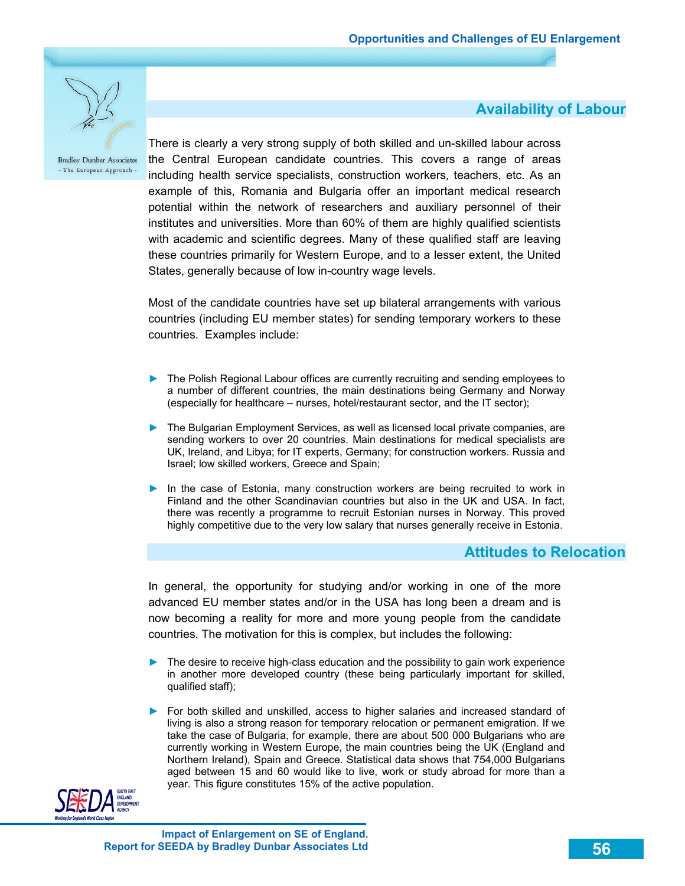

### **Availability of Labour**

There is clearly a very strong supply of both skilled and un-skilled labour across the Central European candidate countries. This covers a range of areas including health service specialists, construction workers, teachers, etc. As an example of this, Romania and Bulgaria offer an important medical research potential within the network of researchers and auxiliary personnel of their institutes and universities. More than 60% of them are highly qualified scientists with academic and scientific degrees. Many of these qualified staff are leaving these countries primarily for Western Europe, and to a lesser extent, the United States, generally because of low in-country wage levels.

Most of the candidate countries have set up bilateral arrangements with various countries (including EU member states) for sending temporary workers to these countries. Examples include:

- ► The Polish Regional Labour offices are currently recruiting and sending employees to a number of different countries, the main destinations being Germany and Norway (especially for healthcare – nurses, hotel/restaurant sector, and the IT sector);
- ► The Bulgarian Employment Services, as well as licensed local private companies, are sending workers to over 20 countries. Main destinations for medical specialists are UK, Ireland, and Libya; for IT experts, Germany; for construction workers. Russia and Israel; low skilled workers, Greece and Spain;
- ► In the case of Estonia, many construction workers are being recruited to work in Finland and the other Scandinavian countries but also in the UK and USA. In fact, there was recently a programme to recruit Estonian nurses in Norway. This proved highly competitive due to the very low salary that nurses generally receive in Estonia.

### **Attitudes to Relocation**

In general, the opportunity for studying and/or working in one of the more advanced EU member states and/or in the USA has long been a dream and is now becoming a reality for more and more young people from the candidate countries. The motivation for this is complex, but includes the following:

- ► The desire to receive high-class education and the possibility to gain work experience in another more developed country (these being particularly important for skilled, qualified staff);
- ► For both skilled and unskilled, access to higher salaries and increased standard of living is also a strong reason for temporary relocation or permanent emigration. If we take the case of Bulgaria, for example, there are about 500 000 Bulgarians who are currently working in Western Europe, the main countries being the UK (England and Northern Ireland), Spain and Greece. Statistical data shows that 754,000 Bulgarians aged between 15 and 60 would like to live, work or study abroad for more than a year. This figure constitutes 15% of the active population.

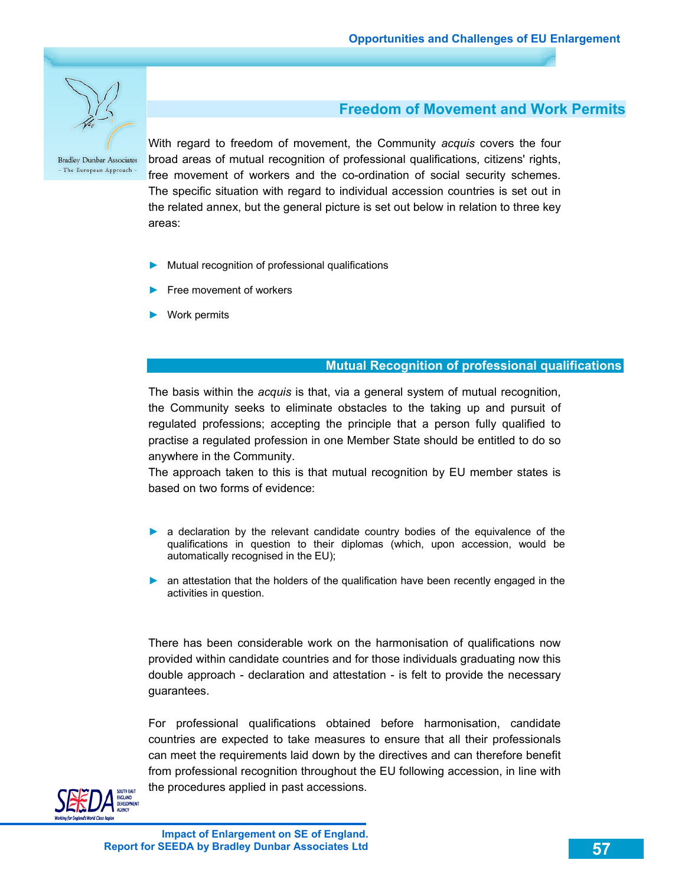

### **Freedom of Movement and Work Permits**

With regard to freedom of movement, the Community *acquis* covers the four broad areas of mutual recognition of professional qualifications, citizens' rights, free movement of workers and the co-ordination of social security schemes. The specific situation with regard to individual accession countries is set out in the related annex, but the general picture is set out below in relation to three key areas:

- ► Mutual recognition of professional qualifications
- Free movement of workers
- ► Work permits

#### **Mutual Recognition of professional qualifications**

The basis within the *acquis* is that, via a general system of mutual recognition, the Community seeks to eliminate obstacles to the taking up and pursuit of regulated professions; accepting the principle that a person fully qualified to practise a regulated profession in one Member State should be entitled to do so anywhere in the Community.

The approach taken to this is that mutual recognition by EU member states is based on two forms of evidence:

- ► a declaration by the relevant candidate country bodies of the equivalence of the qualifications in question to their diplomas (which, upon accession, would be automatically recognised in the EU);
- ► an attestation that the holders of the qualification have been recently engaged in the activities in question.

There has been considerable work on the harmonisation of qualifications now provided within candidate countries and for those individuals graduating now this double approach - declaration and attestation - is felt to provide the necessary guarantees.

For professional qualifications obtained before harmonisation, candidate countries are expected to take measures to ensure that all their professionals can meet the requirements laid down by the directives and can therefore benefit from professional recognition throughout the EU following accession, in line with the procedures applied in past accessions.

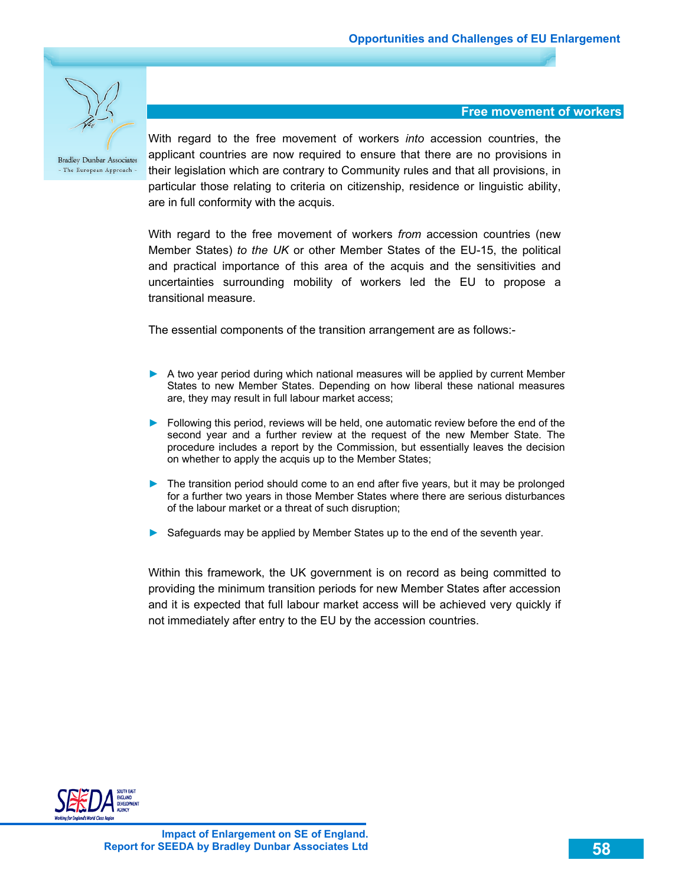

**Free movement of workers** 

With regard to the free movement of workers *into* accession countries, the applicant countries are now required to ensure that there are no provisions in their legislation which are contrary to Community rules and that all provisions, in particular those relating to criteria on citizenship, residence or linguistic ability, are in full conformity with the acquis.

With regard to the free movement of workers *from* accession countries (new Member States) *to the UK* or other Member States of the EU-15, the political and practical importance of this area of the acquis and the sensitivities and uncertainties surrounding mobility of workers led the EU to propose a transitional measure.

The essential components of the transition arrangement are as follows:-

- ► A two year period during which national measures will be applied by current Member States to new Member States. Depending on how liberal these national measures are, they may result in full labour market access;
- ► Following this period, reviews will be held, one automatic review before the end of the second year and a further review at the request of the new Member State. The procedure includes a report by the Commission, but essentially leaves the decision on whether to apply the acquis up to the Member States;
- ► The transition period should come to an end after five years, but it may be prolonged for a further two years in those Member States where there are serious disturbances of the labour market or a threat of such disruption;
- ► Safeguards may be applied by Member States up to the end of the seventh year.

Within this framework, the UK government is on record as being committed to providing the minimum transition periods for new Member States after accession and it is expected that full labour market access will be achieved very quickly if not immediately after entry to the EU by the accession countries.

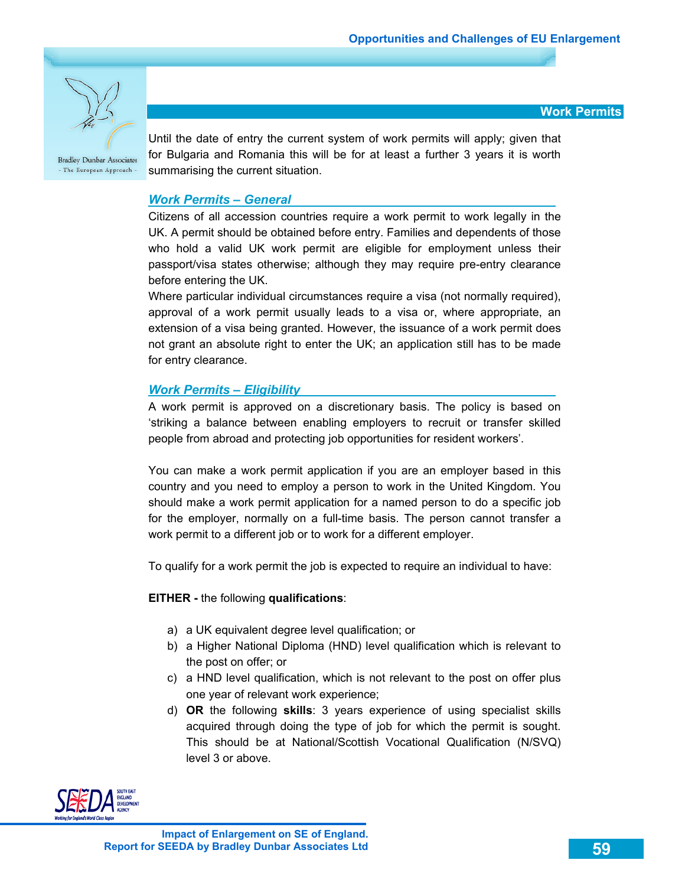

**Work Permits** 

Until the date of entry the current system of work permits will apply; given that for Bulgaria and Romania this will be for at least a further 3 years it is worth summarising the current situation.

### *Work Permits – General*

Citizens of all accession countries require a work permit to work legally in the UK. A permit should be obtained before entry. Families and dependents of those who hold a valid UK work permit are eligible for employment unless their passport/visa states otherwise; although they may require pre-entry clearance before entering the UK.

Where particular individual circumstances require a visa (not normally required), approval of a work permit usually leads to a visa or, where appropriate, an extension of a visa being granted. However, the issuance of a work permit does not grant an absolute right to enter the UK; an application still has to be made for entry clearance.

### *Work Permits – Eligibility*

A work permit is approved on a discretionary basis. The policy is based on 'striking a balance between enabling employers to recruit or transfer skilled people from abroad and protecting job opportunities for resident workers'.

You can make a work permit application if you are an employer based in this country and you need to employ a person to work in the United Kingdom. You should make a work permit application for a named person to do a specific job for the employer, normally on a full-time basis. The person cannot transfer a work permit to a different job or to work for a different employer.

To qualify for a work permit the job is expected to require an individual to have:

### **EITHER -** the following **qualifications**:

- a) a UK equivalent degree level qualification; or
- b) a Higher National Diploma (HND) level qualification which is relevant to the post on offer; or
- c) a HND level qualification, which is not relevant to the post on offer plus one year of relevant work experience;
- d) **OR** the following **skills**: 3 years experience of using specialist skills acquired through doing the type of job for which the permit is sought. This should be at National/Scottish Vocational Qualification (N/SVQ) level 3 or above.

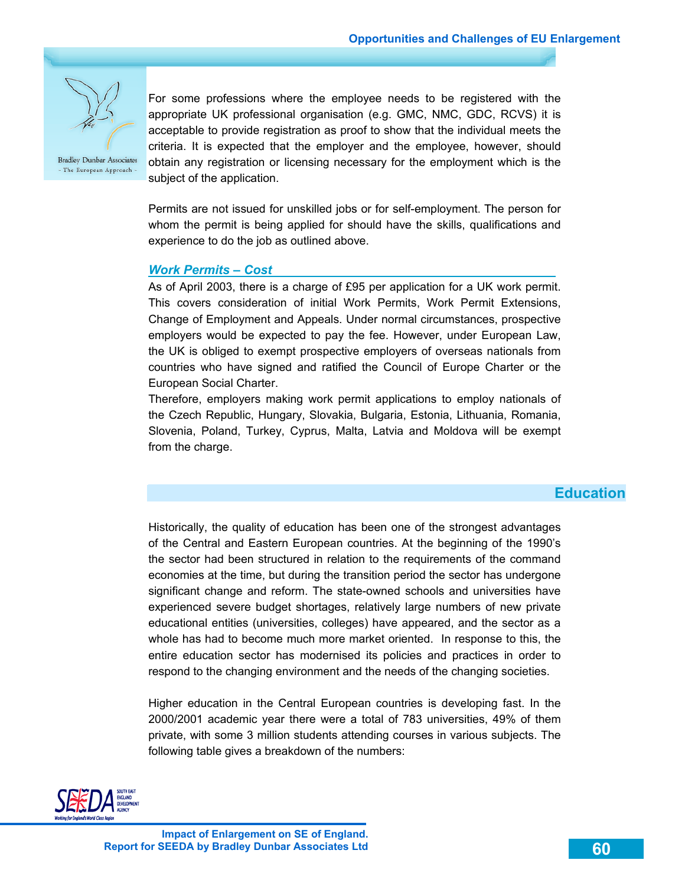

For some professions where the employee needs to be registered with the appropriate UK professional organisation (e.g. GMC, NMC, GDC, RCVS) it is acceptable to provide registration as proof to show that the individual meets the criteria. It is expected that the employer and the employee, however, should obtain any registration or licensing necessary for the employment which is the subject of the application.

Permits are not issued for unskilled jobs or for self-employment. The person for whom the permit is being applied for should have the skills, qualifications and experience to do the job as outlined above.

#### *Work Permits – Cost*

As of April 2003, there is a charge of £95 per application for a UK work permit. This covers consideration of initial Work Permits, Work Permit Extensions, Change of Employment and Appeals. Under normal circumstances, prospective employers would be expected to pay the fee. However, under European Law, the UK is obliged to exempt prospective employers of overseas nationals from countries who have signed and ratified the Council of Europe Charter or the European Social Charter.

Therefore, employers making work permit applications to employ nationals of the Czech Republic, Hungary, Slovakia, Bulgaria, Estonia, Lithuania, Romania, Slovenia, Poland, Turkey, Cyprus, Malta, Latvia and Moldova will be exempt from the charge.

### **Education**

Historically, the quality of education has been one of the strongest advantages of the Central and Eastern European countries. At the beginning of the 1990's the sector had been structured in relation to the requirements of the command economies at the time, but during the transition period the sector has undergone significant change and reform. The state-owned schools and universities have experienced severe budget shortages, relatively large numbers of new private educational entities (universities, colleges) have appeared, and the sector as a whole has had to become much more market oriented. In response to this, the entire education sector has modernised its policies and practices in order to respond to the changing environment and the needs of the changing societies.

Higher education in the Central European countries is developing fast. In the 2000/2001 academic year there were a total of 783 universities, 49% of them private, with some 3 million students attending courses in various subjects. The following table gives a breakdown of the numbers:

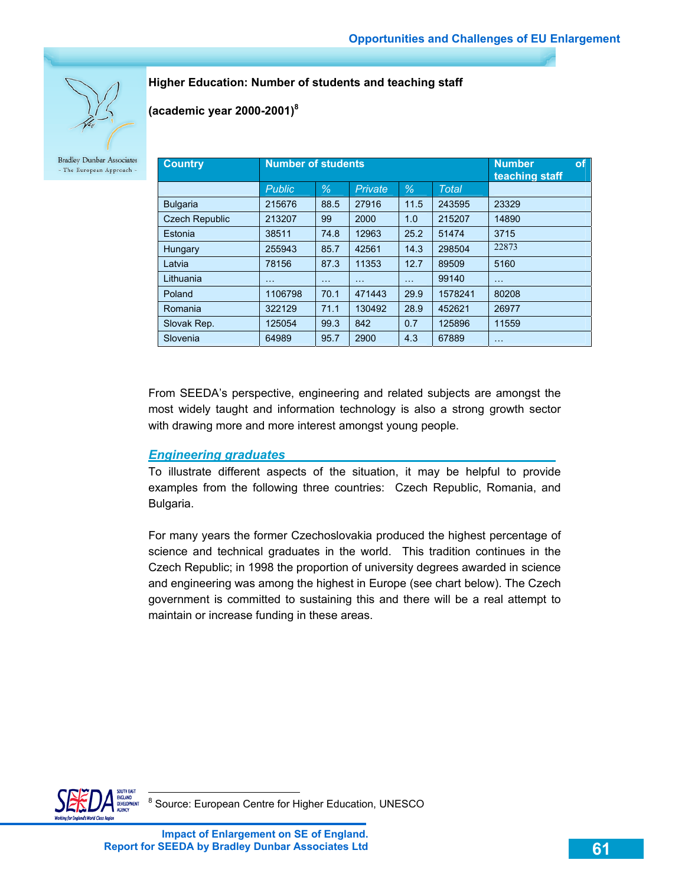**Higher Education: Number of students and teaching staff** 

**(academic year 2000-2001)8**

**Bradley Dunbar Associates** - The European Approach -

| <b>Country</b>        | <b>Number of students</b> |          | of<br><b>Number</b><br>teaching staff |          |              |          |
|-----------------------|---------------------------|----------|---------------------------------------|----------|--------------|----------|
|                       | <b>Public</b>             | $\%$     | Private                               | $\%$     | <b>Total</b> |          |
| <b>Bulgaria</b>       | 215676                    | 88.5     | 27916                                 | 11.5     | 243595       | 23329    |
| <b>Czech Republic</b> | 213207                    | 99       | 2000                                  | 1.0      | 215207       | 14890    |
| Estonia               | 38511                     | 74.8     | 12963                                 | 25.2     | 51474        | 3715     |
| Hungary               | 255943                    | 85.7     | 42561                                 | 14.3     | 298504       | 22873    |
| Latvia                | 78156                     | 87.3     | 11353                                 | 12.7     | 89509        | 5160     |
| Lithuania             | $\cdots$                  | $\cdots$ | $\cdots$                              | $\cdots$ | 99140        | $\cdots$ |
| Poland                | 1106798                   | 70.1     | 471443                                | 29.9     | 1578241      | 80208    |
| Romania               | 322129                    | 71.1     | 130492                                | 28.9     | 452621       | 26977    |
| Slovak Rep.           | 125054                    | 99.3     | 842                                   | 0.7      | 125896       | 11559    |
| Slovenia              | 64989                     | 95.7     | 2900                                  | 4.3      | 67889        | $\cdots$ |

From SEEDA's perspective, engineering and related subjects are amongst the most widely taught and information technology is also a strong growth sector with drawing more and more interest amongst young people.

### *Engineering graduates*

To illustrate different aspects of the situation, it may be helpful to provide examples from the following three countries: Czech Republic, Romania, and Bulgaria.

For many years the former Czechoslovakia produced the highest percentage of science and technical graduates in the world. This tradition continues in the Czech Republic; in 1998 the proportion of university degrees awarded in science and engineering was among the highest in Europe (see chart below). The Czech government is committed to sustaining this and there will be a real attempt to maintain or increase funding in these areas.



entified by the matter of the matter source: European Centre for Higher Education, UNESCO matter of the SCO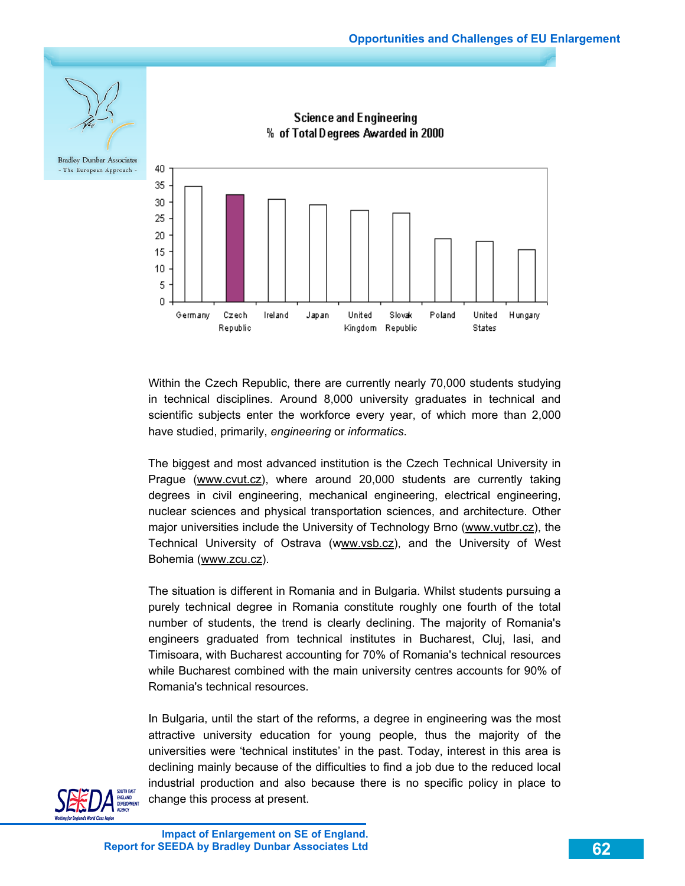

Within the Czech Republic, there are currently nearly 70,000 students studying in technical disciplines. Around 8,000 university graduates in technical and scientific subjects enter the workforce every year, of which more than 2,000 have studied, primarily, *engineering* or *informatics*.

The biggest and most advanced institution is the Czech Technical University in Prague (www.cvut.cz), where around 20,000 students are currently taking degrees in civil engineering, mechanical engineering, electrical engineering, nuclear sciences and physical transportation sciences, and architecture. Other major universities include the University of Technology Brno (www.vutbr.cz), the Technical University of Ostrava (www.vsb.cz), and the University of West Bohemia (www.zcu.cz).

The situation is different in Romania and in Bulgaria. Whilst students pursuing a purely technical degree in Romania constitute roughly one fourth of the total number of students, the trend is clearly declining. The majority of Romania's engineers graduated from technical institutes in Bucharest, Cluj, Iasi, and Timisoara, with Bucharest accounting for 70% of Romania's technical resources while Bucharest combined with the main university centres accounts for 90% of Romania's technical resources.

In Bulgaria, until the start of the reforms, a degree in engineering was the most attractive university education for young people, thus the majority of the universities were 'technical institutes' in the past. Today, interest in this area is declining mainly because of the difficulties to find a job due to the reduced local industrial production and also because there is no specific policy in place to change this process at present.

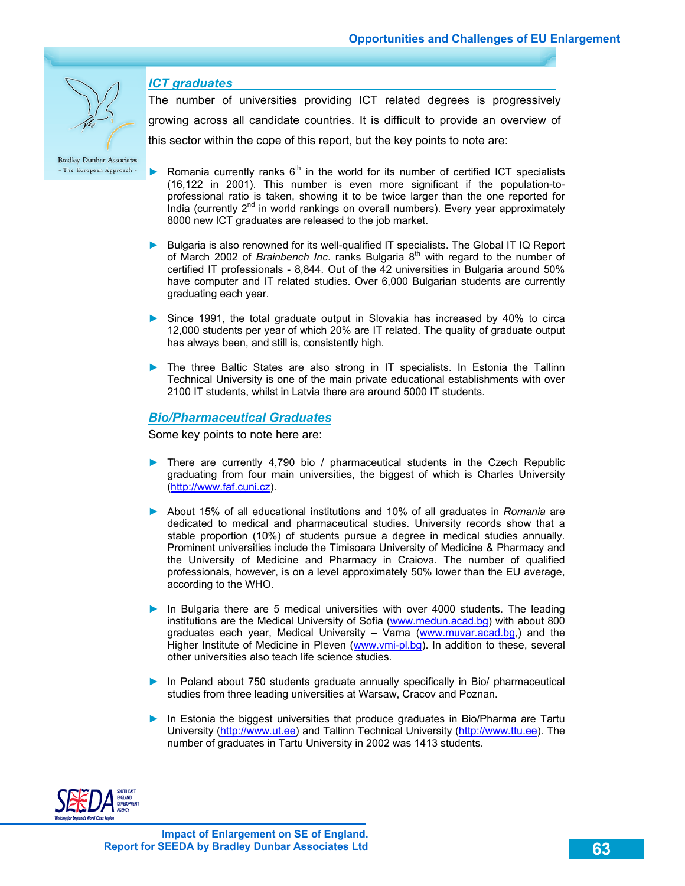#### *ICT graduates*

The number of universities providing ICT related degrees is progressively growing across all candidate countries. It is difficult to provide an overview of this sector within the cope of this report, but the key points to note are:

**Bradley Dunbar Associates** - The European Approach -

- Romania currently ranks  $6<sup>th</sup>$  in the world for its number of certified ICT specialists (16,122 in 2001). This number is even more significant if the population-toprofessional ratio is taken, showing it to be twice larger than the one reported for India (currently 2<sup>nd</sup> in world rankings on overall numbers). Every year approximately 8000 new ICT graduates are released to the job market.
- ► Bulgaria is also renowned for its well-qualified IT specialists. The Global IT IQ Report of March 2002 of *Brainbench Inc.* ranks Bulgaria 8<sup>th</sup> with regard to the number of certified IT professionals - 8,844. Out of the 42 universities in Bulgaria around 50% have computer and IT related studies. Over 6,000 Bulgarian students are currently graduating each year.
- ► Since 1991, the total graduate output in Slovakia has increased by 40% to circa 12,000 students per year of which 20% are IT related. The quality of graduate output has always been, and still is, consistently high.
- ► The three Baltic States are also strong in IT specialists. In Estonia the Tallinn Technical University is one of the main private educational establishments with over 2100 IT students, whilst in Latvia there are around 5000 IT students.

#### *Bio/Pharmaceutical Graduates*

Some key points to note here are:

- ► There are currently 4,790 bio / pharmaceutical students in the Czech Republic graduating from four main universities, the biggest of which is Charles University (http://www.faf.cuni.cz).
- ► About 15% of all educational institutions and 10% of all graduates in *Romania* are dedicated to medical and pharmaceutical studies. University records show that a stable proportion (10%) of students pursue a degree in medical studies annually. Prominent universities include the Timisoara University of Medicine & Pharmacy and the University of Medicine and Pharmacy in Craiova. The number of qualified professionals, however, is on a level approximately 50% lower than the EU average, according to the WHO.
- ► In Bulgaria there are 5 medical universities with over 4000 students. The leading institutions are the Medical University of Sofia (www.medun.acad.bg) with about 800 graduates each year, Medical University - Varna (www.muvar.acad.bg.) and the Higher Institute of Medicine in Pleven (www.vmi-pl.bg). In addition to these, several other universities also teach life science studies.
- ► In Poland about 750 students graduate annually specifically in Bio/ pharmaceutical studies from three leading universities at Warsaw, Cracov and Poznan.
- ► In Estonia the biggest universities that produce graduates in Bio/Pharma are Tartu University (http://www.ut.ee) and Tallinn Technical University (http://www.ttu.ee). The number of graduates in Tartu University in 2002 was 1413 students.

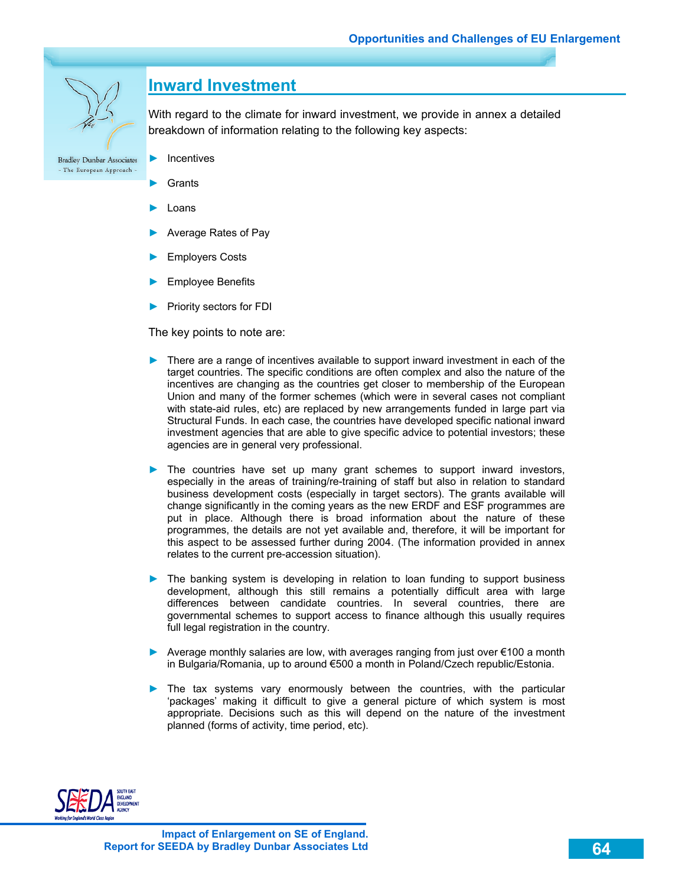

## **Inward Investment**

With regard to the climate for inward investment, we provide in annex a detailed breakdown of information relating to the following key aspects:

- ► Incentives
- **Grants**
- ► Loans
- ► Average Rates of Pay
- Employers Costs
- ► Employee Benefits
- ► Priority sectors for FDI

The key points to note are:

- ► There are a range of incentives available to support inward investment in each of the target countries. The specific conditions are often complex and also the nature of the incentives are changing as the countries get closer to membership of the European Union and many of the former schemes (which were in several cases not compliant with state-aid rules, etc) are replaced by new arrangements funded in large part via Structural Funds. In each case, the countries have developed specific national inward investment agencies that are able to give specific advice to potential investors; these agencies are in general very professional.
- ► The countries have set up many grant schemes to support inward investors, especially in the areas of training/re-training of staff but also in relation to standard business development costs (especially in target sectors). The grants available will change significantly in the coming years as the new ERDF and ESF programmes are put in place. Although there is broad information about the nature of these programmes, the details are not yet available and, therefore, it will be important for this aspect to be assessed further during 2004. (The information provided in annex relates to the current pre-accession situation).
- ► The banking system is developing in relation to loan funding to support business development, although this still remains a potentially difficult area with large differences between candidate countries. In several countries, there are governmental schemes to support access to finance although this usually requires full legal registration in the country.
- ► Average monthly salaries are low, with averages ranging from just over €100 a month in Bulgaria/Romania, up to around €500 a month in Poland/Czech republic/Estonia.
- ► The tax systems vary enormously between the countries, with the particular 'packages' making it difficult to give a general picture of which system is most appropriate. Decisions such as this will depend on the nature of the investment planned (forms of activity, time period, etc).

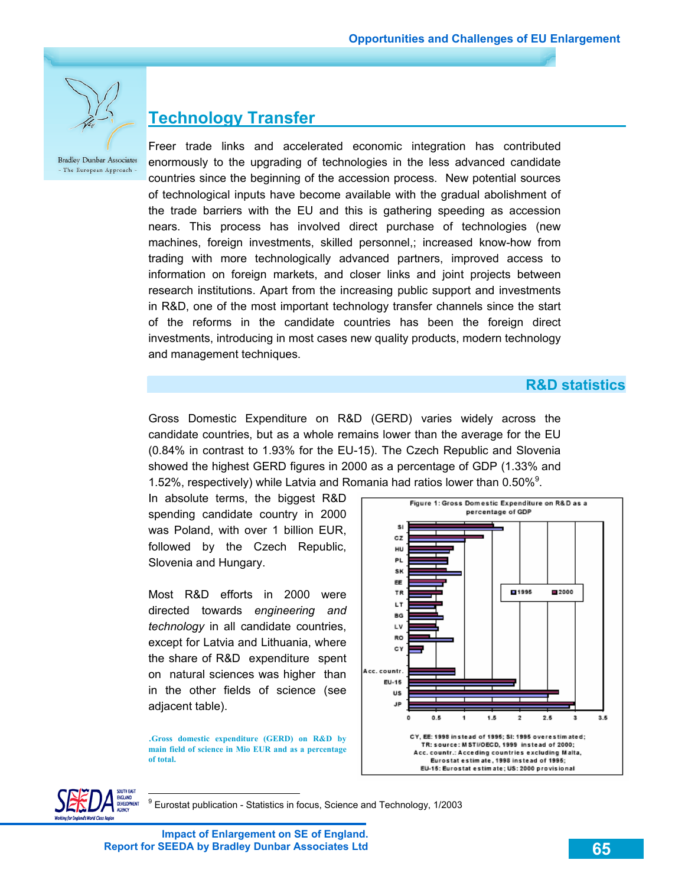

# **Technology Transfer**

Freer trade links and accelerated economic integration has contributed enormously to the upgrading of technologies in the less advanced candidate countries since the beginning of the accession process. New potential sources of technological inputs have become available with the gradual abolishment of the trade barriers with the EU and this is gathering speeding as accession nears. This process has involved direct purchase of technologies (new machines, foreign investments, skilled personnel,; increased know-how from trading with more technologically advanced partners, improved access to information on foreign markets, and closer links and joint projects between research institutions. Apart from the increasing public support and investments in R&D, one of the most important technology transfer channels since the start of the reforms in the candidate countries has been the foreign direct investments, introducing in most cases new quality products, modern technology and management techniques.

### **R&D statistics**

Gross Domestic Expenditure on R&D (GERD) varies widely across the candidate countries, but as a whole remains lower than the average for the EU (0.84% in contrast to 1.93% for the EU-15). The Czech Republic and Slovenia showed the highest GERD figures in 2000 as a percentage of GDP (1.33% and 1.52%, respectively) while Latvia and Romania had ratios lower than  $0.50\%$ <sup>9</sup>.

In absolute terms, the biggest R&D spending candidate country in 2000 was Poland, with over 1 billion EUR, followed by the Czech Republic, Slovenia and Hungary.

Most R&D efforts in 2000 were directed towards *engineering and technology* in all candidate countries, except for Latvia and Lithuania, where the share of R&D expenditure spent on natural sciences was higher than in the other fields of science (see adjacent table).

.**Gross domestic expenditure (GERD) on R&D by main field of science in Mio EUR and as a percentage of total.** 





9 Eurostat publication - Statistics in focus, Science and Technology, 1/2003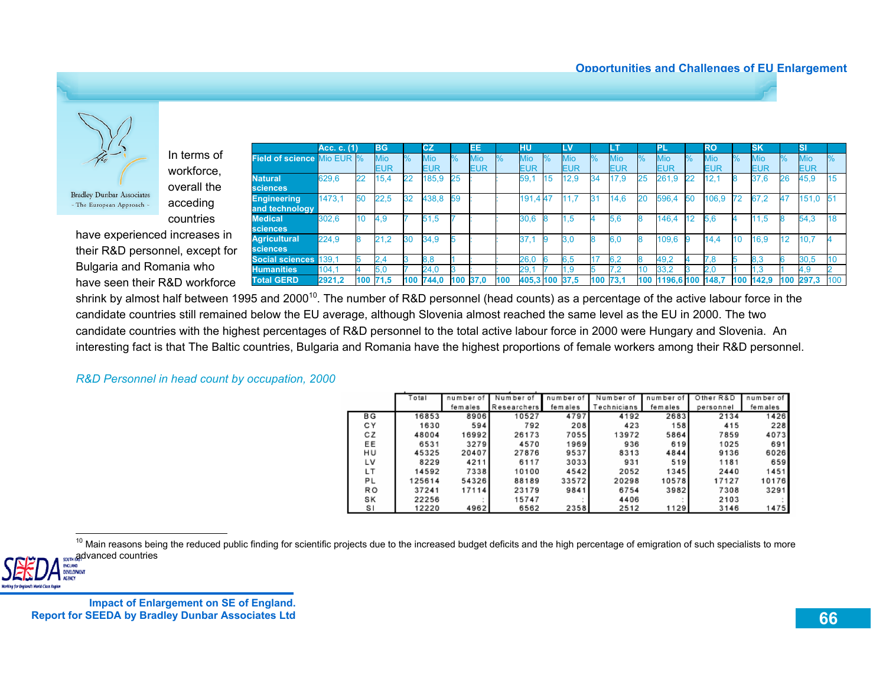

In terms of workforce, overall the acceding countries

have experienced increases in their R&D personnel, except for Bulgaria and Romania who have seen their R&D workforce

|                                      | Acc. c. (1) |     | <b>BG</b>         |               | CZ         |      | EЕ                       |     | нu                |               | LV                |               |                   |     | ЧEГ               |      | RO                |      | <b>SK</b>                |      | SI                       |     |
|--------------------------------------|-------------|-----|-------------------|---------------|------------|------|--------------------------|-----|-------------------|---------------|-------------------|---------------|-------------------|-----|-------------------|------|-------------------|------|--------------------------|------|--------------------------|-----|
| <b>Field of science Mio EUR %</b>    |             |     | <b>Mio</b><br>EUR | $\frac{0}{0}$ | Mio<br>EUR | $\%$ | <b>Mio</b><br><b>EUR</b> | ℅   | Mio<br><b>EUR</b> | $\frac{9}{6}$ | <b>Mio</b><br>EUR | $\frac{9}{6}$ | <b>Mio</b><br>EUR | %   | <b>Mio</b><br>EUR | $\%$ | <b>Mio</b><br>EUR | $\%$ | <b>Mio</b><br><b>EUR</b> | $\%$ | <b>Mio</b><br><b>EUR</b> |     |
| <b>Natural</b><br><b>sciences</b>    | 629.6       | 22  | 15.4              | 22            | 185.9      | 25   |                          |     | 59.               | 15            | 12.9              | 34            | 17.9              | 25  | 261.9             | 22   | 12.1              |      | 37.6                     | 26   | 45,9                     | 15  |
| <b>Engineering</b><br>and technology | 1473.1      | 50  | 22.5              | 32            | 438.8      | 59   |                          |     | 191,447           |               | 11.7              | 31            | 14.6              | 20  | 596.4             | 50   | 106.9             | 72   | 67.2                     | 47   | 151.0                    | 51  |
| <b>Medical</b><br>sciences           | 302.6       | 10  | 4.9               |               | 51.5       |      |                          |     | 30.6              | 8             | 1.5               |               | 5.6               | 8   | 146.4             | 12   | 5.6               |      | 11.5                     |      | 54.3                     | 18  |
| <b>Agricultural</b><br>sciences      | 224.9       |     | 21.2              | 30            | 34.9       |      |                          |     | 37.7              | 9             | 3.0               | <b>B</b>      | 6.0               | 8   | 109.6             | 9    | 14.4              | 10   | 16.9                     | 12   | 10,7                     |     |
| <b>Social sciences</b>               | 139,1       |     | 2.4               |               | 8,8        |      |                          |     | 26,0              | 6             | 6,5               |               | 6,2               | 8   | 49,2              |      | 7,8               |      | 8,3                      |      | 30,5                     |     |
| <b>Humanities</b>                    | 104.1       |     | 5.0               |               | 24,0       |      |                          |     | 29.               |               | .9                |               | 7.2               | 10  | 33,2              |      | 2,0               |      | 1.3                      |      | 4.9                      |     |
| <b>Total GERD</b>                    | 2921,2      | 100 | 71.5              | 100           | 744.0      | 100  | 37.0                     | 100 | 405,3 100         |               | 37.5              | 100           | 73,1              | 100 | 1196,6 100        |      | 148.7             | 100  | 142.9                    | 100  | 297.3                    | 100 |

shrink by almost half between 1995 and 2000<sup>10</sup>. The number of R&D personnel (head counts) as a percentage of the active labour force in the candidate countries still remained below the EU average, although Slovenia almost reached the same level as the EU in 2000. The two candidate countries with the highest percentages of R&D personnel to the total active labour force in 2000 were Hungary and Slovenia. An interesting fact is that The Baltic countries, Bulgaria and Romania have the highest proportions of female workers among their R&D personnel.

#### *R&D Personnel in head count by occupation, 2000*

|                | otal   | number of | Number of   | number of | Number of   | number of | Other R&D | number of |
|----------------|--------|-----------|-------------|-----------|-------------|-----------|-----------|-----------|
|                |        | females   | Researchers | fem ales  | echnicians. | females   | personnel | females   |
| ВG             | 16853  | 8906      | 10527       | 4797      | 4192        | 2683      | 2134      | 1426      |
| СY             | 1630   | 594       | 792         | 208       | 423         | 158       | 415       | 228       |
| СZ             | 48004  | 16992     | 26173       | 7055      | 13972       | 5864      | 7859      | 4073      |
| EE             | 6531   | 3279      | 4570        | 1969      | 936         | 619       | 1025      | 691       |
| HU             | 45325  | 20407     | 27876       | 9537      | 8313        | 4844      | 9136      | 6026      |
| LV             | 8229   | 4211      | 6117        | 3033      | 931         | 519       | 1181      | 659       |
| LТ             | 14592  | 7338      | 10100       | 4542      | 2052        | 1345      | 2440      | 1451      |
| PL             | 125614 | 54326     | 88189       | 33572     | 20298       | 10578     | 17127     | 10176     |
| R <sub>O</sub> | 37241  | 17114     | 23179       | 9841      | 6754        | 3982      | 7308      | 3291      |
| SK             | 22256  |           | 15747       |           | 4406        |           | 2103      |           |
| s١             | 12220  | 4962      | 6562        | 2358      | 2512        | 1129      | 3146      | 1475      |

<sup>10</sup> Main reasons being the reduced public finding for scientific projects due to the increased budget deficits and the high percentage of emigration of such specialists to more advanced countries



**Impact of Enlargement on SE of England. Report for SEEDA by Bradley Dunbar Associates Ltd**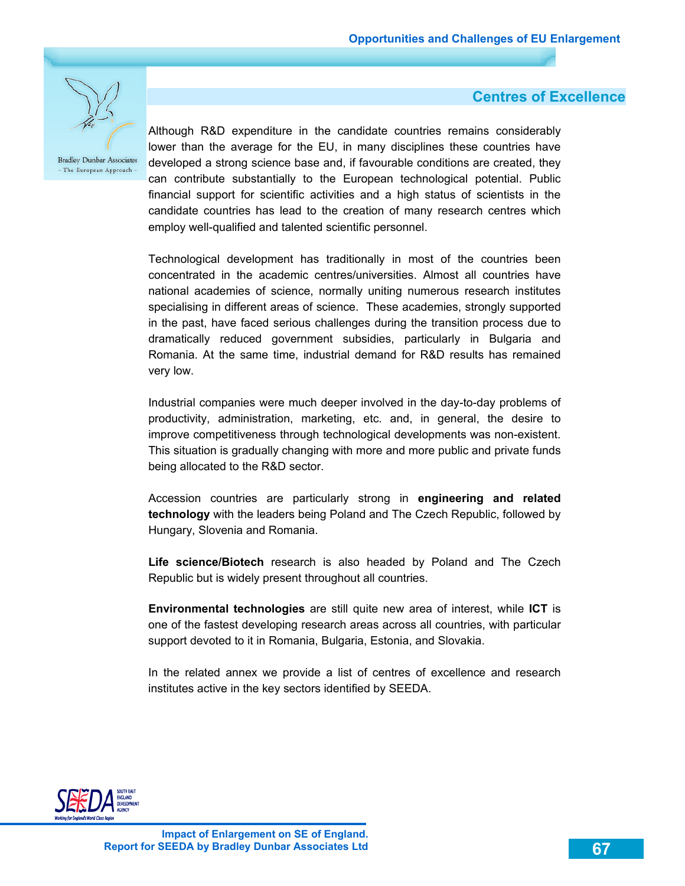

### **Centres of Excellence**

Although R&D expenditure in the candidate countries remains considerably lower than the average for the EU, in many disciplines these countries have developed a strong science base and, if favourable conditions are created, they can contribute substantially to the European technological potential. Public financial support for scientific activities and a high status of scientists in the candidate countries has lead to the creation of many research centres which employ well-qualified and talented scientific personnel.

Technological development has traditionally in most of the countries been concentrated in the academic centres/universities. Almost all countries have national academies of science, normally uniting numerous research institutes specialising in different areas of science. These academies, strongly supported in the past, have faced serious challenges during the transition process due to dramatically reduced government subsidies, particularly in Bulgaria and Romania. At the same time, industrial demand for R&D results has remained very low.

Industrial companies were much deeper involved in the day-to-day problems of productivity, administration, marketing, etc. and, in general, the desire to improve competitiveness through technological developments was non-existent. This situation is gradually changing with more and more public and private funds being allocated to the R&D sector.

Accession countries are particularly strong in **engineering and related technology** with the leaders being Poland and The Czech Republic, followed by Hungary, Slovenia and Romania.

**Life science/Biotech** research is also headed by Poland and The Czech Republic but is widely present throughout all countries.

**Environmental technologies** are still quite new area of interest, while **ICT** is one of the fastest developing research areas across all countries, with particular support devoted to it in Romania, Bulgaria, Estonia, and Slovakia.

In the related annex we provide a list of centres of excellence and research institutes active in the key sectors identified by SEEDA.

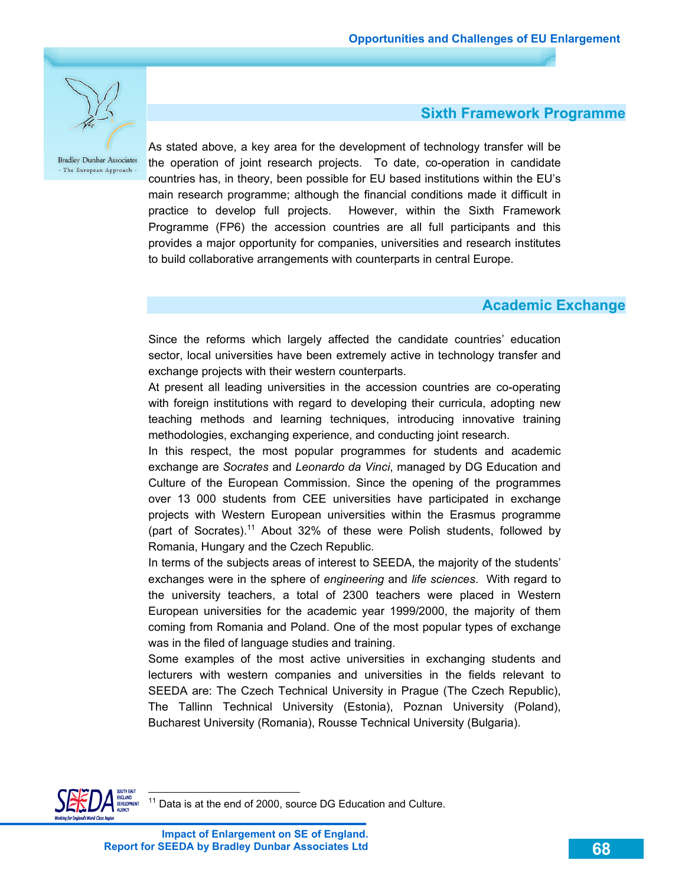

 **Sixth Framework Programme** 

As stated above, a key area for the development of technology transfer will be the operation of joint research projects. To date, co-operation in candidate countries has, in theory, been possible for EU based institutions within the EU's main research programme; although the financial conditions made it difficult in practice to develop full projects. However, within the Sixth Framework Programme (FP6) the accession countries are all full participants and this provides a major opportunity for companies, universities and research institutes to build collaborative arrangements with counterparts in central Europe.

### **Academic Exchange**

Since the reforms which largely affected the candidate countries' education sector, local universities have been extremely active in technology transfer and exchange projects with their western counterparts.

At present all leading universities in the accession countries are co-operating with foreign institutions with regard to developing their curricula, adopting new teaching methods and learning techniques, introducing innovative training methodologies, exchanging experience, and conducting joint research.

In this respect, the most popular programmes for students and academic exchange are *Socrates* and *Leonardo da Vinci*, managed by DG Education and Culture of the European Commission. Since the opening of the programmes over 13 000 students from CEE universities have participated in exchange projects with Western European universities within the Erasmus programme (part of Socrates).<sup>11</sup> About 32% of these were Polish students, followed by Romania, Hungary and the Czech Republic.

In terms of the subjects areas of interest to SEEDA, the majority of the students' exchanges were in the sphere of *engineering* and *life sciences*. With regard to the university teachers, a total of 2300 teachers were placed in Western European universities for the academic year 1999/2000, the majority of them coming from Romania and Poland. One of the most popular types of exchange was in the filed of language studies and training.

Some examples of the most active universities in exchanging students and lecturers with western companies and universities in the fields relevant to SEEDA are: The Czech Technical University in Prague (The Czech Republic), The Tallinn Technical University (Estonia), Poznan University (Poland), Bucharest University (Romania), Rousse Technical University (Bulgaria).



 $\overline{a}$ 

**Impact of Enlargement on SE of England. Report for SEEDA by Bradley Dunbar Associates Ltd**

Data is at the end of 2000, source DG Education and Culture.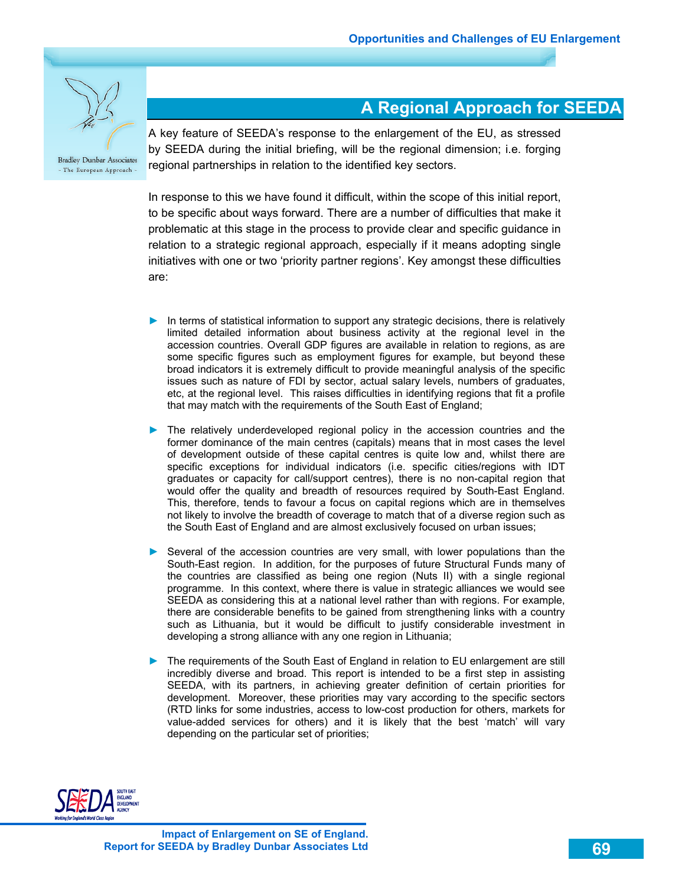

**A Regional Approach for SEEDA** 

A key feature of SEEDA's response to the enlargement of the EU, as stressed by SEEDA during the initial briefing, will be the regional dimension; i.e. forging regional partnerships in relation to the identified key sectors.

In response to this we have found it difficult, within the scope of this initial report, to be specific about ways forward. There are a number of difficulties that make it problematic at this stage in the process to provide clear and specific guidance in relation to a strategic regional approach, especially if it means adopting single initiatives with one or two 'priority partner regions'. Key amongst these difficulties are:

- ► In terms of statistical information to support any strategic decisions, there is relatively limited detailed information about business activity at the regional level in the accession countries. Overall GDP figures are available in relation to regions, as are some specific figures such as employment figures for example, but beyond these broad indicators it is extremely difficult to provide meaningful analysis of the specific issues such as nature of FDI by sector, actual salary levels, numbers of graduates, etc, at the regional level. This raises difficulties in identifying regions that fit a profile that may match with the requirements of the South East of England;
- ► The relatively underdeveloped regional policy in the accession countries and the former dominance of the main centres (capitals) means that in most cases the level of development outside of these capital centres is quite low and, whilst there are specific exceptions for individual indicators (i.e. specific cities/regions with IDT graduates or capacity for call/support centres), there is no non-capital region that would offer the quality and breadth of resources required by South-East England. This, therefore, tends to favour a focus on capital regions which are in themselves not likely to involve the breadth of coverage to match that of a diverse region such as the South East of England and are almost exclusively focused on urban issues;
- ► Several of the accession countries are very small, with lower populations than the South-East region. In addition, for the purposes of future Structural Funds many of the countries are classified as being one region (Nuts II) with a single regional programme. In this context, where there is value in strategic alliances we would see SEEDA as considering this at a national level rather than with regions. For example, there are considerable benefits to be gained from strengthening links with a country such as Lithuania, but it would be difficult to justify considerable investment in developing a strong alliance with any one region in Lithuania;
- ► The requirements of the South East of England in relation to EU enlargement are still incredibly diverse and broad. This report is intended to be a first step in assisting SEEDA, with its partners, in achieving greater definition of certain priorities for development. Moreover, these priorities may vary according to the specific sectors (RTD links for some industries, access to low-cost production for others, markets for value-added services for others) and it is likely that the best 'match' will vary depending on the particular set of priorities;

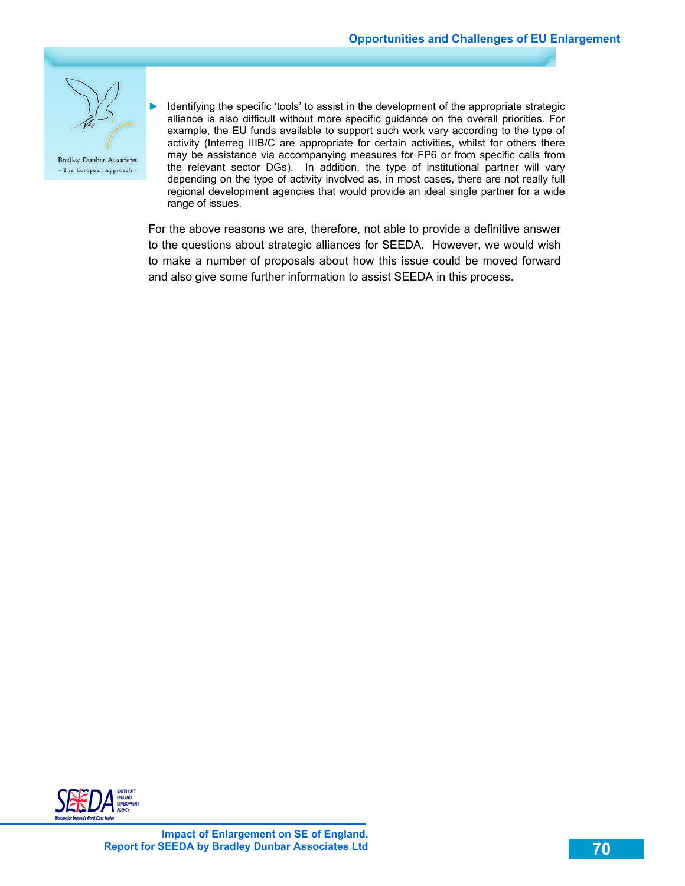

Identifying the specific 'tools' to assist in the development of the appropriate strategic alliance is also difficult without more specific guidance on the overall priorities. For example, the EU funds available to support such work vary according to the type of activity (Interreg IIIB/C are appropriate for certain activities, whilst for others there may be assistance via accompanying measures for FP6 or from specific calls from the relevant sector DGs). In addition, the type of institutional partner will vary depending on the type of activity involved as, in most cases, there are not really full regional development agencies that would provide an ideal single partner for a wide range of issues.

For the above reasons we are, therefore, not able to provide a definitive answer to the questions about strategic alliances for SEEDA. However, we would wish to make a number of proposals about how this issue could be moved forward and also give some further information to assist SEEDA in this process.

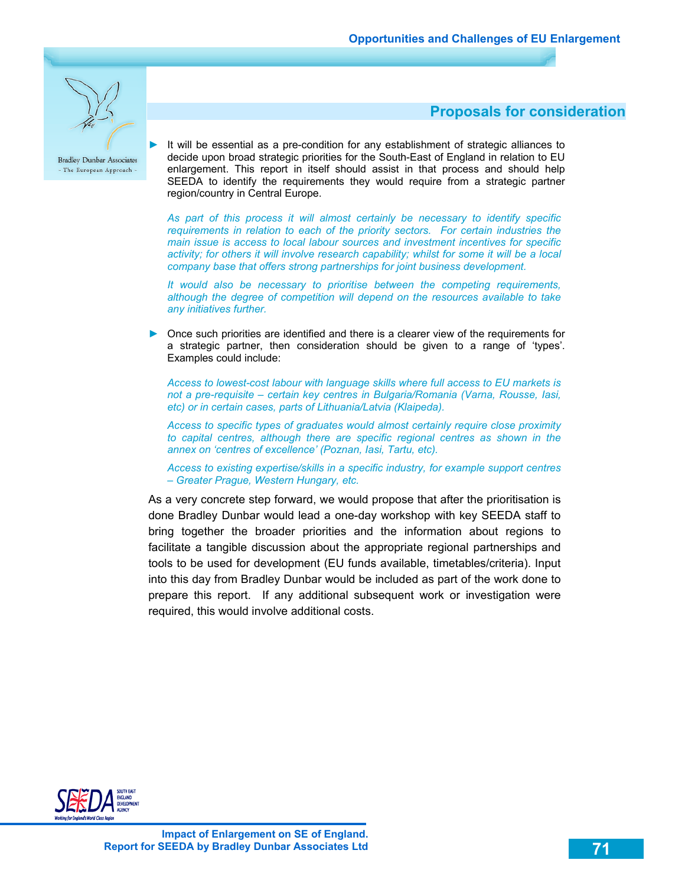

 **Proposals for consideration** 

► It will be essential as a pre-condition for any establishment of strategic alliances to decide upon broad strategic priorities for the South-East of England in relation to EU enlargement. This report in itself should assist in that process and should help SEEDA to identify the requirements they would require from a strategic partner region/country in Central Europe.

*As part of this process it will almost certainly be necessary to identify specific requirements in relation to each of the priority sectors. For certain industries the main issue is access to local labour sources and investment incentives for specific activity; for others it will involve research capability; whilst for some it will be a local company base that offers strong partnerships for joint business development.* 

*It would also be necessary to prioritise between the competing requirements, although the degree of competition will depend on the resources available to take any initiatives further.* 

► Once such priorities are identified and there is a clearer view of the requirements for a strategic partner, then consideration should be given to a range of 'types'. Examples could include:

*Access to lowest-cost labour with language skills where full access to EU markets is not a pre-requisite – certain key centres in Bulgaria/Romania (Varna, Rousse, Iasi, etc) or in certain cases, parts of Lithuania/Latvia (Klaipeda).* 

*Access to specific types of graduates would almost certainly require close proximity to capital centres, although there are specific regional centres as shown in the annex on 'centres of excellence' (Poznan, Iasi, Tartu, etc).* 

*Access to existing expertise/skills in a specific industry, for example support centres – Greater Prague, Western Hungary, etc.* 

As a very concrete step forward, we would propose that after the prioritisation is done Bradley Dunbar would lead a one-day workshop with key SEEDA staff to bring together the broader priorities and the information about regions to facilitate a tangible discussion about the appropriate regional partnerships and tools to be used for development (EU funds available, timetables/criteria). Input into this day from Bradley Dunbar would be included as part of the work done to prepare this report. If any additional subsequent work or investigation were required, this would involve additional costs.

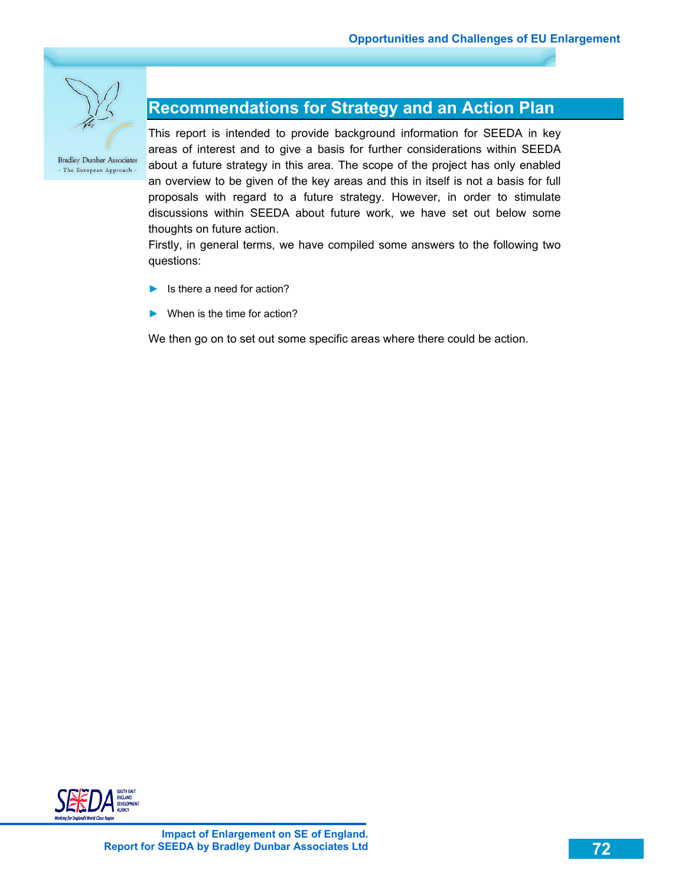

## **Recommendations for Strategy and an Action Plan**

This report is intended to provide background information for SEEDA in key areas of interest and to give a basis for further considerations within SEEDA about a future strategy in this area. The scope of the project has only enabled an overview to be given of the key areas and this in itself is not a basis for full proposals with regard to a future strategy. However, in order to stimulate discussions within SEEDA about future work, we have set out below some thoughts on future action.

Firstly, in general terms, we have compiled some answers to the following two questions:

- $\blacktriangleright$  Is there a need for action?
- $\blacktriangleright$  When is the time for action?

We then go on to set out some specific areas where there could be action.

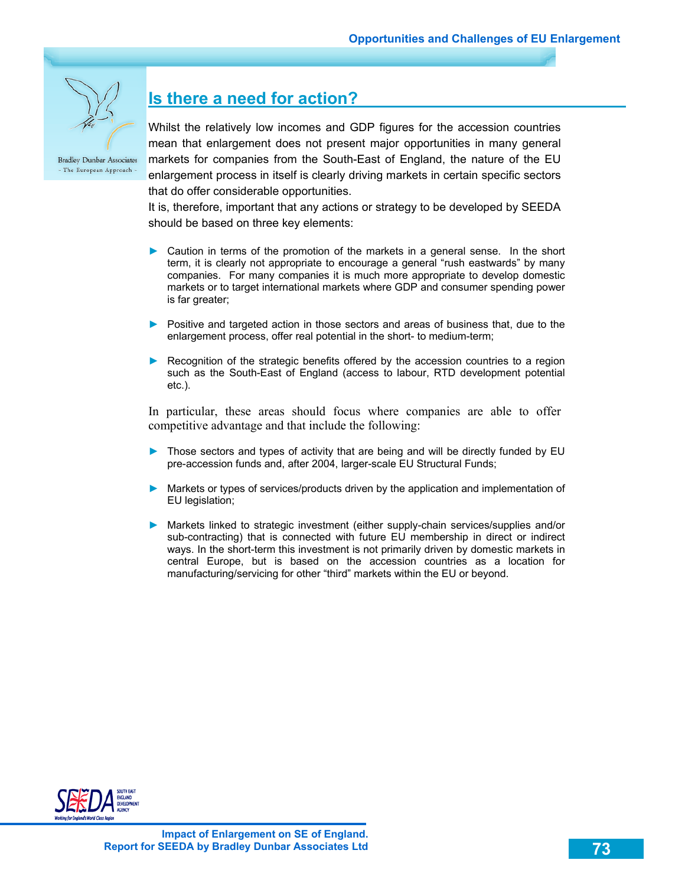

# **Is there a need for action?**

Whilst the relatively low incomes and GDP figures for the accession countries mean that enlargement does not present major opportunities in many general markets for companies from the South-East of England, the nature of the EU enlargement process in itself is clearly driving markets in certain specific sectors that do offer considerable opportunities.

It is, therefore, important that any actions or strategy to be developed by SEEDA should be based on three key elements:

- ► Caution in terms of the promotion of the markets in a general sense. In the short term, it is clearly not appropriate to encourage a general "rush eastwards" by many companies. For many companies it is much more appropriate to develop domestic markets or to target international markets where GDP and consumer spending power is far greater;
- ► Positive and targeted action in those sectors and areas of business that, due to the enlargement process, offer real potential in the short- to medium-term;
- ► Recognition of the strategic benefits offered by the accession countries to a region such as the South-East of England (access to labour, RTD development potential etc.).

In particular, these areas should focus where companies are able to offer competitive advantage and that include the following:

- ► Those sectors and types of activity that are being and will be directly funded by EU pre-accession funds and, after 2004, larger-scale EU Structural Funds;
- ► Markets or types of services/products driven by the application and implementation of EU legislation;
- ► Markets linked to strategic investment (either supply-chain services/supplies and/or sub-contracting) that is connected with future EU membership in direct or indirect ways. In the short-term this investment is not primarily driven by domestic markets in central Europe, but is based on the accession countries as a location for manufacturing/servicing for other "third" markets within the EU or beyond.

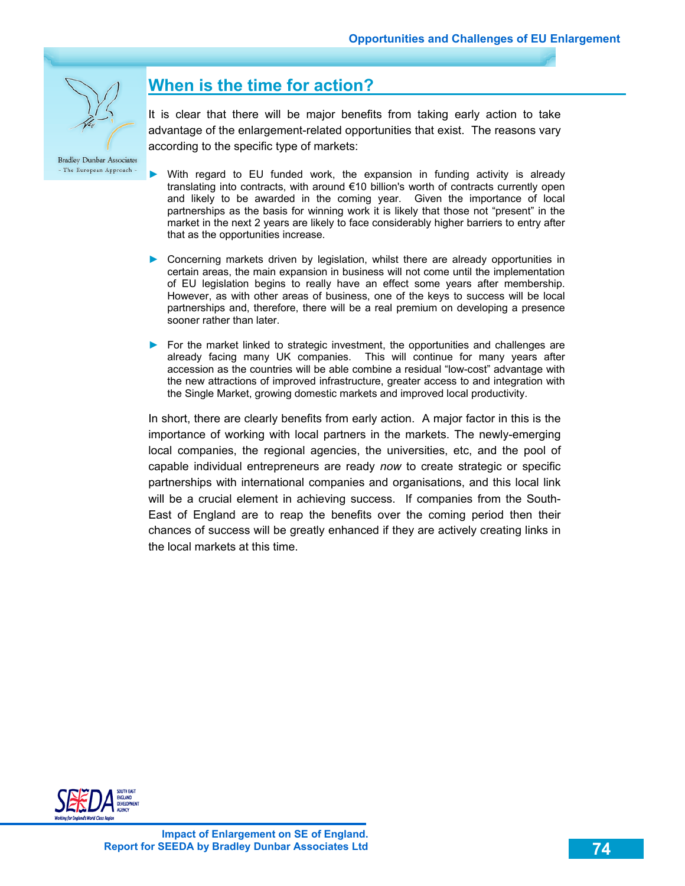

### **When is the time for action?**

It is clear that there will be major benefits from taking early action to take advantage of the enlargement-related opportunities that exist. The reasons vary according to the specific type of markets:

**Bradley Dunbar Associates** - The European Approach -

- ► With regard to EU funded work, the expansion in funding activity is already translating into contracts, with around €10 billion's worth of contracts currently open and likely to be awarded in the coming year. Given the importance of local partnerships as the basis for winning work it is likely that those not "present" in the market in the next 2 years are likely to face considerably higher barriers to entry after that as the opportunities increase.
- ► Concerning markets driven by legislation, whilst there are already opportunities in certain areas, the main expansion in business will not come until the implementation of EU legislation begins to really have an effect some years after membership. However, as with other areas of business, one of the keys to success will be local partnerships and, therefore, there will be a real premium on developing a presence sooner rather than later.
- ► For the market linked to strategic investment, the opportunities and challenges are already facing many UK companies. This will continue for many years after accession as the countries will be able combine a residual "low-cost" advantage with the new attractions of improved infrastructure, greater access to and integration with the Single Market, growing domestic markets and improved local productivity.

In short, there are clearly benefits from early action. A major factor in this is the importance of working with local partners in the markets. The newly-emerging local companies, the regional agencies, the universities, etc, and the pool of capable individual entrepreneurs are ready *now* to create strategic or specific partnerships with international companies and organisations, and this local link will be a crucial element in achieving success. If companies from the South-East of England are to reap the benefits over the coming period then their chances of success will be greatly enhanced if they are actively creating links in the local markets at this time.

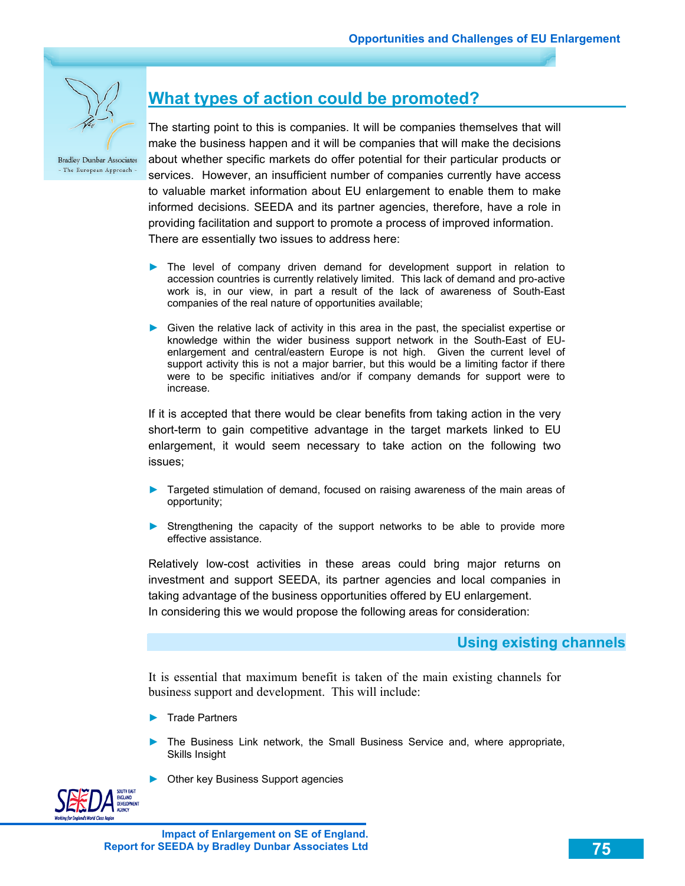

### **What types of action could be promoted?**

The starting point to this is companies. It will be companies themselves that will make the business happen and it will be companies that will make the decisions about whether specific markets do offer potential for their particular products or services. However, an insufficient number of companies currently have access to valuable market information about EU enlargement to enable them to make informed decisions. SEEDA and its partner agencies, therefore, have a role in providing facilitation and support to promote a process of improved information. There are essentially two issues to address here:

- ► The level of company driven demand for development support in relation to accession countries is currently relatively limited. This lack of demand and pro-active work is, in our view, in part a result of the lack of awareness of South-East companies of the real nature of opportunities available;
- ► Given the relative lack of activity in this area in the past, the specialist expertise or knowledge within the wider business support network in the South-East of EUenlargement and central/eastern Europe is not high. Given the current level of support activity this is not a major barrier, but this would be a limiting factor if there were to be specific initiatives and/or if company demands for support were to increase.

If it is accepted that there would be clear benefits from taking action in the very short-term to gain competitive advantage in the target markets linked to EU enlargement, it would seem necessary to take action on the following two issues;

- ► Targeted stimulation of demand, focused on raising awareness of the main areas of opportunity;
- ► Strengthening the capacity of the support networks to be able to provide more effective assistance.

Relatively low-cost activities in these areas could bring major returns on investment and support SEEDA, its partner agencies and local companies in taking advantage of the business opportunities offered by EU enlargement. In considering this we would propose the following areas for consideration:

#### **Using existing channels**

It is essential that maximum benefit is taken of the main existing channels for business support and development. This will include:

- ► Trade Partners
- The Business Link network, the Small Business Service and, where appropriate, Skills Insight
- ► Other key Business Support agencies

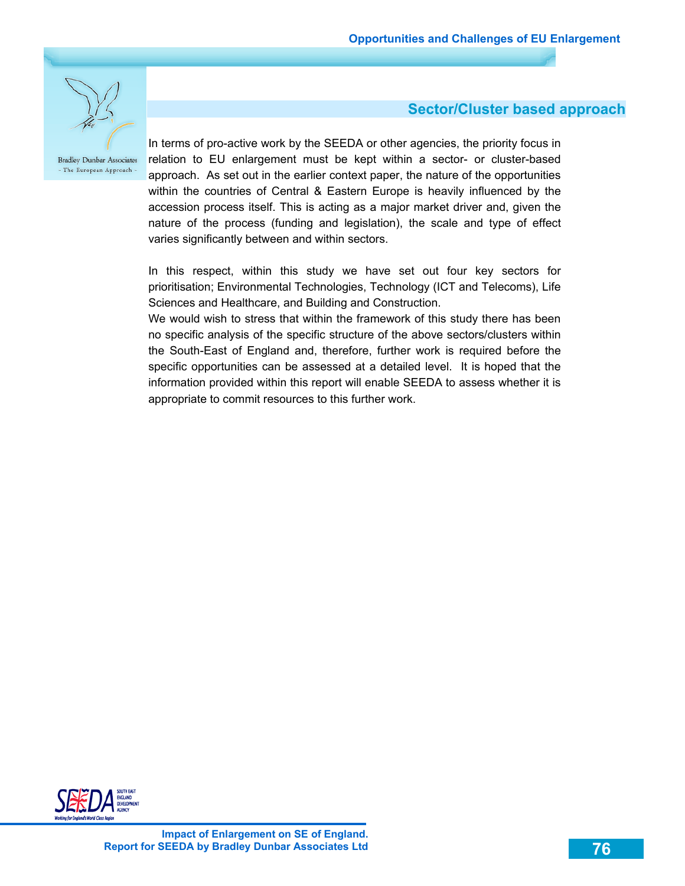

### **Sector/Cluster based approach**

In terms of pro-active work by the SEEDA or other agencies, the priority focus in relation to EU enlargement must be kept within a sector- or cluster-based approach. As set out in the earlier context paper, the nature of the opportunities within the countries of Central & Eastern Europe is heavily influenced by the accession process itself. This is acting as a major market driver and, given the nature of the process (funding and legislation), the scale and type of effect varies significantly between and within sectors.

In this respect, within this study we have set out four key sectors for prioritisation; Environmental Technologies, Technology (ICT and Telecoms), Life Sciences and Healthcare, and Building and Construction.

We would wish to stress that within the framework of this study there has been no specific analysis of the specific structure of the above sectors/clusters within the South-East of England and, therefore, further work is required before the specific opportunities can be assessed at a detailed level. It is hoped that the information provided within this report will enable SEEDA to assess whether it is appropriate to commit resources to this further work.

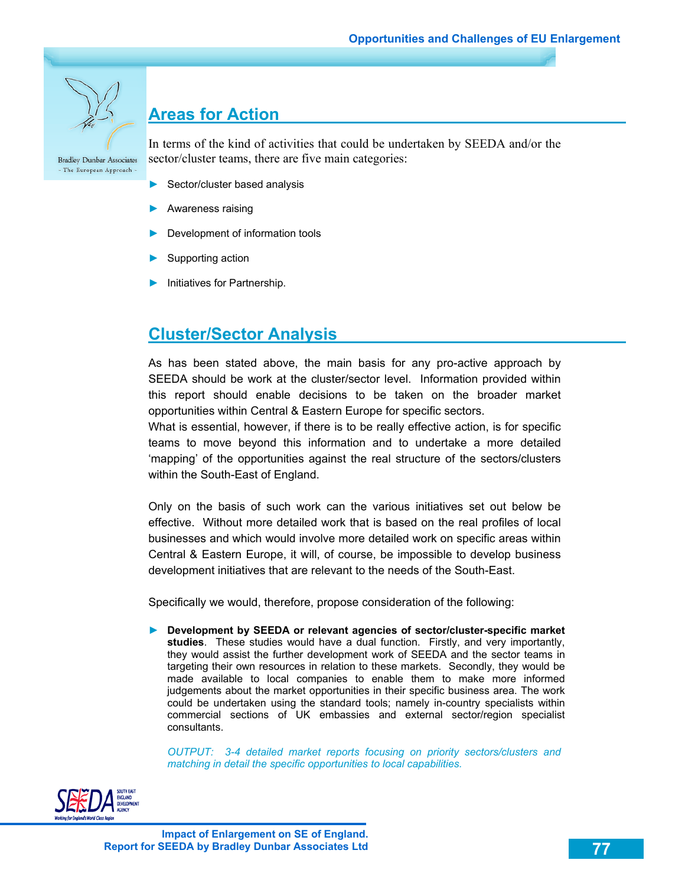# **Areas for Action**

**Bradley Dunbar Associates** - The European Approach -

In terms of the kind of activities that could be undertaken by SEEDA and/or the sector/cluster teams, there are five main categories:

- Sector/cluster based analysis
- ► Awareness raising
- Development of information tools
- Supporting action
- ► Initiatives for Partnership.

## **Cluster/Sector Analysis**

As has been stated above, the main basis for any pro-active approach by SEEDA should be work at the cluster/sector level. Information provided within this report should enable decisions to be taken on the broader market opportunities within Central & Eastern Europe for specific sectors.

What is essential, however, if there is to be really effective action, is for specific teams to move beyond this information and to undertake a more detailed 'mapping' of the opportunities against the real structure of the sectors/clusters within the South-East of England.

Only on the basis of such work can the various initiatives set out below be effective. Without more detailed work that is based on the real profiles of local businesses and which would involve more detailed work on specific areas within Central & Eastern Europe, it will, of course, be impossible to develop business development initiatives that are relevant to the needs of the South-East.

Specifically we would, therefore, propose consideration of the following:

► **Development by SEEDA or relevant agencies of sector/cluster-specific market studies**. These studies would have a dual function. Firstly, and very importantly, they would assist the further development work of SEEDA and the sector teams in targeting their own resources in relation to these markets. Secondly, they would be made available to local companies to enable them to make more informed judgements about the market opportunities in their specific business area. The work could be undertaken using the standard tools; namely in-country specialists within commercial sections of UK embassies and external sector/region specialist consultants.

*OUTPUT: 3-4 detailed market reports focusing on priority sectors/clusters and matching in detail the specific opportunities to local capabilities.* 

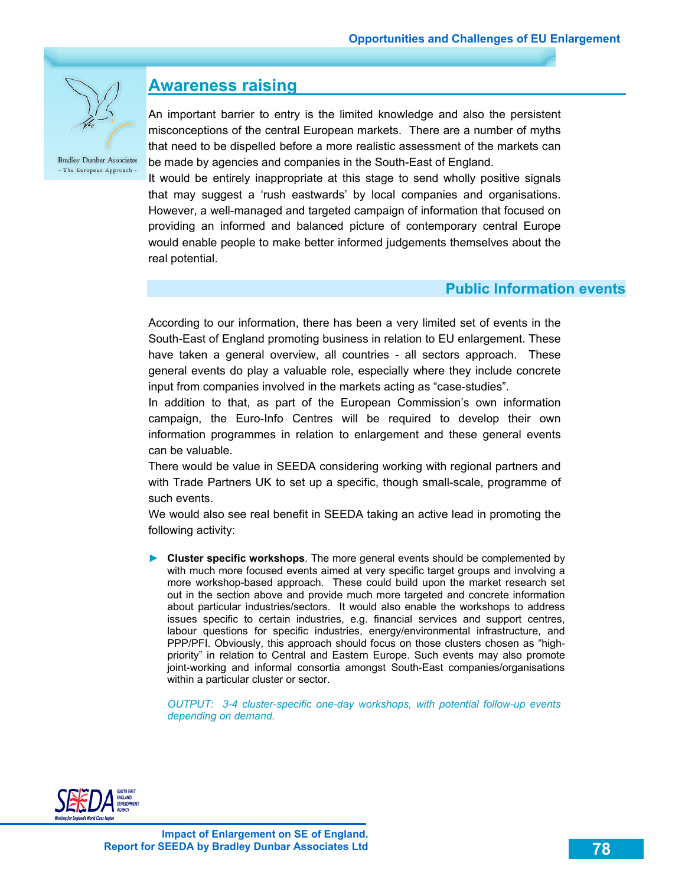

### **Awareness raising**

An important barrier to entry is the limited knowledge and also the persistent misconceptions of the central European markets. There are a number of myths that need to be dispelled before a more realistic assessment of the markets can be made by agencies and companies in the South-East of England.

It would be entirely inappropriate at this stage to send wholly positive signals that may suggest a 'rush eastwards' by local companies and organisations. However, a well-managed and targeted campaign of information that focused on providing an informed and balanced picture of contemporary central Europe would enable people to make better informed judgements themselves about the real potential.

#### **Public Information events**

According to our information, there has been a very limited set of events in the South-East of England promoting business in relation to EU enlargement. These have taken a general overview, all countries - all sectors approach. These general events do play a valuable role, especially where they include concrete input from companies involved in the markets acting as "case-studies".

In addition to that, as part of the European Commission's own information campaign, the Euro-Info Centres will be required to develop their own information programmes in relation to enlargement and these general events can be valuable.

There would be value in SEEDA considering working with regional partners and with Trade Partners UK to set up a specific, though small-scale, programme of such events.

We would also see real benefit in SEEDA taking an active lead in promoting the following activity:

► **Cluster specific workshops**. The more general events should be complemented by with much more focused events aimed at very specific target groups and involving a more workshop-based approach. These could build upon the market research set out in the section above and provide much more targeted and concrete information about particular industries/sectors. It would also enable the workshops to address issues specific to certain industries, e.g. financial services and support centres, labour questions for specific industries, energy/environmental infrastructure, and PPP/PFI. Obviously, this approach should focus on those clusters chosen as "highpriority" in relation to Central and Eastern Europe. Such events may also promote joint-working and informal consortia amongst South-East companies/organisations within a particular cluster or sector.

*OUTPUT: 3-4 cluster-specific one-day workshops, with potential follow-up events depending on demand.* 

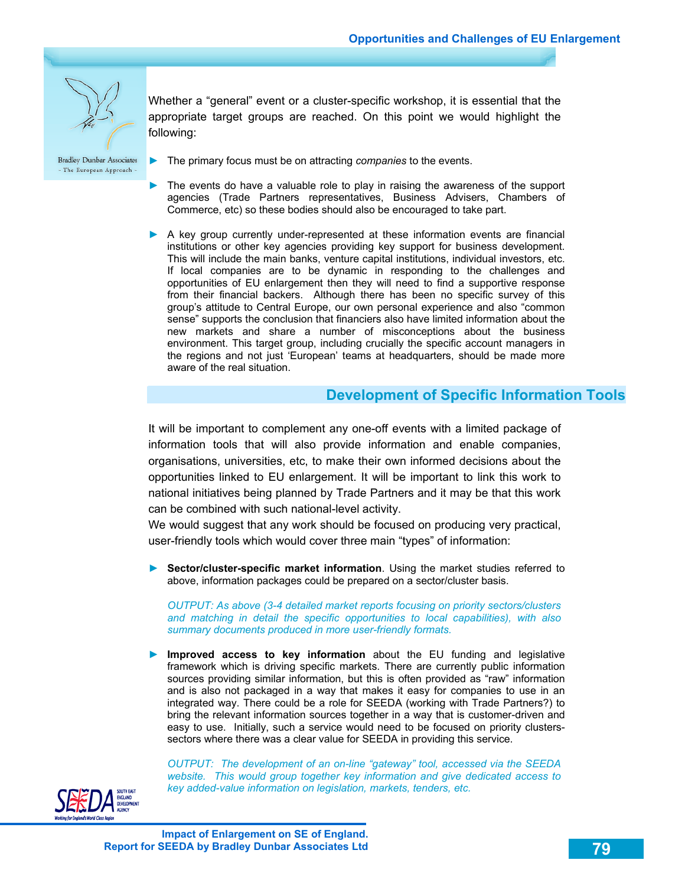

Whether a "general" event or a cluster-specific workshop, it is essential that the appropriate target groups are reached. On this point we would highlight the following:

**Bradley Dunbar Associates** - The European Approach -

- ► The primary focus must be on attracting *companies* to the events.
- The events do have a valuable role to play in raising the awareness of the support agencies (Trade Partners representatives, Business Advisers, Chambers of Commerce, etc) so these bodies should also be encouraged to take part.
- ► A key group currently under-represented at these information events are financial institutions or other key agencies providing key support for business development. This will include the main banks, venture capital institutions, individual investors, etc. If local companies are to be dynamic in responding to the challenges and opportunities of EU enlargement then they will need to find a supportive response from their financial backers. Although there has been no specific survey of this group's attitude to Central Europe, our own personal experience and also "common sense" supports the conclusion that financiers also have limited information about the new markets and share a number of misconceptions about the business environment. This target group, including crucially the specific account managers in the regions and not just 'European' teams at headquarters, should be made more aware of the real situation.

#### **Development of Specific Information Tools**

It will be important to complement any one-off events with a limited package of information tools that will also provide information and enable companies, organisations, universities, etc, to make their own informed decisions about the opportunities linked to EU enlargement. It will be important to link this work to national initiatives being planned by Trade Partners and it may be that this work can be combined with such national-level activity.

We would suggest that any work should be focused on producing very practical, user-friendly tools which would cover three main "types" of information:

► **Sector/cluster-specific market information**. Using the market studies referred to above, information packages could be prepared on a sector/cluster basis.

*OUTPUT: As above (3-4 detailed market reports focusing on priority sectors/clusters and matching in detail the specific opportunities to local capabilities), with also summary documents produced in more user-friendly formats.* 

► **Improved access to key information** about the EU funding and legislative framework which is driving specific markets. There are currently public information sources providing similar information, but this is often provided as "raw" information and is also not packaged in a way that makes it easy for companies to use in an integrated way. There could be a role for SEEDA (working with Trade Partners?) to bring the relevant information sources together in a way that is customer-driven and easy to use. Initially, such a service would need to be focused on priority clusterssectors where there was a clear value for SEEDA in providing this service.

*OUTPUT: The development of an on-line "gateway" tool, accessed via the SEEDA website. This would group together key information and give dedicated access to key added-value information on legislation, markets, tenders, etc.* 

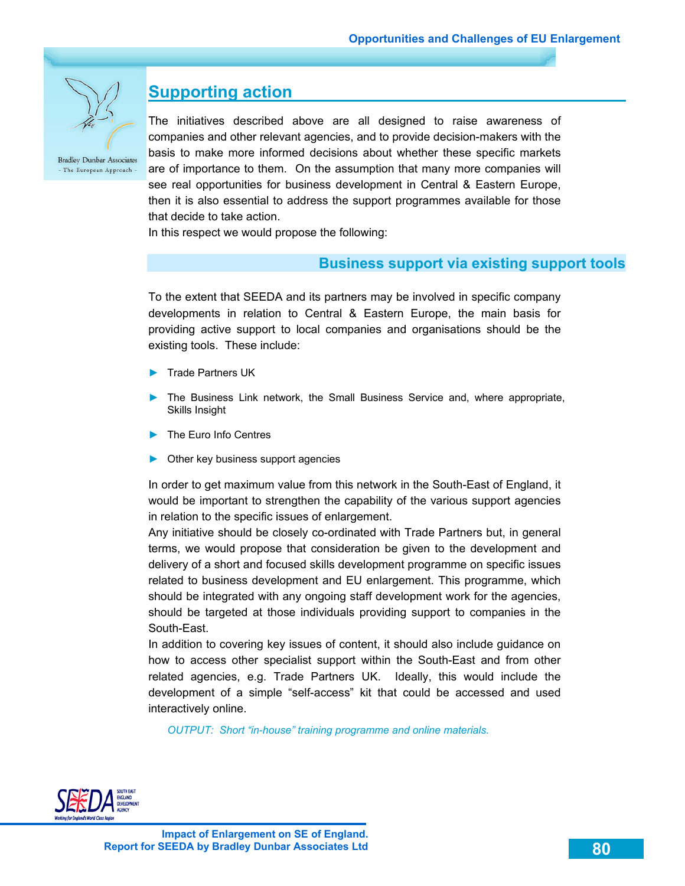

### **Supporting action**

The initiatives described above are all designed to raise awareness of companies and other relevant agencies, and to provide decision-makers with the basis to make more informed decisions about whether these specific markets are of importance to them. On the assumption that many more companies will see real opportunities for business development in Central & Eastern Europe, then it is also essential to address the support programmes available for those that decide to take action.

In this respect we would propose the following:

#### **Business support via existing support tools**

To the extent that SEEDA and its partners may be involved in specific company developments in relation to Central & Eastern Europe, the main basis for providing active support to local companies and organisations should be the existing tools. These include:

- ► Trade Partners UK
- The Business Link network, the Small Business Service and, where appropriate, Skills Insight
- ► The Euro Info Centres
- ► Other key business support agencies

In order to get maximum value from this network in the South-East of England, it would be important to strengthen the capability of the various support agencies in relation to the specific issues of enlargement.

Any initiative should be closely co-ordinated with Trade Partners but, in general terms, we would propose that consideration be given to the development and delivery of a short and focused skills development programme on specific issues related to business development and EU enlargement. This programme, which should be integrated with any ongoing staff development work for the agencies, should be targeted at those individuals providing support to companies in the South-East.

In addition to covering key issues of content, it should also include guidance on how to access other specialist support within the South-East and from other related agencies, e.g. Trade Partners UK. Ideally, this would include the development of a simple "self-access" kit that could be accessed and used interactively online.

*OUTPUT: Short "in-house" training programme and online materials.* 

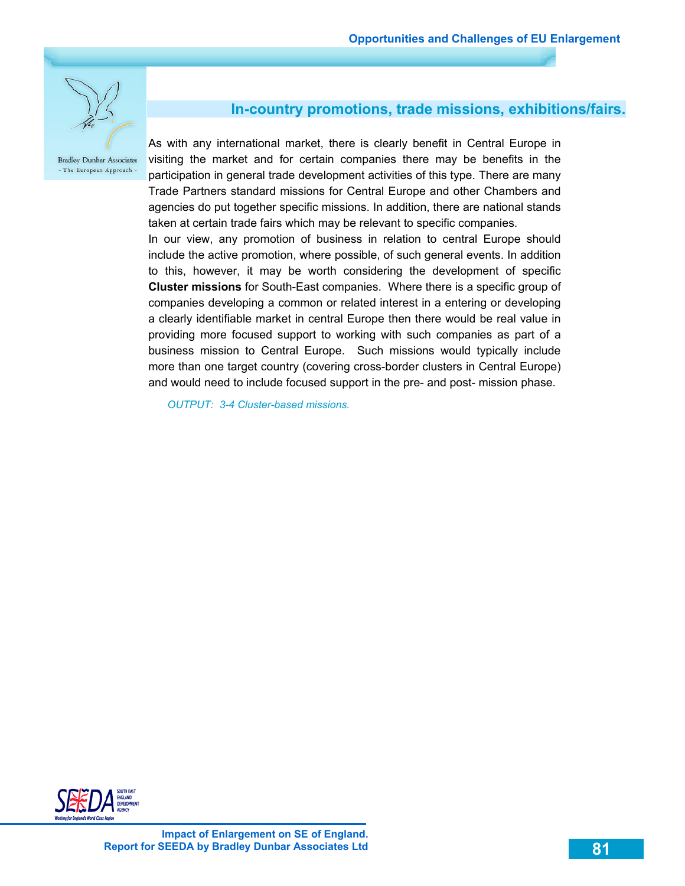

### **In-country promotions, trade missions, exhibitions/fairs.**

As with any international market, there is clearly benefit in Central Europe in visiting the market and for certain companies there may be benefits in the participation in general trade development activities of this type. There are many Trade Partners standard missions for Central Europe and other Chambers and agencies do put together specific missions. In addition, there are national stands taken at certain trade fairs which may be relevant to specific companies. In our view, any promotion of business in relation to central Europe should include the active promotion, where possible, of such general events. In addition to this, however, it may be worth considering the development of specific **Cluster missions** for South-East companies. Where there is a specific group of companies developing a common or related interest in a entering or developing a clearly identifiable market in central Europe then there would be real value in providing more focused support to working with such companies as part of a business mission to Central Europe. Such missions would typically include more than one target country (covering cross-border clusters in Central Europe) and would need to include focused support in the pre- and post- mission phase.

*OUTPUT: 3-4 Cluster-based missions.* 

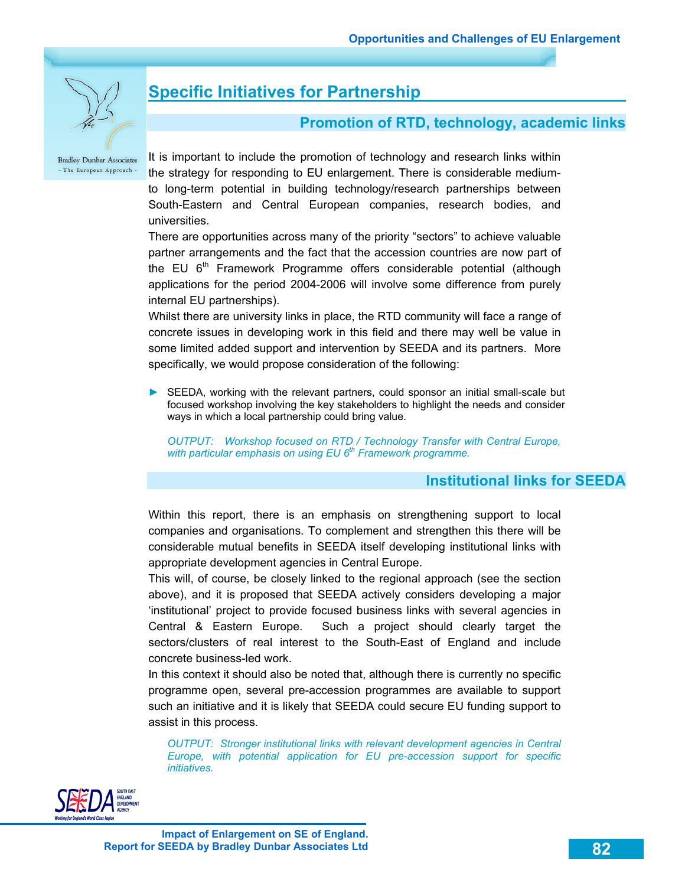

# **Specific Initiatives for Partnership**

### **Promotion of RTD, technology, academic links**

**Bradley Dunbar Associates** - The European Approach -

It is important to include the promotion of technology and research links within the strategy for responding to EU enlargement. There is considerable mediumto long-term potential in building technology/research partnerships between South-Eastern and Central European companies, research bodies, and universities.

There are opportunities across many of the priority "sectors" to achieve valuable partner arrangements and the fact that the accession countries are now part of the EU  $6<sup>th</sup>$  Framework Programme offers considerable potential (although applications for the period 2004-2006 will involve some difference from purely internal EU partnerships).

Whilst there are university links in place, the RTD community will face a range of concrete issues in developing work in this field and there may well be value in some limited added support and intervention by SEEDA and its partners. More specifically, we would propose consideration of the following:

► SEEDA, working with the relevant partners, could sponsor an initial small-scale but focused workshop involving the key stakeholders to highlight the needs and consider ways in which a local partnership could bring value.

*OUTPUT: Workshop focused on RTD / Technology Transfer with Central Europe,*  with particular emphasis on using EU 6<sup>th</sup> Framework programme.

### **Institutional links for SEEDA**

Within this report, there is an emphasis on strengthening support to local companies and organisations. To complement and strengthen this there will be considerable mutual benefits in SEEDA itself developing institutional links with appropriate development agencies in Central Europe.

This will, of course, be closely linked to the regional approach (see the section above), and it is proposed that SEEDA actively considers developing a major 'institutional' project to provide focused business links with several agencies in Central & Eastern Europe. Such a project should clearly target the sectors/clusters of real interest to the South-East of England and include concrete business-led work.

In this context it should also be noted that, although there is currently no specific programme open, several pre-accession programmes are available to support such an initiative and it is likely that SEEDA could secure EU funding support to assist in this process.

*OUTPUT: Stronger institutional links with relevant development agencies in Central Europe, with potential application for EU pre-accession support for specific initiatives.* 

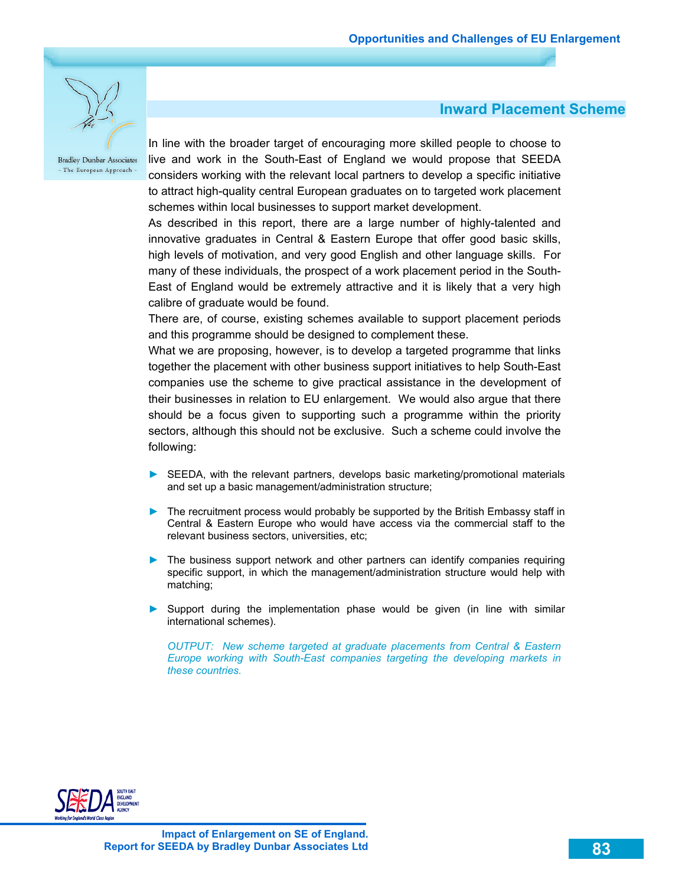

#### **Inward Placement Scheme**

In line with the broader target of encouraging more skilled people to choose to live and work in the South-East of England we would propose that SEEDA considers working with the relevant local partners to develop a specific initiative to attract high-quality central European graduates on to targeted work placement schemes within local businesses to support market development.

As described in this report, there are a large number of highly-talented and innovative graduates in Central & Eastern Europe that offer good basic skills, high levels of motivation, and very good English and other language skills. For many of these individuals, the prospect of a work placement period in the South-East of England would be extremely attractive and it is likely that a very high calibre of graduate would be found.

There are, of course, existing schemes available to support placement periods and this programme should be designed to complement these.

What we are proposing, however, is to develop a targeted programme that links together the placement with other business support initiatives to help South-East companies use the scheme to give practical assistance in the development of their businesses in relation to EU enlargement. We would also argue that there should be a focus given to supporting such a programme within the priority sectors, although this should not be exclusive. Such a scheme could involve the following:

- ► SEEDA, with the relevant partners, develops basic marketing/promotional materials and set up a basic management/administration structure;
- ► The recruitment process would probably be supported by the British Embassy staff in Central & Eastern Europe who would have access via the commercial staff to the relevant business sectors, universities, etc;
- ► The business support network and other partners can identify companies requiring specific support, in which the management/administration structure would help with matching;
- ► Support during the implementation phase would be given (in line with similar international schemes).

*OUTPUT: New scheme targeted at graduate placements from Central & Eastern Europe working with South-East companies targeting the developing markets in these countries.* 

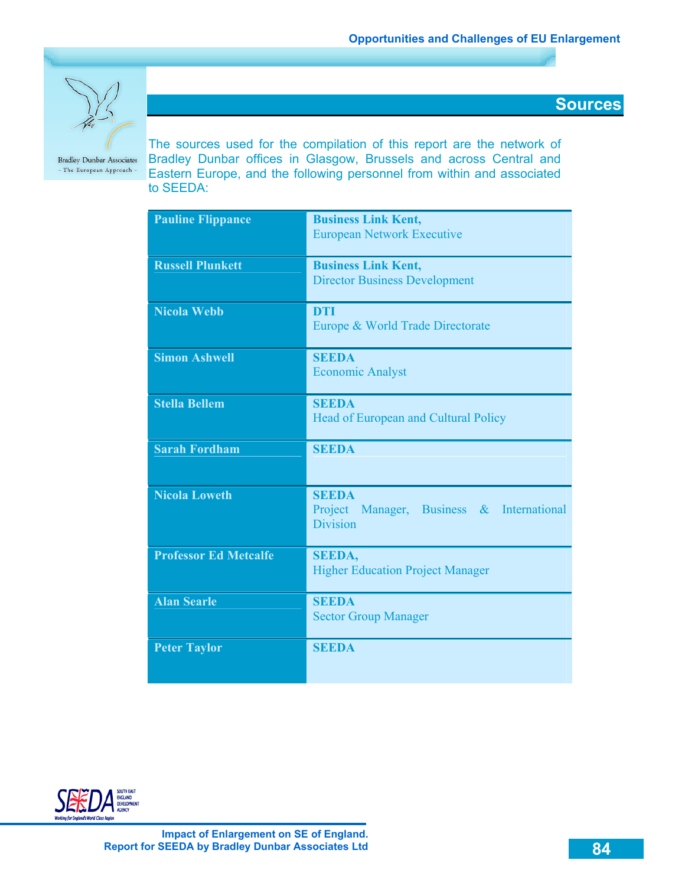**Sources** 



**Bradley Dunbar Associates** - The European Approach - The sources used for the compilation of this report are the network of Bradley Dunbar offices in Glasgow, Brussels and across Central and Eastern Europe, and the following personnel from within and associated to SEEDA:

| <b>Pauline Flippance</b>     | <b>Business Link Kent,</b>                                   |
|------------------------------|--------------------------------------------------------------|
|                              | <b>European Network Executive</b>                            |
| <b>Russell Plunkett</b>      | <b>Business Link Kent,</b>                                   |
|                              | <b>Director Business Development</b>                         |
| <b>Nicola Webb</b>           | <b>DTI</b>                                                   |
|                              | Europe & World Trade Directorate                             |
| <b>Simon Ashwell</b>         | <b>SEEDA</b>                                                 |
|                              | <b>Economic Analyst</b>                                      |
| <b>Stella Bellem</b>         | <b>SEEDA</b>                                                 |
|                              | Head of European and Cultural Policy                         |
| <b>Sarah Fordham</b>         | <b>SEEDA</b>                                                 |
| <b>Nicola Loweth</b>         | <b>SEEDA</b>                                                 |
|                              | Project Manager, Business & International<br><b>Division</b> |
|                              |                                                              |
| <b>Professor Ed Metcalfe</b> | <b>SEEDA,</b>                                                |
|                              | <b>Higher Education Project Manager</b>                      |
| <b>Alan Searle</b>           | <b>SEEDA</b>                                                 |
|                              | <b>Sector Group Manager</b>                                  |
| <b>Peter Taylor</b>          | <b>SEEDA</b>                                                 |
|                              |                                                              |

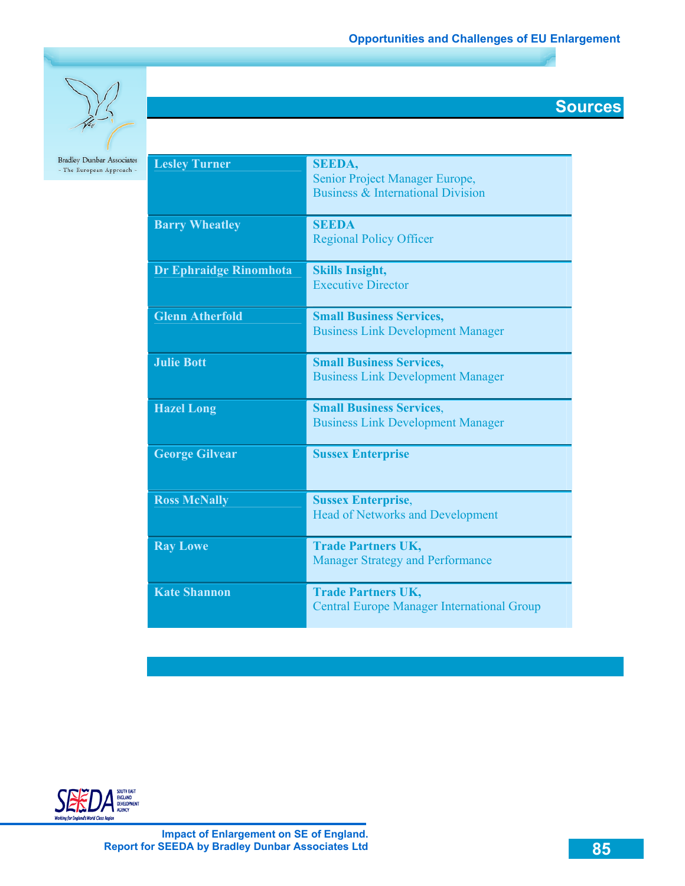

| <b>Lesley Turner</b>   | <b>SEEDA,</b><br>Senior Project Manager Europe,<br><b>Business &amp; International Division</b> |
|------------------------|-------------------------------------------------------------------------------------------------|
| <b>Barry Wheatley</b>  | <b>SEEDA</b><br><b>Regional Policy Officer</b>                                                  |
| Dr Ephraidge Rinomhota | <b>Skills Insight,</b><br><b>Executive Director</b>                                             |
| <b>Glenn Atherfold</b> | <b>Small Business Services,</b><br><b>Business Link Development Manager</b>                     |
| <b>Julie Bott</b>      | <b>Small Business Services,</b><br><b>Business Link Development Manager</b>                     |
| <b>Hazel Long</b>      | <b>Small Business Services,</b><br><b>Business Link Development Manager</b>                     |
| <b>George Gilvear</b>  | <b>Sussex Enterprise</b>                                                                        |
| <b>Ross McNally</b>    | <b>Sussex Enterprise,</b><br><b>Head of Networks and Development</b>                            |
| <b>Ray Lowe</b>        | <b>Trade Partners UK,</b><br><b>Manager Strategy and Performance</b>                            |
| <b>Kate Shannon</b>    | <b>Trade Partners UK,</b><br><b>Central Europe Manager International Group</b>                  |

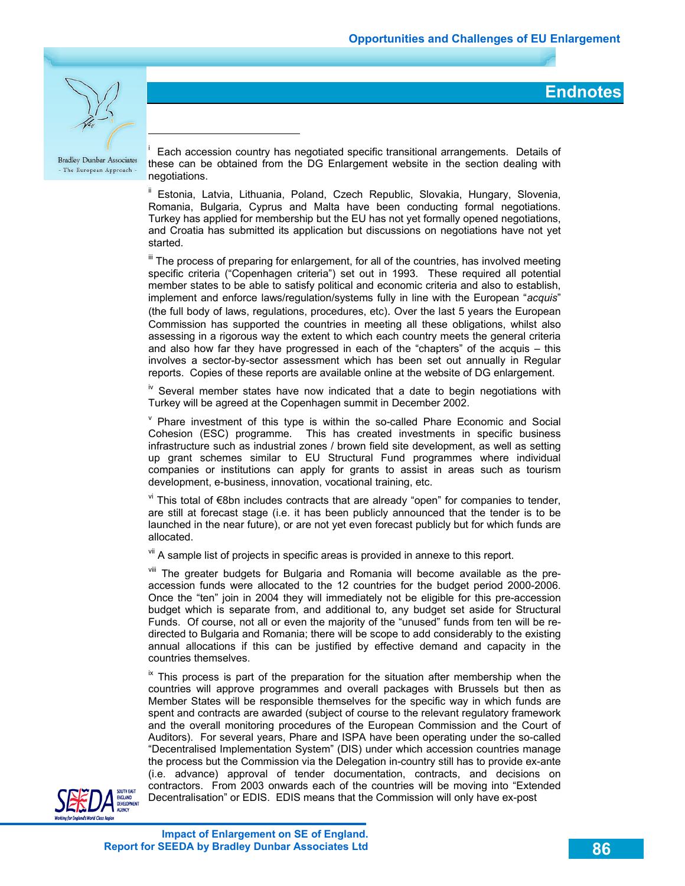**Endnotes** 



 $\overline{a}$ 

**Bradley Dunbar Associates** - The European Approach -

i Each accession country has negotiated specific transitional arrangements. Details of these can be obtained from the DG Enlargement website in the section dealing with negotiations.

Estonia, Latvia, Lithuania, Poland, Czech Republic, Slovakia, Hungary, Slovenia, Romania, Bulgaria, Cyprus and Malta have been conducting formal negotiations. Turkey has applied for membership but the EU has not yet formally opened negotiations, and Croatia has submitted its application but discussions on negotiations have not yet started.

If The process of preparing for enlargement, for all of the countries, has involved meeting specific criteria ("Copenhagen criteria") set out in 1993. These required all potential member states to be able to satisfy political and economic criteria and also to establish, implement and enforce laws/regulation/systems fully in line with the European "*acquis*" (the full body of laws, regulations, procedures, etc). Over the last 5 years the European Commission has supported the countries in meeting all these obligations, whilst also assessing in a rigorous way the extent to which each country meets the general criteria and also how far they have progressed in each of the "chapters" of the acquis – this involves a sector-by-sector assessment which has been set out annually in Regular reports. Copies of these reports are available online at the website of DG enlargement.

 $\frac{1}{10}$  Several member states have now indicated that a date to begin negotiations with Turkey will be agreed at the Copenhagen summit in December 2002.

 $V$  Phare investment of this type is within the so-called Phare Economic and Social Cohesion (ESC) programme. This has created investments in specific business infrastructure such as industrial zones / brown field site development, as well as setting up grant schemes similar to EU Structural Fund programmes where individual companies or institutions can apply for grants to assist in areas such as tourism development, e-business, innovation, vocational training, etc.

vi This total of €8bn includes contracts that are already "open" for companies to tender, are still at forecast stage (i.e. it has been publicly announced that the tender is to be launched in the near future), or are not yet even forecast publicly but for which funds are allocated.

vii A sample list of projects in specific areas is provided in annexe to this report.

viii The greater budgets for Bulgaria and Romania will become available as the preaccession funds were allocated to the 12 countries for the budget period 2000-2006. Once the "ten" join in 2004 they will immediately not be eligible for this pre-accession budget which is separate from, and additional to, any budget set aside for Structural Funds. Of course, not all or even the majority of the "unused" funds from ten will be redirected to Bulgaria and Romania; there will be scope to add considerably to the existing annual allocations if this can be justified by effective demand and capacity in the countries themselves.

 $\frac{1}{x}$  This process is part of the preparation for the situation after membership when the countries will approve programmes and overall packages with Brussels but then as Member States will be responsible themselves for the specific way in which funds are spent and contracts are awarded (subject of course to the relevant regulatory framework and the overall monitoring procedures of the European Commission and the Court of Auditors). For several years, Phare and ISPA have been operating under the so-called "Decentralised Implementation System" (DIS) under which accession countries manage the process but the Commission via the Delegation in-country still has to provide ex-ante (i.e. advance) approval of tender documentation, contracts, and decisions on contractors. From 2003 onwards each of the countries will be moving into "Extended Decentralisation" or EDIS. EDIS means that the Commission will only have ex-post